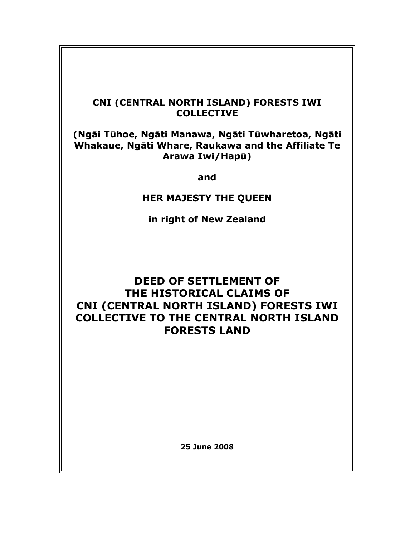## CNI (CENTRAL NORTH ISLAND) FORESTS IWI **COLLECTIVE**

(Ngāi Tūhoe, Ngāti Manawa, Ngāti Tūwharetoa, Ngāti Whakaue, Ngāti Whare, Raukawa and the Affiliate Te Arawa Iwi/Hapū)

and

## HER MAJESTY THE QUEEN

in right of New Zealand

 $\overline{\phantom{a}}$  , and the contribution of the contribution of the contribution of the contribution of the contribution of the contribution of the contribution of the contribution of the contribution of the contribution of the

# DEED OF SETTLEMENT OF THE HISTORICAL CLAIMS OF CNI (CENTRAL NORTH ISLAND) FORESTS IWI COLLECTIVE TO THE CENTRAL NORTH ISLAND FORESTS LAND

\_\_\_\_\_\_\_\_\_\_\_\_\_\_\_\_\_\_\_\_\_\_\_\_\_\_\_\_\_\_\_\_\_\_\_\_\_\_\_\_\_\_\_\_\_\_\_\_\_\_\_\_\_\_\_\_\_\_\_\_\_\_\_\_

25 June 2008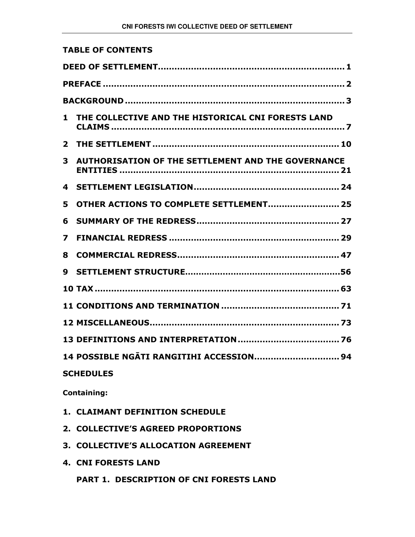| <b>TABLE OF CONTENTS</b>                                       |  |
|----------------------------------------------------------------|--|
|                                                                |  |
|                                                                |  |
|                                                                |  |
| THE COLLECTIVE AND THE HISTORICAL CNI FORESTS LAND<br>1        |  |
| $\mathbf{2}$                                                   |  |
| <b>AUTHORISATION OF THE SETTLEMENT AND THE GOVERNANCE</b><br>3 |  |
| 4                                                              |  |
| OTHER ACTIONS TO COMPLETE SETTLEMENT 25<br>5                   |  |
| 6                                                              |  |
| 7                                                              |  |
| 8                                                              |  |
| 9                                                              |  |
|                                                                |  |
|                                                                |  |
|                                                                |  |
|                                                                |  |
| 14 POSSIBLE NGĀTI RANGITIHI ACCESSION 94                       |  |
| <b>SCHEDULES</b>                                               |  |
| <b>Containing:</b>                                             |  |

- 1. CLAIMANT DEFINITION SCHEDULE
- 2. COLLECTIVE'S AGREED PROPORTIONS
- 3. COLLECTIVE'S ALLOCATION AGREEMENT
- 4. CNI FORESTS LAND

PART 1. DESCRIPTION OF CNI FORESTS LAND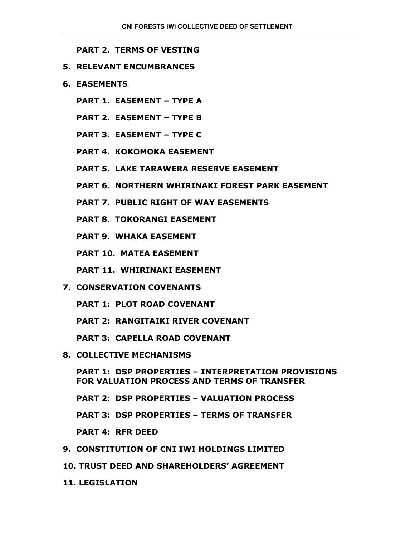PART 2. TERMS OF VESTING

- 5. RELEVANT ENCUMBRANCES
- 6. EASEMENTS
	- PART 1. EASEMENT TYPE A
	- PART 2. EASEMENT TYPE B
	- PART 3. EASEMENT TYPE C
	- PART 4. KOKOMOKA EASEMENT
	- PART 5. LAKE TARAWERA RESERVE EASEMENT
	- PART 6. NORTHERN WHIRINAKI FOREST PARK EASEMENT
	- PART 7. PUBLIC RIGHT OF WAY EASEMENTS
	- PART 8. TOKORANGI EASEMENT
	- PART 9. WHAKA EASEMENT
	- PART 10. MATEA EASEMENT
	- PART 11. WHIRINAKI EASEMENT
- 7. CONSERVATION COVENANTS
	- PART 1: PLOT ROAD COVENANT
	- PART 2: RANGITAIKI RIVER COVENANT
	- PART 3: CAPELLA ROAD COVENANT
- 8. COLLECTIVE MECHANISMS

 PART 1: DSP PROPERTIES – INTERPRETATION PROVISIONS FOR VALUATION PROCESS AND TERMS OF TRANSFER

PART 2: DSP PROPERTIES – VALUATION PROCESS

PART 3: DSP PROPERTIES – TERMS OF TRANSFER

PART 4: RFR DEED

- 9. CONSTITUTION OF CNI IWI HOLDINGS LIMITED
- 10. TRUST DEED AND SHAREHOLDERS' AGREEMENT
- 11. LEGISLATION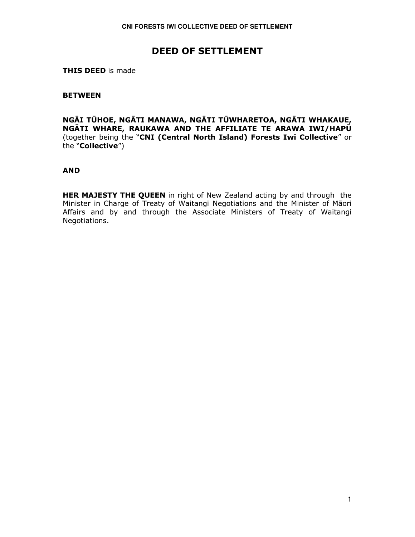## DEED OF SETTLEMENT

**THIS DEED is made** 

## **BETWEEN**

NGĀI TŪHOE, NGĀTI MANAWA, NGĀTI TŪWHARETOA, NGĀTI WHAKAUE, NGĀTI WHARE, RAUKAWA AND THE AFFILIATE TE ARAWA IWI/HAPŪ (together being the "CNI (Central North Island) Forests Iwi Collective" or the "Collective")

## AND

HER MAJESTY THE QUEEN in right of New Zealand acting by and through the Minister in Charge of Treaty of Waitangi Negotiations and the Minister of Māori Affairs and by and through the Associate Ministers of Treaty of Waitangi Negotiations.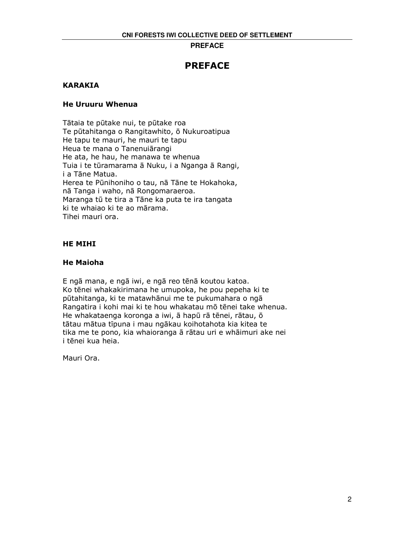## **PREFACE**

## PREFACE

## KARAKIA

## He Uruuru Whenua

Tātaia te pūtake nui, te pūtake roa Te pūtahitanga o Rangitawhito, ō Nukuroatipua He tapu te mauri, he mauri te tapu Heua te mana o Tanenuiārangi He ata, he hau, he manawa te whenua Tuia i te tūramarama ā Nuku, i a Nganga ā Rangi, i a Tāne Matua. Herea te Pūnihoniho o tau, nā Tāne te Hokahoka, nā Tanga i waho, nā Rongomaraeroa. Maranga tū te tira a Tāne ka puta te ira tangata ki te whaiao ki te ao mārama. Tihei mauri ora.

## HE MIHI

## He Maioha

E ngā mana, e ngā iwi, e ngā reo tēnā koutou katoa. Ko tēnei whakakirimana he umupoka, he pou pepeha ki te pūtahitanga, ki te matawhānui me te pukumahara o ngā Rangatira i kohi mai ki te hou whakatau mō tēnei take whenua. He whakataenga koronga a iwi, ā hapū rā tēnei, rātau, ō tātau mātua tīpuna i mau ngākau koihotahota kia kitea te tika me te pono, kia whaioranga ā rātau uri e whāimuri ake nei i tēnei kua heia.

Mauri Ora.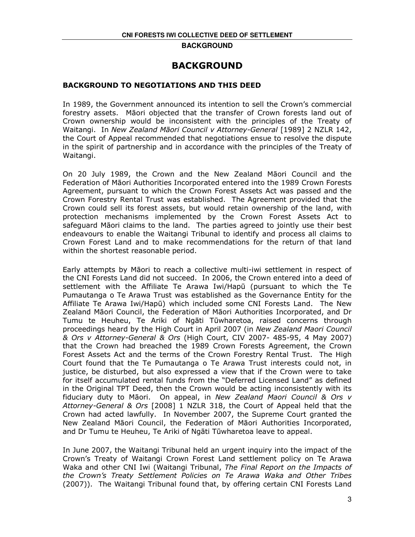## BACKGROUND

## BACKGROUND TO NEGOTIATIONS AND THIS DEED

In 1989, the Government announced its intention to sell the Crown's commercial forestry assets. Māori objected that the transfer of Crown forests land out of Crown ownership would be inconsistent with the principles of the Treaty of Waitangi. In New Zealand Māori Council v Attorney-General [1989] 2 NZLR 142, the Court of Appeal recommended that negotiations ensue to resolve the dispute in the spirit of partnership and in accordance with the principles of the Treaty of Waitangi.

On 20 July 1989, the Crown and the New Zealand Māori Council and the Federation of Māori Authorities Incorporated entered into the 1989 Crown Forests Agreement, pursuant to which the Crown Forest Assets Act was passed and the Crown Forestry Rental Trust was established. The Agreement provided that the Crown could sell its forest assets, but would retain ownership of the land, with protection mechanisms implemented by the Crown Forest Assets Act to safeguard Māori claims to the land. The parties agreed to jointly use their best endeavours to enable the Waitangi Tribunal to identify and process all claims to Crown Forest Land and to make recommendations for the return of that land within the shortest reasonable period.

Early attempts by Māori to reach a collective multi-iwi settlement in respect of the CNI Forests Land did not succeed. In 2006, the Crown entered into a deed of settlement with the Affiliate Te Arawa Iwi/Hapū (pursuant to which the Te Pumautanga o Te Arawa Trust was established as the Governance Entity for the Affiliate Te Arawa Iwi/Hapū) which included some CNI Forests Land. The New Zealand Māori Council, the Federation of Māori Authorities Incorporated, and Dr Tumu te Heuheu, Te Ariki of Ngāti Tūwharetoa, raised concerns through proceedings heard by the High Court in April 2007 (in New Zealand Maori Council & Ors v Attorney-General & Ors (High Court, CIV 2007- 485-95, 4 May 2007) that the Crown had breached the 1989 Crown Forests Agreement, the Crown Forest Assets Act and the terms of the Crown Forestry Rental Trust. The High Court found that the Te Pumautanga o Te Arawa Trust interests could not, in justice, be disturbed, but also expressed a view that if the Crown were to take for itself accumulated rental funds from the "Deferred Licensed Land" as defined in the Original TPT Deed, then the Crown would be acting inconsistently with its fiduciary duty to Māori. On appeal, in New Zealand Maori Council & Ors v Attorney-General & Ors [2008] 1 NZLR 318, the Court of Appeal held that the Crown had acted lawfully. In November 2007, the Supreme Court granted the New Zealand Māori Council, the Federation of Māori Authorities Incorporated, and Dr Tumu te Heuheu, Te Ariki of Ngāti Tūwharetoa leave to appeal.

In June 2007, the Waitangi Tribunal held an urgent inquiry into the impact of the Crown's Treaty of Waitangi Crown Forest Land settlement policy on Te Arawa Waka and other CNI Iwi (Waitangi Tribunal, The Final Report on the Impacts of the Crown's Treaty Settlement Policies on Te Arawa Waka and Other Tribes (2007)). The Waitangi Tribunal found that, by offering certain CNI Forests Land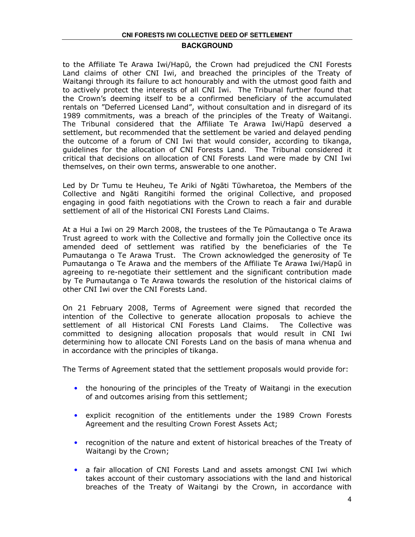to the Affiliate Te Arawa Iwi/Hapū, the Crown had prejudiced the CNI Forests Land claims of other CNI Iwi, and breached the principles of the Treaty of Waitangi through its failure to act honourably and with the utmost good faith and to actively protect the interests of all CNI Iwi. The Tribunal further found that the Crown's deeming itself to be a confirmed beneficiary of the accumulated rentals on "Deferred Licensed Land", without consultation and in disregard of its 1989 commitments, was a breach of the principles of the Treaty of Waitangi. The Tribunal considered that the Affiliate Te Arawa Iwi/Hapū deserved a settlement, but recommended that the settlement be varied and delayed pending the outcome of a forum of CNI Iwi that would consider, according to tikanga, guidelines for the allocation of CNI Forests Land. The Tribunal considered it critical that decisions on allocation of CNI Forests Land were made by CNI Iwi themselves, on their own terms, answerable to one another.

Led by Dr Tumu te Heuheu, Te Ariki of Ngāti Tūwharetoa, the Members of the Collective and Ngāti Rangitihi formed the original Collective, and proposed engaging in good faith negotiations with the Crown to reach a fair and durable settlement of all of the Historical CNI Forests Land Claims.

At a Hui a Iwi on 29 March 2008, the trustees of the Te Pūmautanga o Te Arawa Trust agreed to work with the Collective and formally join the Collective once its amended deed of settlement was ratified by the beneficiaries of the Te Pumautanga o Te Arawa Trust. The Crown acknowledged the generosity of Te Pumautanga o Te Arawa and the members of the Affiliate Te Arawa Iwi/Hapū in agreeing to re-negotiate their settlement and the significant contribution made by Te Pumautanga o Te Arawa towards the resolution of the historical claims of other CNI Iwi over the CNI Forests Land.

On 21 February 2008, Terms of Agreement were signed that recorded the intention of the Collective to generate allocation proposals to achieve the settlement of all Historical CNI Forests Land Claims. The Collective was committed to designing allocation proposals that would result in CNI Iwi determining how to allocate CNI Forests Land on the basis of mana whenua and in accordance with the principles of tikanga.

The Terms of Agreement stated that the settlement proposals would provide for:

- the honouring of the principles of the Treaty of Waitangi in the execution of and outcomes arising from this settlement;
- explicit recognition of the entitlements under the 1989 Crown Forests Agreement and the resulting Crown Forest Assets Act;
- recognition of the nature and extent of historical breaches of the Treaty of Waitangi by the Crown;
- a fair allocation of CNI Forests Land and assets amongst CNI Iwi which takes account of their customary associations with the land and historical breaches of the Treaty of Waitangi by the Crown, in accordance with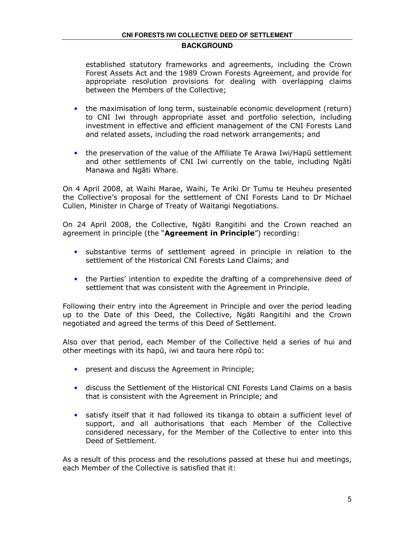established statutory frameworks and agreements, including the Crown Forest Assets Act and the 1989 Crown Forests Agreement, and provide for appropriate resolution provisions for dealing with overlapping claims between the Members of the Collective;

- the maximisation of long term, sustainable economic development (return) to CNI Iwi through appropriate asset and portfolio selection, including investment in effective and efficient management of the CNI Forests Land and related assets, including the road network arrangements; and
- the preservation of the value of the Affiliate Te Arawa Iwi/Hapū settlement and other settlements of CNI Iwi currently on the table, including Ngāti Manawa and Ngāti Whare.

On 4 April 2008, at Waihi Marae, Waihi, Te Ariki Dr Tumu te Heuheu presented the Collective's proposal for the settlement of CNI Forests Land to Dr Michael Cullen, Minister in Charge of Treaty of Waitangi Negotiations.

On 24 April 2008, the Collective, Ngāti Rangitihi and the Crown reached an agreement in principle (the "Agreement in Principle") recording:

- substantive terms of settlement agreed in principle in relation to the settlement of the Historical CNI Forests Land Claims; and
- the Parties' intention to expedite the drafting of a comprehensive deed of settlement that was consistent with the Agreement in Principle.

Following their entry into the Agreement in Principle and over the period leading up to the Date of this Deed, the Collective, Ngāti Rangitihi and the Crown negotiated and agreed the terms of this Deed of Settlement.

Also over that period, each Member of the Collective held a series of hui and other meetings with its hapū, iwi and taura here rōpū to:

- present and discuss the Agreement in Principle;
- discuss the Settlement of the Historical CNI Forests Land Claims on a basis that is consistent with the Agreement in Principle; and
- satisfy itself that it had followed its tikanga to obtain a sufficient level of support, and all authorisations that each Member of the Collective considered necessary, for the Member of the Collective to enter into this Deed of Settlement.

As a result of this process and the resolutions passed at these hui and meetings, each Member of the Collective is satisfied that it: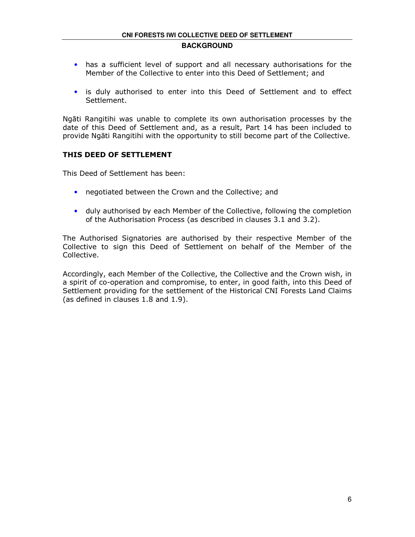- has a sufficient level of support and all necessary authorisations for the Member of the Collective to enter into this Deed of Settlement; and
- is duly authorised to enter into this Deed of Settlement and to effect Settlement.

Ngāti Rangitihi was unable to complete its own authorisation processes by the date of this Deed of Settlement and, as a result, Part 14 has been included to provide Ngāti Rangitihi with the opportunity to still become part of the Collective.

## THIS DEED OF SETTLEMENT

This Deed of Settlement has been:

- negotiated between the Crown and the Collective; and
- duly authorised by each Member of the Collective, following the completion of the Authorisation Process (as described in clauses 3.1 and 3.2).

The Authorised Signatories are authorised by their respective Member of the Collective to sign this Deed of Settlement on behalf of the Member of the Collective.

Accordingly, each Member of the Collective, the Collective and the Crown wish, in a spirit of co-operation and compromise, to enter, in good faith, into this Deed of Settlement providing for the settlement of the Historical CNI Forests Land Claims (as defined in clauses 1.8 and 1.9).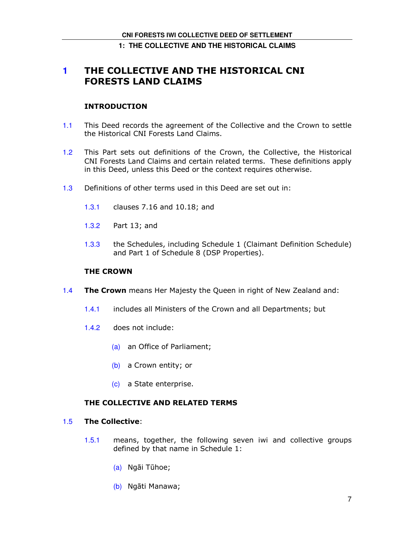## **1: THE COLLECTIVE AND THE HISTORICAL CLAIMS**

## **1** THE COLLECTIVE AND THE HISTORICAL CNI FORESTS LAND CLAIMS

## INTRODUCTION

- 1.1 This Deed records the agreement of the Collective and the Crown to settle the Historical CNI Forests Land Claims.
- 1.2 This Part sets out definitions of the Crown, the Collective, the Historical CNI Forests Land Claims and certain related terms. These definitions apply in this Deed, unless this Deed or the context requires otherwise.
- 1.3 Definitions of other terms used in this Deed are set out in:
	- 1.3.1 clauses 7.16 and 10.18; and
	- 1.3.2 Part 13; and
	- 1.3.3 the Schedules, including Schedule 1 (Claimant Definition Schedule) and Part 1 of Schedule 8 (DSP Properties).

### THE CROWN

- 1.4 The Crown means Her Majesty the Queen in right of New Zealand and:
	- 1.4.1 includes all Ministers of the Crown and all Departments; but
	- 1.4.2 does not include:
		- (a) an Office of Parliament;
		- (b) a Crown entity; or
		- (c) a State enterprise.

## THE COLLECTIVE AND RELATED TERMS

## 1.5 The Collective:

- 1.5.1 means, together, the following seven iwi and collective groups defined by that name in Schedule 1:
	- (a) Ngāi Tūhoe;
	- (b) Ngāti Manawa;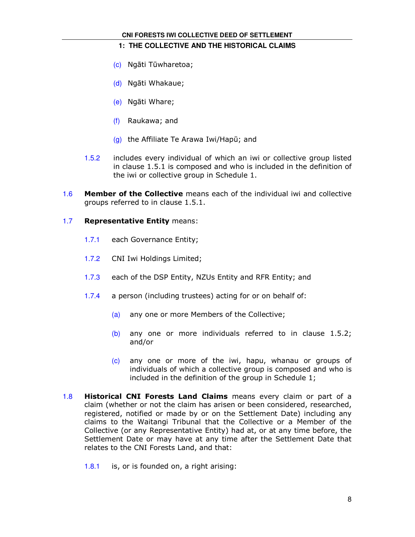## **1: THE COLLECTIVE AND THE HISTORICAL CLAIMS**

- (c) Ngāti Tūwharetoa;
- (d) Ngāti Whakaue;
- (e) Ngāti Whare;
- (f) Raukawa; and
- (g) the Affiliate Te Arawa Iwi/Hapū; and
- 1.5.2 includes every individual of which an iwi or collective group listed in clause 1.5.1 is composed and who is included in the definition of the iwi or collective group in Schedule 1.
- 1.6 Member of the Collective means each of the individual iwi and collective groups referred to in clause 1.5.1.

## 1.7 Representative Entity means:

- 1.7.1 each Governance Entity;
- 1.7.2 CNI Iwi Holdings Limited;
- 1.7.3 each of the DSP Entity, NZUs Entity and RFR Entity; and
- 1.7.4 a person (including trustees) acting for or on behalf of:
	- (a) any one or more Members of the Collective;
	- (b) any one or more individuals referred to in clause 1.5.2; and/or
	- (c) any one or more of the iwi, hapu, whanau or groups of individuals of which a collective group is composed and who is included in the definition of the group in Schedule 1;
- 1.8 **Historical CNI Forests Land Claims** means every claim or part of a claim (whether or not the claim has arisen or been considered, researched, registered, notified or made by or on the Settlement Date) including any claims to the Waitangi Tribunal that the Collective or a Member of the Collective (or any Representative Entity) had at, or at any time before, the Settlement Date or may have at any time after the Settlement Date that relates to the CNI Forests Land, and that:
	- 1.8.1 is, or is founded on, a right arising: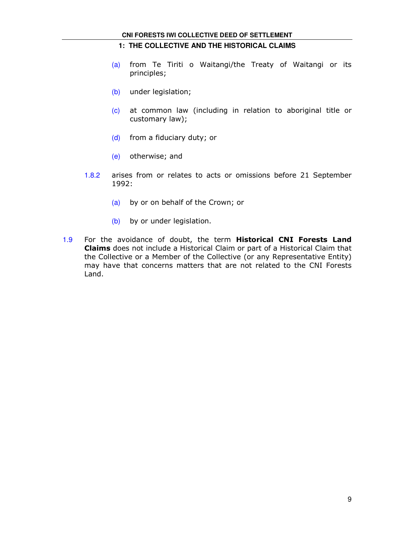#### **CNI FORESTS IWI COLLECTIVE DEED OF SETTLEMENT**

### **1: THE COLLECTIVE AND THE HISTORICAL CLAIMS**

- (a) from Te Tiriti o Waitangi/the Treaty of Waitangi or its principles;
- (b) under legislation;
- (c) at common law (including in relation to aboriginal title or customary law);
- (d) from a fiduciary duty; or
- (e) otherwise; and
- 1.8.2 arises from or relates to acts or omissions before 21 September 1992:
	- (a) by or on behalf of the Crown; or
	- (b) by or under legislation.
- 1.9 For the avoidance of doubt, the term Historical CNI Forests Land Claims does not include a Historical Claim or part of a Historical Claim that the Collective or a Member of the Collective (or any Representative Entity) may have that concerns matters that are not related to the CNI Forests Land.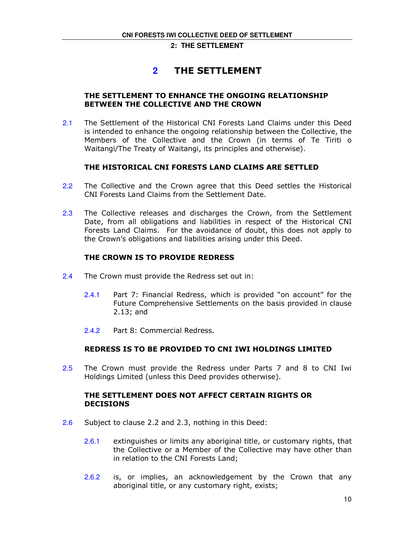## **2** THE SETTLEMENT

## THE SETTLEMENT TO ENHANCE THE ONGOING RELATIONSHIP BETWEEN THE COLLECTIVE AND THE CROWN

2.1 The Settlement of the Historical CNI Forests Land Claims under this Deed is intended to enhance the ongoing relationship between the Collective, the Members of the Collective and the Crown (in terms of Te Tiriti o Waitangi/The Treaty of Waitangi, its principles and otherwise).

## THE HISTORICAL CNI FORESTS LAND CLAIMS ARE SETTLED

- 2.2 The Collective and the Crown agree that this Deed settles the Historical CNI Forests Land Claims from the Settlement Date.
- 2.3 The Collective releases and discharges the Crown, from the Settlement Date, from all obligations and liabilities in respect of the Historical CNI Forests Land Claims. For the avoidance of doubt, this does not apply to the Crown's obligations and liabilities arising under this Deed.

## THE CROWN IS TO PROVIDE REDRESS

- 2.4 The Crown must provide the Redress set out in:
	- 2.4.1 Part 7: Financial Redress, which is provided "on account" for the Future Comprehensive Settlements on the basis provided in clause 2.13; and
	- 2.4.2 Part 8: Commercial Redress.

## REDRESS IS TO BE PROVIDED TO CNI IWI HOLDINGS LIMITED

2.5 The Crown must provide the Redress under Parts 7 and 8 to CNI Iwi Holdings Limited (unless this Deed provides otherwise).

## THE SETTLEMENT DOES NOT AFFECT CERTAIN RIGHTS OR DECISIONS

- 2.6 Subject to clause 2.2 and 2.3, nothing in this Deed:
	- 2.6.1 extinguishes or limits any aboriginal title, or customary rights, that the Collective or a Member of the Collective may have other than in relation to the CNI Forests Land;
	- 2.6.2 is, or implies, an acknowledgement by the Crown that any aboriginal title, or any customary right, exists;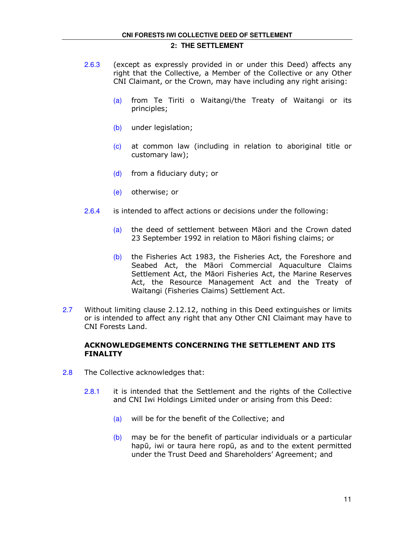- 2.6.3 (except as expressly provided in or under this Deed) affects any right that the Collective, a Member of the Collective or any Other CNI Claimant, or the Crown, may have including any right arising:
	- (a) from Te Tiriti o Waitangi/the Treaty of Waitangi or its principles;
	- (b) under legislation;
	- (c) at common law (including in relation to aboriginal title or customary law);
	- (d) from a fiduciary duty; or
	- (e) otherwise; or
- 2.6.4 is intended to affect actions or decisions under the following:
	- (a) the deed of settlement between Māori and the Crown dated 23 September 1992 in relation to Māori fishing claims; or
	- (b) the Fisheries Act 1983, the Fisheries Act, the Foreshore and Seabed Act, the Māori Commercial Aquaculture Claims Settlement Act, the Māori Fisheries Act, the Marine Reserves Act, the Resource Management Act and the Treaty of Waitangi (Fisheries Claims) Settlement Act.
- 2.7 Without limiting clause 2.12.12, nothing in this Deed extinguishes or limits or is intended to affect any right that any Other CNI Claimant may have to CNI Forests Land.

## ACKNOWLEDGEMENTS CONCERNING THE SETTLEMENT AND ITS FINALITY

- 2.8 The Collective acknowledges that:
	- 2.8.1 it is intended that the Settlement and the rights of the Collective and CNI Iwi Holdings Limited under or arising from this Deed:
		- (a) will be for the benefit of the Collective; and
		- $(b)$  may be for the benefit of particular individuals or a particular hapū, iwi or taura here ropū, as and to the extent permitted under the Trust Deed and Shareholders' Agreement; and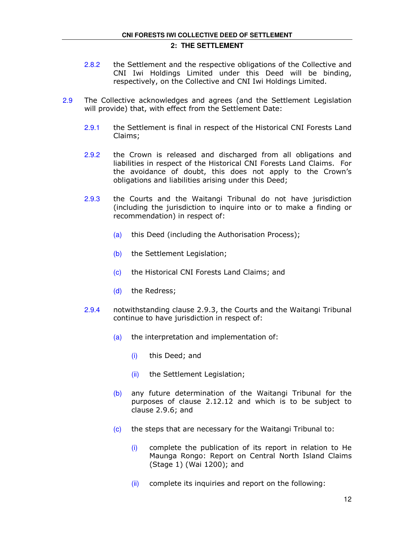- 2.8.2 the Settlement and the respective obligations of the Collective and CNI Iwi Holdings Limited under this Deed will be binding, respectively, on the Collective and CNI Iwi Holdings Limited.
- 2.9 The Collective acknowledges and agrees (and the Settlement Legislation will provide) that, with effect from the Settlement Date:
	- 2.9.1 the Settlement is final in respect of the Historical CNI Forests Land Claims;
	- 2.9.2 the Crown is released and discharged from all obligations and liabilities in respect of the Historical CNI Forests Land Claims. For the avoidance of doubt, this does not apply to the Crown's obligations and liabilities arising under this Deed;
	- 2.9.3 the Courts and the Waitangi Tribunal do not have jurisdiction (including the jurisdiction to inquire into or to make a finding or recommendation) in respect of:
		- (a) this Deed (including the Authorisation Process);
		- (b) the Settlement Legislation;
		- (c) the Historical CNI Forests Land Claims; and
		- (d) the Redress;
	- 2.9.4 notwithstanding clause 2.9.3, the Courts and the Waitangi Tribunal continue to have jurisdiction in respect of:
		- (a) the interpretation and implementation of:
			- (i) this Deed; and
			- (ii) the Settlement Legislation;
		- (b) any future determination of the Waitangi Tribunal for the purposes of clause 2.12.12 and which is to be subject to clause 2.9.6; and
		- (c) the steps that are necessary for the Waitangi Tribunal to:
			- $(i)$  complete the publication of its report in relation to He Maunga Rongo: Report on Central North Island Claims (Stage 1) (Wai 1200); and
			- $(iii)$  complete its inquiries and report on the following: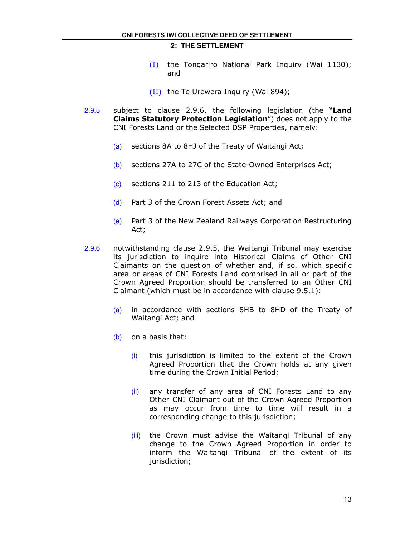- (I) the Tongariro National Park Inquiry (Wai 1130); and
- (II) the Te Urewera Inquiry (Wai 894);
- 2.9.5 subject to clause 2.9.6, the following legislation (the "Land Claims Statutory Protection Legislation") does not apply to the CNI Forests Land or the Selected DSP Properties, namely:
	- (a) sections 8A to 8HJ of the Treaty of Waitangi Act;
	- (b) sections 27A to 27C of the State-Owned Enterprises Act;
	- (c) sections 211 to 213 of the Education Act;
	- (d) Part 3 of the Crown Forest Assets Act; and
	- (e) Part 3 of the New Zealand Railways Corporation Restructuring Act;
- 2.9.6 notwithstanding clause 2.9.5, the Waitangi Tribunal may exercise its jurisdiction to inquire into Historical Claims of Other CNI Claimants on the question of whether and, if so, which specific area or areas of CNI Forests Land comprised in all or part of the Crown Agreed Proportion should be transferred to an Other CNI Claimant (which must be in accordance with clause 9.5.1):
	- (a) in accordance with sections 8HB to 8HD of the Treaty of Waitangi Act; and
	- (b) on a basis that:
		- (i) this jurisdiction is limited to the extent of the Crown Agreed Proportion that the Crown holds at any given time during the Crown Initial Period;
		- (ii) any transfer of any area of CNI Forests Land to any Other CNI Claimant out of the Crown Agreed Proportion as may occur from time to time will result in a corresponding change to this jurisdiction;
		- (iii) the Crown must advise the Waitangi Tribunal of any change to the Crown Agreed Proportion in order to inform the Waitangi Tribunal of the extent of its jurisdiction;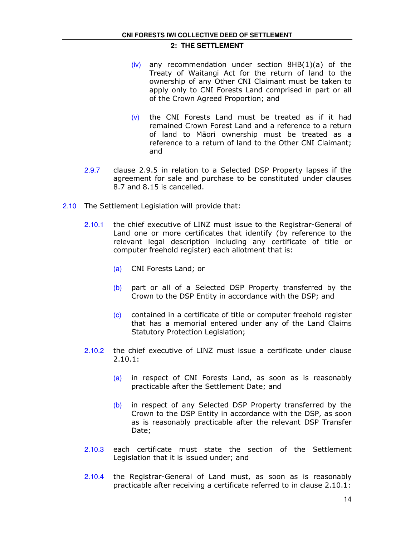- $(iv)$  any recommendation under section 8HB $(1)(a)$  of the Treaty of Waitangi Act for the return of land to the ownership of any Other CNI Claimant must be taken to apply only to CNI Forests Land comprised in part or all of the Crown Agreed Proportion; and
- $(v)$  the CNI Forests Land must be treated as if it had remained Crown Forest Land and a reference to a return of land to Māori ownership must be treated as a reference to a return of land to the Other CNI Claimant; and
- 2.9.7 clause 2.9.5 in relation to a Selected DSP Property lapses if the agreement for sale and purchase to be constituted under clauses 8.7 and 8.15 is cancelled.
- 2.10 The Settlement Legislation will provide that:
	- 2.10.1 the chief executive of LINZ must issue to the Registrar-General of Land one or more certificates that identify (by reference to the relevant legal description including any certificate of title or computer freehold register) each allotment that is:
		- (a) CNI Forests Land; or
		- (b) part or all of a Selected DSP Property transferred by the Crown to the DSP Entity in accordance with the DSP; and
		- (c) contained in a certificate of title or computer freehold register that has a memorial entered under any of the Land Claims Statutory Protection Legislation;
	- 2.10.2 the chief executive of LINZ must issue a certificate under clause 2.10.1:
		- (a) in respect of CNI Forests Land, as soon as is reasonably practicable after the Settlement Date; and
		- (b) in respect of any Selected DSP Property transferred by the Crown to the DSP Entity in accordance with the DSP, as soon as is reasonably practicable after the relevant DSP Transfer Date;
	- 2.10.3 each certificate must state the section of the Settlement Legislation that it is issued under; and
	- 2.10.4 the Registrar-General of Land must, as soon as is reasonably practicable after receiving a certificate referred to in clause 2.10.1: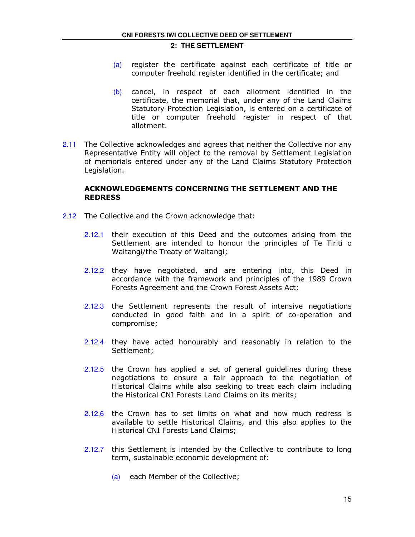- (a) register the certificate against each certificate of title or computer freehold register identified in the certificate; and
- (b) cancel, in respect of each allotment identified in the certificate, the memorial that, under any of the Land Claims Statutory Protection Legislation, is entered on a certificate of title or computer freehold register in respect of that allotment.
- 2.11 The Collective acknowledges and agrees that neither the Collective nor any Representative Entity will object to the removal by Settlement Legislation of memorials entered under any of the Land Claims Statutory Protection Legislation.

## ACKNOWLEDGEMENTS CONCERNING THE SETTLEMENT AND THE REDRESS

- 2.12 The Collective and the Crown acknowledge that:
	- 2.12.1 their execution of this Deed and the outcomes arising from the Settlement are intended to honour the principles of Te Tiriti o Waitangi/the Treaty of Waitangi;
	- 2.12.2 they have negotiated, and are entering into, this Deed in accordance with the framework and principles of the 1989 Crown Forests Agreement and the Crown Forest Assets Act;
	- 2.12.3 the Settlement represents the result of intensive negotiations conducted in good faith and in a spirit of co-operation and compromise;
	- 2.12.4 they have acted honourably and reasonably in relation to the Settlement;
	- 2.12.5 the Crown has applied a set of general guidelines during these negotiations to ensure a fair approach to the negotiation of Historical Claims while also seeking to treat each claim including the Historical CNI Forests Land Claims on its merits;
	- 2.12.6 the Crown has to set limits on what and how much redress is available to settle Historical Claims, and this also applies to the Historical CNI Forests Land Claims;
	- 2.12.7 this Settlement is intended by the Collective to contribute to long term, sustainable economic development of:
		- (a) each Member of the Collective;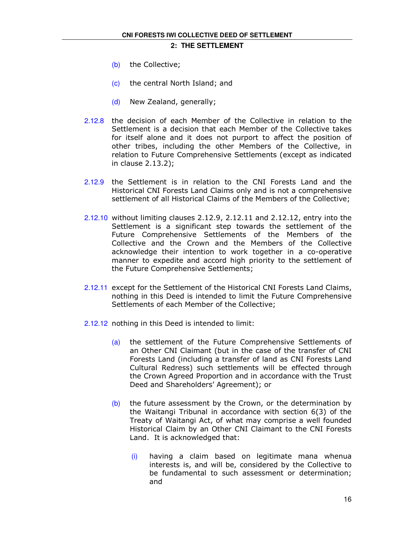- (b) the Collective;
- (c) the central North Island; and
- (d) New Zealand, generally;
- 2.12.8 the decision of each Member of the Collective in relation to the Settlement is a decision that each Member of the Collective takes for itself alone and it does not purport to affect the position of other tribes, including the other Members of the Collective, in relation to Future Comprehensive Settlements (except as indicated in clause 2.13.2);
- 2.12.9 the Settlement is in relation to the CNI Forests Land and the Historical CNI Forests Land Claims only and is not a comprehensive settlement of all Historical Claims of the Members of the Collective;
- 2.12.10 without limiting clauses 2.12.9, 2.12.11 and 2.12.12, entry into the Settlement is a significant step towards the settlement of the Future Comprehensive Settlements of the Members of the Collective and the Crown and the Members of the Collective acknowledge their intention to work together in a co-operative manner to expedite and accord high priority to the settlement of the Future Comprehensive Settlements;
- 2.12.11 except for the Settlement of the Historical CNI Forests Land Claims, nothing in this Deed is intended to limit the Future Comprehensive Settlements of each Member of the Collective;
- 2.12.12 nothing in this Deed is intended to limit:
	- (a) the settlement of the Future Comprehensive Settlements of an Other CNI Claimant (but in the case of the transfer of CNI Forests Land (including a transfer of land as CNI Forests Land Cultural Redress) such settlements will be effected through the Crown Agreed Proportion and in accordance with the Trust Deed and Shareholders' Agreement); or
	- $(b)$  the future assessment by the Crown, or the determination by the Waitangi Tribunal in accordance with section 6(3) of the Treaty of Waitangi Act, of what may comprise a well founded Historical Claim by an Other CNI Claimant to the CNI Forests Land. It is acknowledged that:
		- (i) having a claim based on legitimate mana whenua interests is, and will be, considered by the Collective to be fundamental to such assessment or determination; and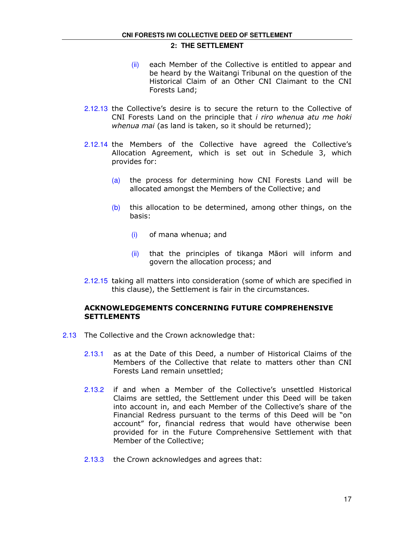- (ii) each Member of the Collective is entitled to appear and be heard by the Waitangi Tribunal on the question of the Historical Claim of an Other CNI Claimant to the CNI Forests Land;
- 2.12.13 the Collective's desire is to secure the return to the Collective of CNI Forests Land on the principle that i riro whenua atu me hoki whenua mai (as land is taken, so it should be returned);
- 2.12.14 the Members of the Collective have agreed the Collective's Allocation Agreement, which is set out in Schedule 3, which provides for:
	- (a) the process for determining how CNI Forests Land will be allocated amongst the Members of the Collective; and
	- $(b)$  this allocation to be determined, among other things, on the basis:
		- (i) of mana whenua; and
		- (ii) that the principles of tikanga Māori will inform and govern the allocation process; and
- 2.12.15 taking all matters into consideration (some of which are specified in this clause), the Settlement is fair in the circumstances.

### ACKNOWLEDGEMENTS CONCERNING FUTURE COMPREHENSIVE **SETTLEMENTS**

- 2.13 The Collective and the Crown acknowledge that:
	- 2.13.1 as at the Date of this Deed, a number of Historical Claims of the Members of the Collective that relate to matters other than CNI Forests Land remain unsettled;
	- 2.13.2 if and when a Member of the Collective's unsettled Historical Claims are settled, the Settlement under this Deed will be taken into account in, and each Member of the Collective's share of the Financial Redress pursuant to the terms of this Deed will be "on account" for, financial redress that would have otherwise been provided for in the Future Comprehensive Settlement with that Member of the Collective;
	- 2.13.3 the Crown acknowledges and agrees that: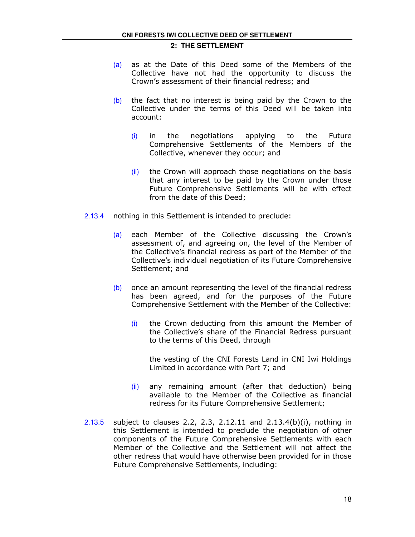- (a) as at the Date of this Deed some of the Members of the Collective have not had the opportunity to discuss the Crown's assessment of their financial redress; and
- $(b)$  the fact that no interest is being paid by the Crown to the Collective under the terms of this Deed will be taken into account:
	- $(i)$  in the negotiations applying to the Future Comprehensive Settlements of the Members of the Collective, whenever they occur; and
	- $(iii)$  the Crown will approach those negotiations on the basis that any interest to be paid by the Crown under those Future Comprehensive Settlements will be with effect from the date of this Deed;
- 2.13.4 nothing in this Settlement is intended to preclude:
	- (a) each Member of the Collective discussing the Crown's assessment of, and agreeing on, the level of the Member of the Collective's financial redress as part of the Member of the Collective's individual negotiation of its Future Comprehensive Settlement; and
	- $(b)$  once an amount representing the level of the financial redress has been agreed, and for the purposes of the Future Comprehensive Settlement with the Member of the Collective:
		- $(i)$  the Crown deducting from this amount the Member of the Collective's share of the Financial Redress pursuant to the terms of this Deed, through

the vesting of the CNI Forests Land in CNI Iwi Holdings Limited in accordance with Part 7; and

- (ii) any remaining amount (after that deduction) being available to the Member of the Collective as financial redress for its Future Comprehensive Settlement;
- 2.13.5 subject to clauses 2.2, 2.3, 2.12.11 and 2.13.4(b)(i), nothing in this Settlement is intended to preclude the negotiation of other components of the Future Comprehensive Settlements with each Member of the Collective and the Settlement will not affect the other redress that would have otherwise been provided for in those Future Comprehensive Settlements, including: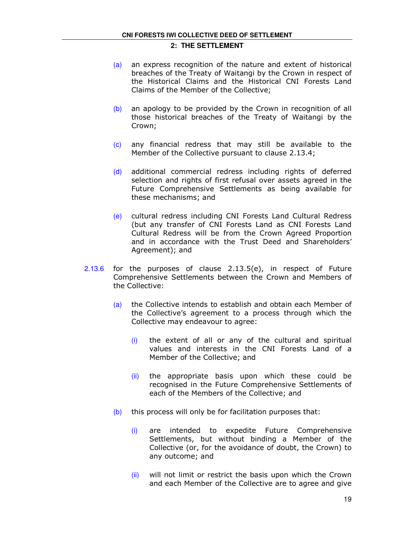- (a) an express recognition of the nature and extent of historical breaches of the Treaty of Waitangi by the Crown in respect of the Historical Claims and the Historical CNI Forests Land Claims of the Member of the Collective;
- (b) an apology to be provided by the Crown in recognition of all those historical breaches of the Treaty of Waitangi by the Crown;
- (c) any financial redress that may still be available to the Member of the Collective pursuant to clause 2.13.4;
- (d) additional commercial redress including rights of deferred selection and rights of first refusal over assets agreed in the Future Comprehensive Settlements as being available for these mechanisms; and
- (e) cultural redress including CNI Forests Land Cultural Redress (but any transfer of CNI Forests Land as CNI Forests Land Cultural Redress will be from the Crown Agreed Proportion and in accordance with the Trust Deed and Shareholders' Agreement); and
- 2.13.6 for the purposes of clause 2.13.5(e), in respect of Future Comprehensive Settlements between the Crown and Members of the Collective:
	- (a) the Collective intends to establish and obtain each Member of the Collective's agreement to a process through which the Collective may endeavour to agree:
		- $(i)$  the extent of all or any of the cultural and spiritual values and interests in the CNI Forests Land of a Member of the Collective; and
		- (ii) the appropriate basis upon which these could be recognised in the Future Comprehensive Settlements of each of the Members of the Collective; and
	- $(b)$  this process will only be for facilitation purposes that:
		- (i) are intended to expedite Future Comprehensive Settlements, but without binding a Member of the Collective (or, for the avoidance of doubt, the Crown) to any outcome; and
		- $(iii)$  will not limit or restrict the basis upon which the Crown and each Member of the Collective are to agree and give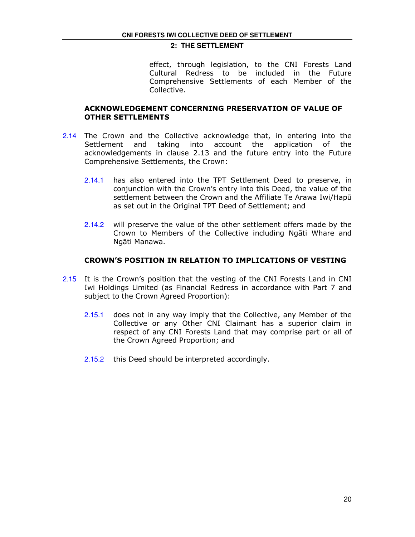effect, through legislation, to the CNI Forests Land Cultural Redress to be included in the Future Comprehensive Settlements of each Member of the Collective.

## ACKNOWLEDGEMENT CONCERNING PRESERVATION OF VALUE OF OTHER SETTLEMENTS

- 2.14 The Crown and the Collective acknowledge that, in entering into the Settlement and taking into account the application of the acknowledgements in clause 2.13 and the future entry into the Future Comprehensive Settlements, the Crown:
	- 2.14.1 has also entered into the TPT Settlement Deed to preserve, in conjunction with the Crown's entry into this Deed, the value of the settlement between the Crown and the Affiliate Te Arawa Iwi/Hapū as set out in the Original TPT Deed of Settlement; and
	- 2.14.2 will preserve the value of the other settlement offers made by the Crown to Members of the Collective including Ngāti Whare and Ngāti Manawa.

#### CROWN'S POSITION IN RELATION TO IMPLICATIONS OF VESTING

- 2.15 It is the Crown's position that the vesting of the CNI Forests Land in CNI Iwi Holdings Limited (as Financial Redress in accordance with Part 7 and subject to the Crown Agreed Proportion):
	- 2.15.1 does not in any way imply that the Collective, any Member of the Collective or any Other CNI Claimant has a superior claim in respect of any CNI Forests Land that may comprise part or all of the Crown Agreed Proportion; and
	- 2.15.2 this Deed should be interpreted accordingly.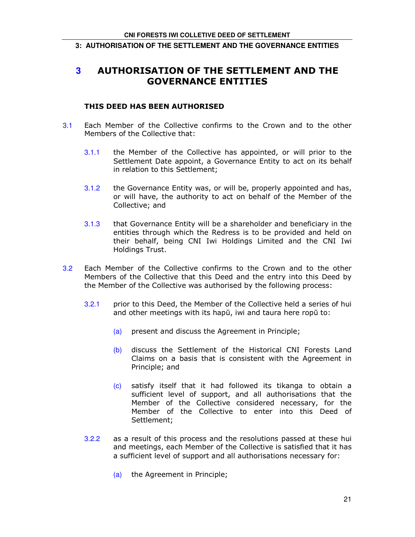#### **3: AUTHORISATION OF THE SETTLEMENT AND THE GOVERNANCE ENTITIES**

## **3** AUTHORISATION OF THE SETTLEMENT AND THE GOVERNANCE ENTITIES

## THIS DEED HAS BEEN AUTHORISED

- 3.1 Each Member of the Collective confirms to the Crown and to the other Members of the Collective that:
	- 3.1.1 the Member of the Collective has appointed, or will prior to the Settlement Date appoint, a Governance Entity to act on its behalf in relation to this Settlement;
	- 3.1.2 the Governance Entity was, or will be, properly appointed and has, or will have, the authority to act on behalf of the Member of the Collective; and
	- 3.1.3 that Governance Entity will be a shareholder and beneficiary in the entities through which the Redress is to be provided and held on their behalf, being CNI Iwi Holdings Limited and the CNI Iwi Holdings Trust.
- 3.2 Each Member of the Collective confirms to the Crown and to the other Members of the Collective that this Deed and the entry into this Deed by the Member of the Collective was authorised by the following process:
	- 3.2.1 prior to this Deed, the Member of the Collective held a series of hui and other meetings with its hapū, iwi and taura here ropū to:
		- (a) present and discuss the Agreement in Principle;
		- (b) discuss the Settlement of the Historical CNI Forests Land Claims on a basis that is consistent with the Agreement in Principle; and
		- (c) satisfy itself that it had followed its tikanga to obtain a sufficient level of support, and all authorisations that the Member of the Collective considered necessary, for the Member of the Collective to enter into this Deed of Settlement;
	- 3.2.2 as a result of this process and the resolutions passed at these hui and meetings, each Member of the Collective is satisfied that it has a sufficient level of support and all authorisations necessary for:
		- (a) the Agreement in Principle;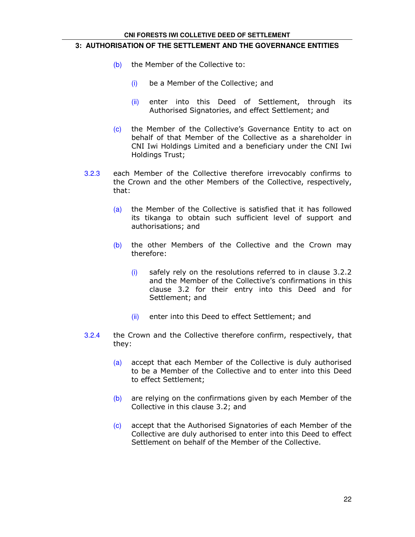#### **CNI FORESTS IWI COLLETIVE DEED OF SETTLEMENT**

#### **3: AUTHORISATION OF THE SETTLEMENT AND THE GOVERNANCE ENTITIES**

- (b) the Member of the Collective to:
	- (i) be a Member of the Collective; and
	- (ii) enter into this Deed of Settlement, through its Authorised Signatories, and effect Settlement; and
- (c) the Member of the Collective's Governance Entity to act on behalf of that Member of the Collective as a shareholder in CNI Iwi Holdings Limited and a beneficiary under the CNI Iwi Holdings Trust;
- 3.2.3 each Member of the Collective therefore irrevocably confirms to the Crown and the other Members of the Collective, respectively, that:
	- (a) the Member of the Collective is satisfied that it has followed its tikanga to obtain such sufficient level of support and authorisations; and
	- $(b)$  the other Members of the Collective and the Crown may therefore:
		- (i) safely rely on the resolutions referred to in clause 3.2.2 and the Member of the Collective's confirmations in this clause 3.2 for their entry into this Deed and for Settlement; and
		- (ii) enter into this Deed to effect Settlement; and
- 3.2.4 the Crown and the Collective therefore confirm, respectively, that they:
	- (a) accept that each Member of the Collective is duly authorised to be a Member of the Collective and to enter into this Deed to effect Settlement;
	- $(b)$  are relying on the confirmations given by each Member of the Collective in this clause 3.2; and
	- (c) accept that the Authorised Signatories of each Member of the Collective are duly authorised to enter into this Deed to effect Settlement on behalf of the Member of the Collective.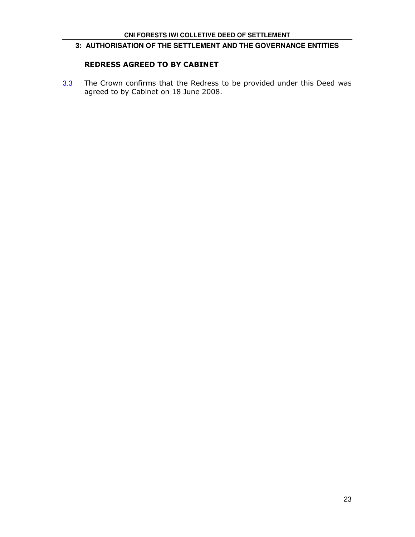## **3: AUTHORISATION OF THE SETTLEMENT AND THE GOVERNANCE ENTITIES**

## REDRESS AGREED TO BY CABINET

3.3 The Crown confirms that the Redress to be provided under this Deed was agreed to by Cabinet on 18 June 2008.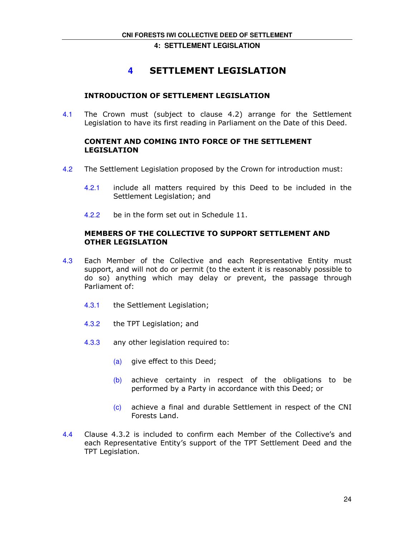**4: SETTLEMENT LEGISLATION** 

## **4** SETTLEMENT LEGISLATION

## INTRODUCTION OF SETTLEMENT LEGISLATION

4.1 The Crown must (subject to clause 4.2) arrange for the Settlement Legislation to have its first reading in Parliament on the Date of this Deed.

## CONTENT AND COMING INTO FORCE OF THE SETTLEMENT LEGISLATION

- 4.2 The Settlement Legislation proposed by the Crown for introduction must:
	- 4.2.1 include all matters required by this Deed to be included in the Settlement Legislation; and
	- 4.2.2 be in the form set out in Schedule 11.

## MEMBERS OF THE COLLECTIVE TO SUPPORT SETTLEMENT AND OTHER LEGISLATION

- 4.3 Each Member of the Collective and each Representative Entity must support, and will not do or permit (to the extent it is reasonably possible to do so) anything which may delay or prevent, the passage through Parliament of:
	- 4.3.1 the Settlement Legislation;
	- 4.3.2 the TPT Legislation; and
	- 4.3.3 any other legislation required to:
		- (a) give effect to this Deed;
		- (b) achieve certainty in respect of the obligations to be performed by a Party in accordance with this Deed; or
		- (c) achieve a final and durable Settlement in respect of the CNI Forests Land.
- 4.4 Clause 4.3.2 is included to confirm each Member of the Collective's and each Representative Entity's support of the TPT Settlement Deed and the TPT Legislation.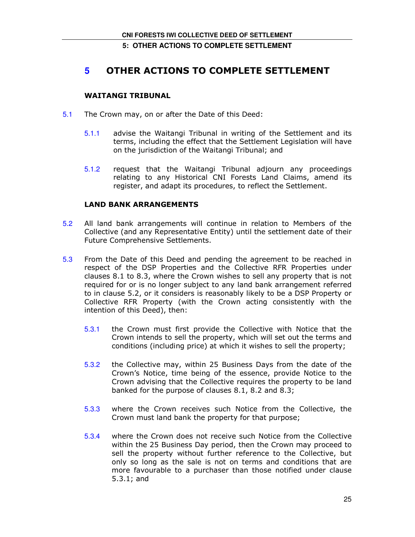## **5: OTHER ACTIONS TO COMPLETE SETTLEMENT**

## **5** OTHER ACTIONS TO COMPLETE SETTLEMENT

## WAITANGI TRIBUNAL

- 5.1 The Crown may, on or after the Date of this Deed:
	- 5.1.1 advise the Waitangi Tribunal in writing of the Settlement and its terms, including the effect that the Settlement Legislation will have on the jurisdiction of the Waitangi Tribunal; and
	- 5.1.2 request that the Waitangi Tribunal adjourn any proceedings relating to any Historical CNI Forests Land Claims, amend its register, and adapt its procedures, to reflect the Settlement.

## LAND BANK ARRANGEMENTS

- 5.2 All land bank arrangements will continue in relation to Members of the Collective (and any Representative Entity) until the settlement date of their Future Comprehensive Settlements.
- 5.3 From the Date of this Deed and pending the agreement to be reached in respect of the DSP Properties and the Collective RFR Properties under clauses 8.1 to 8.3, where the Crown wishes to sell any property that is not required for or is no longer subject to any land bank arrangement referred to in clause 5.2, or it considers is reasonably likely to be a DSP Property or Collective RFR Property (with the Crown acting consistently with the intention of this Deed), then:
	- 5.3.1 the Crown must first provide the Collective with Notice that the Crown intends to sell the property, which will set out the terms and conditions (including price) at which it wishes to sell the property;
	- 5.3.2 the Collective may, within 25 Business Days from the date of the Crown's Notice, time being of the essence, provide Notice to the Crown advising that the Collective requires the property to be land banked for the purpose of clauses 8.1, 8.2 and 8.3;
	- 5.3.3 where the Crown receives such Notice from the Collective, the Crown must land bank the property for that purpose;
	- 5.3.4 where the Crown does not receive such Notice from the Collective within the 25 Business Day period, then the Crown may proceed to sell the property without further reference to the Collective, but only so long as the sale is not on terms and conditions that are more favourable to a purchaser than those notified under clause 5.3.1; and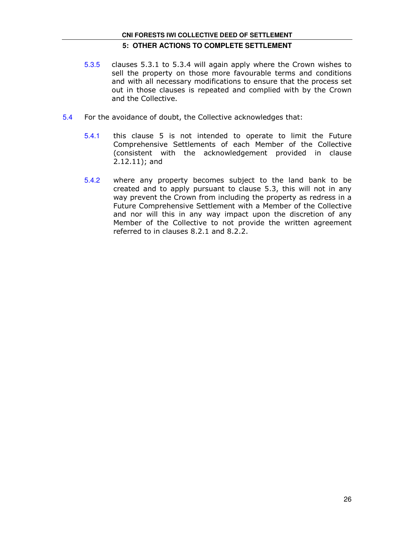- 5.3.5 clauses 5.3.1 to 5.3.4 will again apply where the Crown wishes to sell the property on those more favourable terms and conditions and with all necessary modifications to ensure that the process set out in those clauses is repeated and complied with by the Crown and the Collective.
- 5.4 For the avoidance of doubt, the Collective acknowledges that:
	- 5.4.1 this clause 5 is not intended to operate to limit the Future Comprehensive Settlements of each Member of the Collective (consistent with the acknowledgement provided in clause 2.12.11); and
	- 5.4.2 where any property becomes subject to the land bank to be created and to apply pursuant to clause 5.3, this will not in any way prevent the Crown from including the property as redress in a Future Comprehensive Settlement with a Member of the Collective and nor will this in any way impact upon the discretion of any Member of the Collective to not provide the written agreement referred to in clauses 8.2.1 and 8.2.2.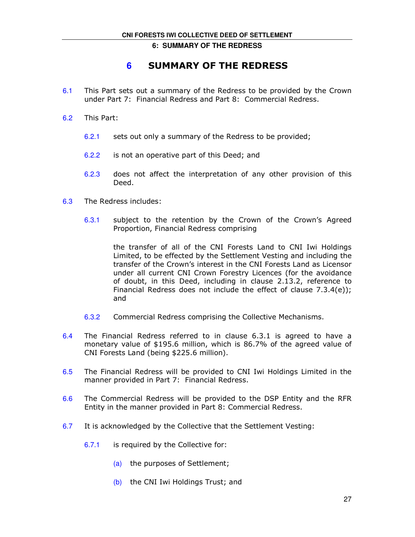#### **6: SUMMARY OF THE REDRESS**

## **6** SUMMARY OF THE REDRESS

- 6.1 This Part sets out a summary of the Redress to be provided by the Crown under Part 7: Financial Redress and Part 8: Commercial Redress.
- 6.2 This Part:
	- 6.2.1 sets out only a summary of the Redress to be provided;
	- 6.2.2 is not an operative part of this Deed; and
	- 6.2.3 does not affect the interpretation of any other provision of this Deed.
- 6.3 The Redress includes:
	- 6.3.1 subject to the retention by the Crown of the Crown's Agreed Proportion, Financial Redress comprising

the transfer of all of the CNI Forests Land to CNI Iwi Holdings Limited, to be effected by the Settlement Vesting and including the transfer of the Crown's interest in the CNI Forests Land as Licensor under all current CNI Crown Forestry Licences (for the avoidance of doubt, in this Deed, including in clause 2.13.2, reference to Financial Redress does not include the effect of clause 7.3.4(e)); and

- 6.3.2 Commercial Redress comprising the Collective Mechanisms.
- 6.4 The Financial Redress referred to in clause 6.3.1 is agreed to have a monetary value of \$195.6 million, which is 86.7% of the agreed value of CNI Forests Land (being \$225.6 million).
- 6.5 The Financial Redress will be provided to CNI Iwi Holdings Limited in the manner provided in Part 7: Financial Redress.
- 6.6 The Commercial Redress will be provided to the DSP Entity and the RFR Entity in the manner provided in Part 8: Commercial Redress.
- 6.7 It is acknowledged by the Collective that the Settlement Vesting:
	- 6.7.1 is required by the Collective for:
		- (a) the purposes of Settlement;
		- (b) the CNI Iwi Holdings Trust; and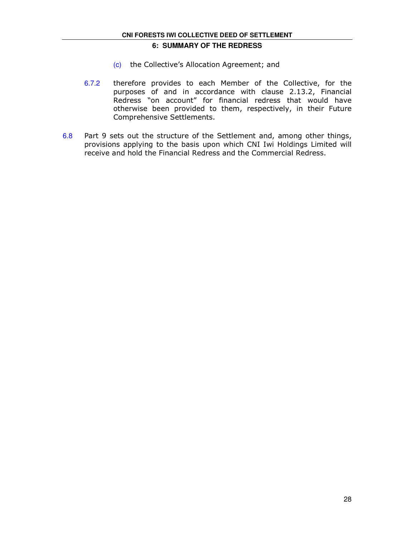## **6: SUMMARY OF THE REDRESS**

- (c) the Collective's Allocation Agreement; and
- 6.7.2 therefore provides to each Member of the Collective, for the purposes of and in accordance with clause 2.13.2, Financial Redress "on account" for financial redress that would have otherwise been provided to them, respectively, in their Future Comprehensive Settlements.
- 6.8 Part 9 sets out the structure of the Settlement and, among other things, provisions applying to the basis upon which CNI Iwi Holdings Limited will receive and hold the Financial Redress and the Commercial Redress.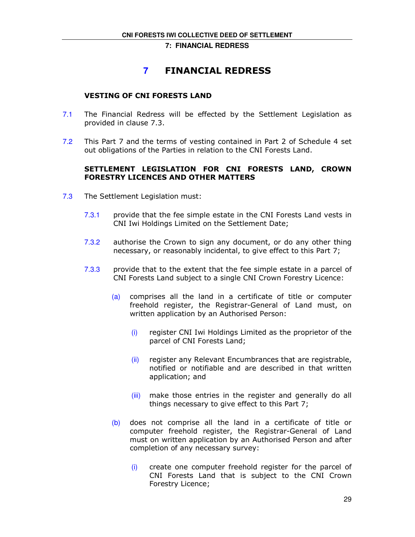## **7** FINANCIAL REDRESS

## VESTING OF CNI FORESTS LAND

- 7.1 The Financial Redress will be effected by the Settlement Legislation as provided in clause 7.3.
- 7.2 This Part 7 and the terms of vesting contained in Part 2 of Schedule 4 set out obligations of the Parties in relation to the CNI Forests Land.

## SETTLEMENT LEGISLATION FOR CNI FORESTS LAND, CROWN FORESTRY LICENCES AND OTHER MATTERS

- 7.3 The Settlement Legislation must:
	- 7.3.1 provide that the fee simple estate in the CNI Forests Land vests in CNI Iwi Holdings Limited on the Settlement Date;
	- 7.3.2 authorise the Crown to sign any document, or do any other thing necessary, or reasonably incidental, to give effect to this Part 7;
	- 7.3.3 provide that to the extent that the fee simple estate in a parcel of CNI Forests Land subject to a single CNI Crown Forestry Licence:
		- (a) comprises all the land in a certificate of title or computer freehold register, the Registrar-General of Land must, on written application by an Authorised Person:
			- (i) register CNI Iwi Holdings Limited as the proprietor of the parcel of CNI Forests Land;
			- (ii) register any Relevant Encumbrances that are registrable, notified or notifiable and are described in that written application; and
			- (iii) make those entries in the register and generally do all things necessary to give effect to this Part 7;
		- (b) does not comprise all the land in a certificate of title or computer freehold register, the Registrar-General of Land must on written application by an Authorised Person and after completion of any necessary survey:
			- (i) create one computer freehold register for the parcel of CNI Forests Land that is subject to the CNI Crown Forestry Licence;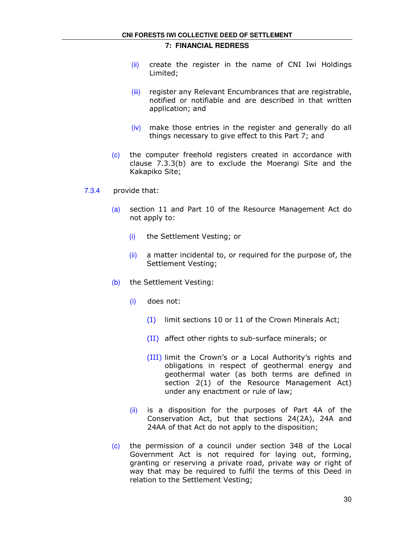- $(i)$  create the register in the name of CNI Iwi Holdings Limited;
- (iii) register any Relevant Encumbrances that are registrable, notified or notifiable and are described in that written application; and
- $(iv)$  make those entries in the register and generally do all things necessary to give effect to this Part 7; and
- (c) the computer freehold registers created in accordance with clause 7.3.3(b) are to exclude the Moerangi Site and the Kakapiko Site;
- 7.3.4 provide that:
	- (a) section 11 and Part 10 of the Resource Management Act do not apply to:
		- (i) the Settlement Vesting; or
		- $(ii)$  a matter incidental to, or required for the purpose of, the Settlement Vesting;
	- (b) the Settlement Vesting:
		- (i) does not:
			- (I) limit sections 10 or 11 of the Crown Minerals Act;
			- (II) affect other rights to sub-surface minerals; or
			- (III) limit the Crown's or a Local Authority's rights and obligations in respect of geothermal energy and geothermal water (as both terms are defined in section 2(1) of the Resource Management Act) under any enactment or rule of law;
		- $(i)$  is a disposition for the purposes of Part 4A of the Conservation Act, but that sections 24(2A), 24A and 24AA of that Act do not apply to the disposition;
	- (c) the permission of a council under section 348 of the Local Government Act is not required for laying out, forming, granting or reserving a private road, private way or right of way that may be required to fulfil the terms of this Deed in relation to the Settlement Vesting;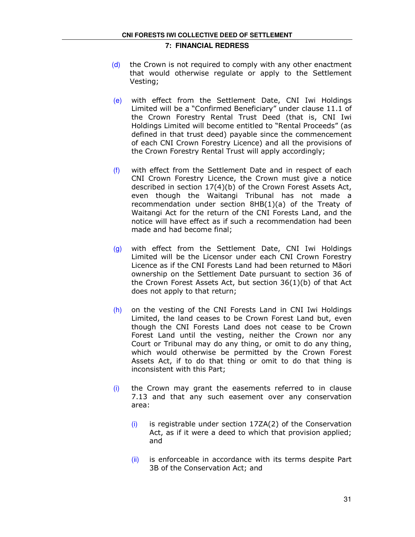- (d) the Crown is not required to comply with any other enactment that would otherwise regulate or apply to the Settlement Vesting;
- (e) with effect from the Settlement Date, CNI Iwi Holdings Limited will be a "Confirmed Beneficiary" under clause 11.1 of the Crown Forestry Rental Trust Deed (that is, CNI Iwi Holdings Limited will become entitled to "Rental Proceeds" (as defined in that trust deed) payable since the commencement of each CNI Crown Forestry Licence) and all the provisions of the Crown Forestry Rental Trust will apply accordingly;
- $(f)$  with effect from the Settlement Date and in respect of each CNI Crown Forestry Licence, the Crown must give a notice described in section 17(4)(b) of the Crown Forest Assets Act, even though the Waitangi Tribunal has not made a recommendation under section 8HB(1)(a) of the Treaty of Waitangi Act for the return of the CNI Forests Land, and the notice will have effect as if such a recommendation had been made and had become final;
- (g) with effect from the Settlement Date, CNI Iwi Holdings Limited will be the Licensor under each CNI Crown Forestry Licence as if the CNI Forests Land had been returned to Māori ownership on the Settlement Date pursuant to section 36 of the Crown Forest Assets Act, but section 36(1)(b) of that Act does not apply to that return;
- (h) on the vesting of the CNI Forests Land in CNI Iwi Holdings Limited, the land ceases to be Crown Forest Land but, even though the CNI Forests Land does not cease to be Crown Forest Land until the vesting, neither the Crown nor any Court or Tribunal may do any thing, or omit to do any thing, which would otherwise be permitted by the Crown Forest Assets Act, if to do that thing or omit to do that thing is inconsistent with this Part;
- $(i)$  the Crown may grant the easements referred to in clause 7.13 and that any such easement over any conservation area:
	- $(i)$  is registrable under section 17ZA(2) of the Conservation Act, as if it were a deed to which that provision applied; and
	- $(iii)$  is enforceable in accordance with its terms despite Part 3B of the Conservation Act; and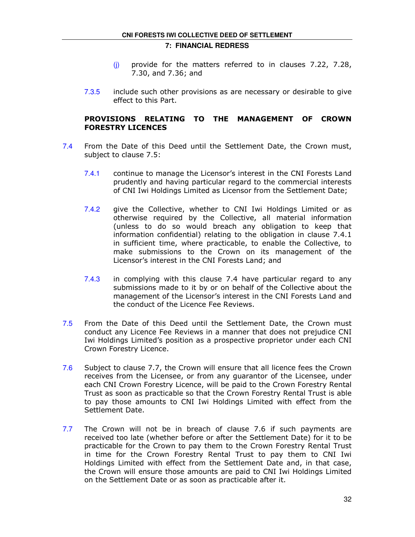- $(i)$  provide for the matters referred to in clauses 7.22, 7.28, 7.30, and 7.36; and
- 7.3.5 include such other provisions as are necessary or desirable to give effect to this Part.

## PROVISIONS RELATING TO THE MANAGEMENT OF CROWN FORESTRY LICENCES

- 7.4 From the Date of this Deed until the Settlement Date, the Crown must, subject to clause 7.5:
	- 7.4.1 continue to manage the Licensor's interest in the CNI Forests Land prudently and having particular regard to the commercial interests of CNI Iwi Holdings Limited as Licensor from the Settlement Date;
	- 7.4.2 give the Collective, whether to CNI Iwi Holdings Limited or as otherwise required by the Collective, all material information (unless to do so would breach any obligation to keep that information confidential) relating to the obligation in clause 7.4.1 in sufficient time, where practicable, to enable the Collective, to make submissions to the Crown on its management of the Licensor's interest in the CNI Forests Land; and
	- 7.4.3 in complying with this clause 7.4 have particular regard to any submissions made to it by or on behalf of the Collective about the management of the Licensor's interest in the CNI Forests Land and the conduct of the Licence Fee Reviews.
- 7.5 From the Date of this Deed until the Settlement Date, the Crown must conduct any Licence Fee Reviews in a manner that does not prejudice CNI Iwi Holdings Limited's position as a prospective proprietor under each CNI Crown Forestry Licence.
- 7.6 Subject to clause 7.7, the Crown will ensure that all licence fees the Crown receives from the Licensee, or from any guarantor of the Licensee, under each CNI Crown Forestry Licence, will be paid to the Crown Forestry Rental Trust as soon as practicable so that the Crown Forestry Rental Trust is able to pay those amounts to CNI Iwi Holdings Limited with effect from the Settlement Date.
- 7.7 The Crown will not be in breach of clause 7.6 if such payments are received too late (whether before or after the Settlement Date) for it to be practicable for the Crown to pay them to the Crown Forestry Rental Trust in time for the Crown Forestry Rental Trust to pay them to CNI Iwi Holdings Limited with effect from the Settlement Date and, in that case, the Crown will ensure those amounts are paid to CNI Iwi Holdings Limited on the Settlement Date or as soon as practicable after it.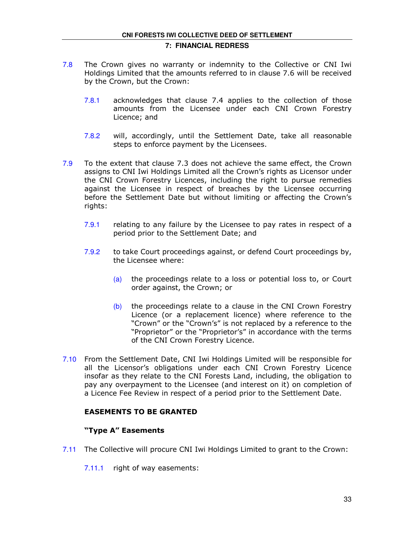- 7.8 The Crown gives no warranty or indemnity to the Collective or CNI Iwi Holdings Limited that the amounts referred to in clause 7.6 will be received by the Crown, but the Crown:
	- 7.8.1 acknowledges that clause 7.4 applies to the collection of those amounts from the Licensee under each CNI Crown Forestry Licence; and
	- 7.8.2 will, accordingly, until the Settlement Date, take all reasonable steps to enforce payment by the Licensees.
- 7.9 To the extent that clause 7.3 does not achieve the same effect, the Crown assigns to CNI Iwi Holdings Limited all the Crown's rights as Licensor under the CNI Crown Forestry Licences, including the right to pursue remedies against the Licensee in respect of breaches by the Licensee occurring before the Settlement Date but without limiting or affecting the Crown's rights:
	- 7.9.1 relating to any failure by the Licensee to pay rates in respect of a period prior to the Settlement Date; and
	- 7.9.2 to take Court proceedings against, or defend Court proceedings by, the Licensee where:
		- (a) the proceedings relate to a loss or potential loss to, or Court order against, the Crown; or
		- (b) the proceedings relate to a clause in the CNI Crown Forestry Licence (or a replacement licence) where reference to the "Crown" or the "Crown's" is not replaced by a reference to the "Proprietor" or the "Proprietor's" in accordance with the terms of the CNI Crown Forestry Licence.
- 7.10 From the Settlement Date, CNI Iwi Holdings Limited will be responsible for all the Licensor's obligations under each CNI Crown Forestry Licence insofar as they relate to the CNI Forests Land, including, the obligation to pay any overpayment to the Licensee (and interest on it) on completion of a Licence Fee Review in respect of a period prior to the Settlement Date.

## EASEMENTS TO BE GRANTED

## "Type A" Easements

- 7.11 The Collective will procure CNI Iwi Holdings Limited to grant to the Crown:
	- 7.11.1 right of way easements: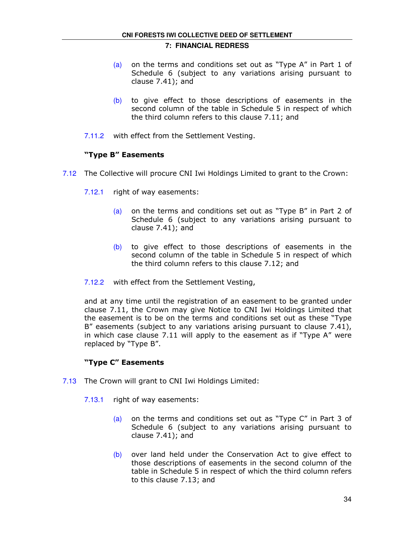- (a) on the terms and conditions set out as "Type A" in Part 1 of Schedule 6 (subject to any variations arising pursuant to clause 7.41); and
- (b) to give effect to those descriptions of easements in the second column of the table in Schedule 5 in respect of which the third column refers to this clause 7.11; and
- 7.11.2 with effect from the Settlement Vesting.

## "Type B" Easements

- 7.12 The Collective will procure CNI Iwi Holdings Limited to grant to the Crown:
	- 7.12.1 right of way easements:
		- (a) on the terms and conditions set out as "Type B" in Part 2 of Schedule 6 (subject to any variations arising pursuant to clause 7.41); and
		- (b) to give effect to those descriptions of easements in the second column of the table in Schedule 5 in respect of which the third column refers to this clause 7.12; and
	- 7.12.2 with effect from the Settlement Vesting,

and at any time until the registration of an easement to be granted under clause 7.11, the Crown may give Notice to CNI Iwi Holdings Limited that the easement is to be on the terms and conditions set out as these "Type B" easements (subject to any variations arising pursuant to clause 7.41), in which case clause 7.11 will apply to the easement as if "Type A" were replaced by "Type B".

## "Type C" Easements

- 7.13 The Crown will grant to CNI Iwi Holdings Limited:
	- 7.13.1 right of way easements:
		- (a) on the terms and conditions set out as "Type C" in Part 3 of Schedule 6 (subject to any variations arising pursuant to clause 7.41); and
		- (b) over land held under the Conservation Act to give effect to those descriptions of easements in the second column of the table in Schedule 5 in respect of which the third column refers to this clause 7.13; and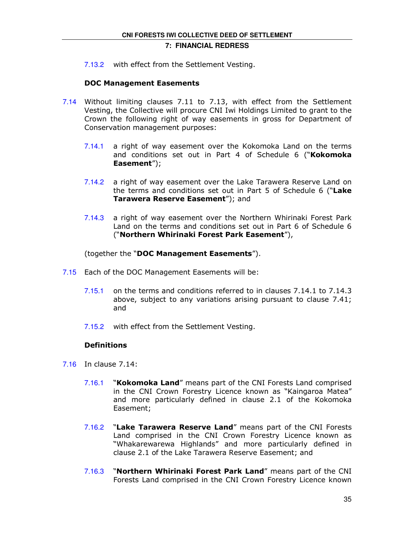7.13.2 with effect from the Settlement Vesting.

## DOC Management Easements

- 7.14 Without limiting clauses 7.11 to 7.13, with effect from the Settlement Vesting, the Collective will procure CNI Iwi Holdings Limited to grant to the Crown the following right of way easements in gross for Department of Conservation management purposes:
	- 7.14.1 a right of way easement over the Kokomoka Land on the terms and conditions set out in Part 4 of Schedule 6 ("Kokomoka Easement");
	- 7.14.2 a right of way easement over the Lake Tarawera Reserve Land on the terms and conditions set out in Part 5 of Schedule 6 ("Lake Tarawera Reserve Easement"); and
	- 7.14.3 a right of way easement over the Northern Whirinaki Forest Park Land on the terms and conditions set out in Part 6 of Schedule 6 ("Northern Whirinaki Forest Park Easement"),

(together the "DOC Management Easements").

- 7.15 Each of the DOC Management Easements will be:
	- 7.15.1 on the terms and conditions referred to in clauses 7.14.1 to 7.14.3 above, subject to any variations arising pursuant to clause 7.41; and
	- 7.15.2 with effect from the Settlement Vesting.

## **Definitions**

- 7.16 In clause 7.14:
	- 7.16.1 "Kokomoka Land" means part of the CNI Forests Land comprised in the CNI Crown Forestry Licence known as "Kaingaroa Matea" and more particularly defined in clause 2.1 of the Kokomoka Easement;
	- 7.16.2 "Lake Tarawera Reserve Land" means part of the CNI Forests Land comprised in the CNI Crown Forestry Licence known as "Whakarewarewa Highlands" and more particularly defined in clause 2.1 of the Lake Tarawera Reserve Easement; and
	- 7.16.3 "Northern Whirinaki Forest Park Land" means part of the CNI Forests Land comprised in the CNI Crown Forestry Licence known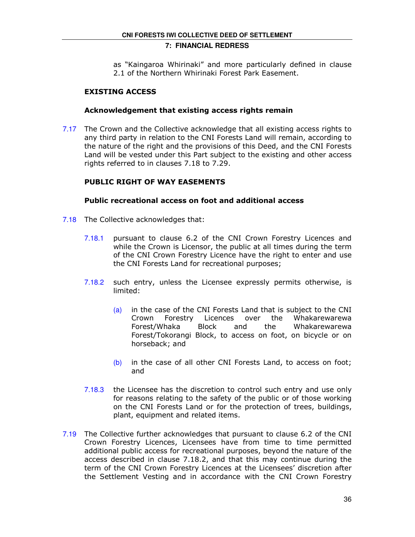as "Kaingaroa Whirinaki" and more particularly defined in clause 2.1 of the Northern Whirinaki Forest Park Easement.

## EXISTING ACCESS

## Acknowledgement that existing access rights remain

7.17 The Crown and the Collective acknowledge that all existing access rights to any third party in relation to the CNI Forests Land will remain, according to the nature of the right and the provisions of this Deed, and the CNI Forests Land will be vested under this Part subject to the existing and other access rights referred to in clauses 7.18 to 7.29.

## PUBLIC RIGHT OF WAY EASEMENTS

## Public recreational access on foot and additional access

- 7.18 The Collective acknowledges that:
	- 7.18.1 pursuant to clause 6.2 of the CNI Crown Forestry Licences and while the Crown is Licensor, the public at all times during the term of the CNI Crown Forestry Licence have the right to enter and use the CNI Forests Land for recreational purposes;
	- 7.18.2 such entry, unless the Licensee expressly permits otherwise, is limited:
		- (a) in the case of the CNI Forests Land that is subject to the CNI Crown Forestry Licences over the Whakarewarewa Forest/Whaka Block and the Whakarewarewa Forest/Tokorangi Block, to access on foot, on bicycle or on horseback; and
		- $(b)$  in the case of all other CNI Forests Land, to access on foot; and
	- 7.18.3 the Licensee has the discretion to control such entry and use only for reasons relating to the safety of the public or of those working on the CNI Forests Land or for the protection of trees, buildings, plant, equipment and related items.
- 7.19 The Collective further acknowledges that pursuant to clause 6.2 of the CNI Crown Forestry Licences, Licensees have from time to time permitted additional public access for recreational purposes, beyond the nature of the access described in clause 7.18.2, and that this may continue during the term of the CNI Crown Forestry Licences at the Licensees' discretion after the Settlement Vesting and in accordance with the CNI Crown Forestry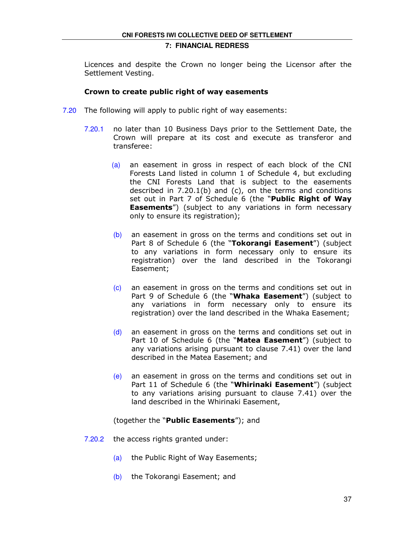Licences and despite the Crown no longer being the Licensor after the Settlement Vesting.

## Crown to create public right of way easements

- 7.20 The following will apply to public right of way easements:
	- 7.20.1 no later than 10 Business Days prior to the Settlement Date, the Crown will prepare at its cost and execute as transferor and transferee:
		- (a) an easement in gross in respect of each block of the CNI Forests Land listed in column 1 of Schedule 4, but excluding the CNI Forests Land that is subject to the easements described in 7.20.1(b) and (c), on the terms and conditions set out in Part 7 of Schedule 6 (the "Public Right of Way **Easements**") (subject to any variations in form necessary only to ensure its registration);
		- (b) an easement in gross on the terms and conditions set out in Part 8 of Schedule 6 (the "Tokorangi Easement") (subject to any variations in form necessary only to ensure its registration) over the land described in the Tokorangi Easement;
		- (c) an easement in gross on the terms and conditions set out in Part 9 of Schedule 6 (the "Whaka Easement") (subject to any variations in form necessary only to ensure its registration) over the land described in the Whaka Easement;
		- $(d)$  an easement in gross on the terms and conditions set out in Part 10 of Schedule 6 (the "Matea Easement") (subject to any variations arising pursuant to clause 7.41) over the land described in the Matea Easement; and
		- (e) an easement in gross on the terms and conditions set out in Part 11 of Schedule 6 (the "Whirinaki Easement") (subject to any variations arising pursuant to clause 7.41) over the land described in the Whirinaki Easement,

#### (together the "**Public Easements**"); and

- 7.20.2 the access rights granted under:
	- (a) the Public Right of Way Easements;
	- (b) the Tokorangi Easement; and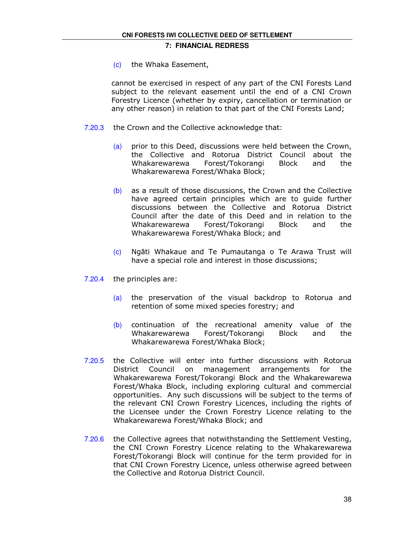(c) the Whaka Easement,

cannot be exercised in respect of any part of the CNI Forests Land subject to the relevant easement until the end of a CNI Crown Forestry Licence (whether by expiry, cancellation or termination or any other reason) in relation to that part of the CNI Forests Land;

- 7.20.3 the Crown and the Collective acknowledge that:
	- (a) prior to this Deed, discussions were held between the Crown, the Collective and Rotorua District Council about the Whakarewarewa Forest/Tokorangi Block and the Whakarewarewa Forest/Whaka Block;
	- $(b)$  as a result of those discussions, the Crown and the Collective have agreed certain principles which are to guide further discussions between the Collective and Rotorua District Council after the date of this Deed and in relation to the Whakarewarewa Forest/Tokorangi Block and the Whakarewarewa Forest/Whaka Block; and
	- (c) Ngāti Whakaue and Te Pumautanga o Te Arawa Trust will have a special role and interest in those discussions;
- 7.20.4 the principles are:
	- (a) the preservation of the visual backdrop to Rotorua and retention of some mixed species forestry; and
	- (b) continuation of the recreational amenity value of the Whakarewarewa Forest/Tokorangi Block and the Whakarewarewa Forest/Whaka Block;
- 7.20.5 the Collective will enter into further discussions with Rotorua District Council on management arrangements for the Whakarewarewa Forest/Tokorangi Block and the Whakarewarewa Forest/Whaka Block, including exploring cultural and commercial opportunities. Any such discussions will be subject to the terms of the relevant CNI Crown Forestry Licences, including the rights of the Licensee under the Crown Forestry Licence relating to the Whakarewarewa Forest/Whaka Block; and
- 7.20.6 the Collective agrees that notwithstanding the Settlement Vesting, the CNI Crown Forestry Licence relating to the Whakarewarewa Forest/Tokorangi Block will continue for the term provided for in that CNI Crown Forestry Licence, unless otherwise agreed between the Collective and Rotorua District Council.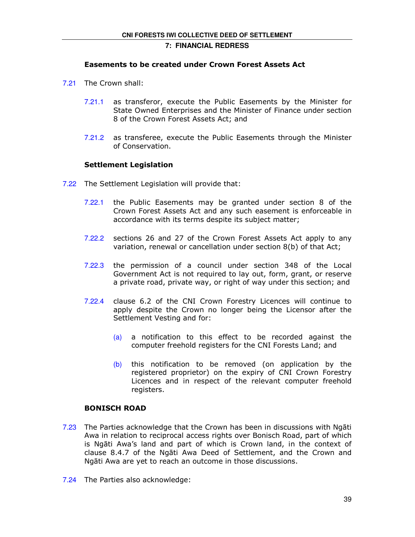## Easements to be created under Crown Forest Assets Act

- 7.21 The Crown shall:
	- 7.21.1 as transferor, execute the Public Easements by the Minister for State Owned Enterprises and the Minister of Finance under section 8 of the Crown Forest Assets Act; and
	- 7.21.2 as transferee, execute the Public Easements through the Minister of Conservation.

## Settlement Legislation

- 7.22 The Settlement Legislation will provide that:
	- 7.22.1 the Public Easements may be granted under section 8 of the Crown Forest Assets Act and any such easement is enforceable in accordance with its terms despite its subject matter;
	- 7.22.2 sections 26 and 27 of the Crown Forest Assets Act apply to any variation, renewal or cancellation under section 8(b) of that Act;
	- 7.22.3 the permission of a council under section 348 of the Local Government Act is not required to lay out, form, grant, or reserve a private road, private way, or right of way under this section; and
	- 7.22.4 clause 6.2 of the CNI Crown Forestry Licences will continue to apply despite the Crown no longer being the Licensor after the Settlement Vesting and for:
		- (a) a notification to this effect to be recorded against the computer freehold registers for the CNI Forests Land; and
		- $(b)$  this notification to be removed (on application by the registered proprietor) on the expiry of CNI Crown Forestry Licences and in respect of the relevant computer freehold registers.

## BONISCH ROAD

- 7.23 The Parties acknowledge that the Crown has been in discussions with Ngāti Awa in relation to reciprocal access rights over Bonisch Road, part of which is Ngāti Awa's land and part of which is Crown land, in the context of clause 8.4.7 of the Ngāti Awa Deed of Settlement, and the Crown and Ngāti Awa are yet to reach an outcome in those discussions.
- 7.24 The Parties also acknowledge: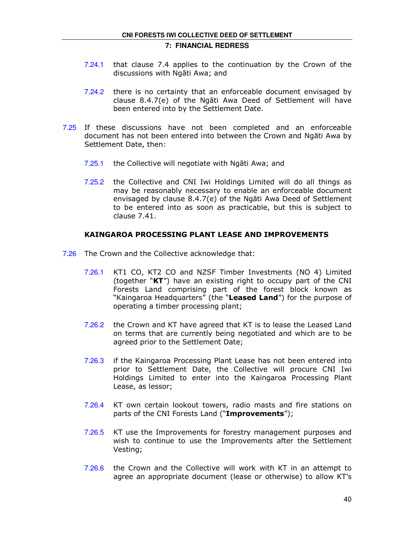- 7.24.1 that clause 7.4 applies to the continuation by the Crown of the discussions with Ngāti Awa; and
- 7.24.2 there is no certainty that an enforceable document envisaged by clause 8.4.7(e) of the Ngāti Awa Deed of Settlement will have been entered into by the Settlement Date.
- 7.25 If these discussions have not been completed and an enforceable document has not been entered into between the Crown and Ngāti Awa by Settlement Date, then:
	- 7.25.1 the Collective will negotiate with Ngāti Awa; and
	- 7.25.2 the Collective and CNI Iwi Holdings Limited will do all things as may be reasonably necessary to enable an enforceable document envisaged by clause 8.4.7(e) of the Ngāti Awa Deed of Settlement to be entered into as soon as practicable, but this is subject to clause 7.41.

## KAINGAROA PROCESSING PLANT LEASE AND IMPROVEMENTS

- 7.26 The Crown and the Collective acknowledge that:
	- 7.26.1 KT1 CO, KT2 CO and NZSF Timber Investments (NO 4) Limited (together "KT") have an existing right to occupy part of the CNI Forests Land comprising part of the forest block known as "Kaingaroa Headquarters" (the "**Leased Land**") for the purpose of operating a timber processing plant;
	- 7.26.2 the Crown and KT have agreed that KT is to lease the Leased Land on terms that are currently being negotiated and which are to be agreed prior to the Settlement Date;
	- 7.26.3 if the Kaingaroa Processing Plant Lease has not been entered into prior to Settlement Date, the Collective will procure CNI Iwi Holdings Limited to enter into the Kaingaroa Processing Plant Lease, as lessor;
	- 7.26.4 KT own certain lookout towers, radio masts and fire stations on parts of the CNI Forests Land ("Improvements");
	- 7.26.5 KT use the Improvements for forestry management purposes and wish to continue to use the Improvements after the Settlement Vesting;
	- 7.26.6 the Crown and the Collective will work with KT in an attempt to agree an appropriate document (lease or otherwise) to allow KT's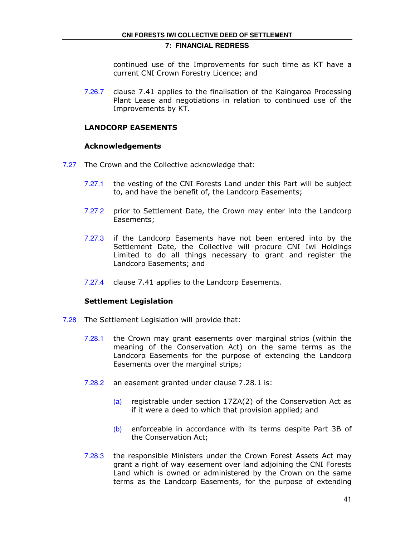continued use of the Improvements for such time as KT have a current CNI Crown Forestry Licence; and

7.26.7 clause 7.41 applies to the finalisation of the Kaingaroa Processing Plant Lease and negotiations in relation to continued use of the Improvements by KT.

## LANDCORP EASEMENTS

## Acknowledgements

- 7.27 The Crown and the Collective acknowledge that:
	- 7.27.1 the vesting of the CNI Forests Land under this Part will be subject to, and have the benefit of, the Landcorp Easements;
	- 7.27.2 prior to Settlement Date, the Crown may enter into the Landcorp Easements;
	- 7.27.3 if the Landcorp Easements have not been entered into by the Settlement Date, the Collective will procure CNI Iwi Holdings Limited to do all things necessary to grant and register the Landcorp Easements; and
	- 7.27.4 clause 7.41 applies to the Landcorp Easements.

## Settlement Legislation

- 7.28 The Settlement Legislation will provide that:
	- 7.28.1 the Crown may grant easements over marginal strips (within the meaning of the Conservation Act) on the same terms as the Landcorp Easements for the purpose of extending the Landcorp Easements over the marginal strips;
	- 7.28.2 an easement granted under clause 7.28.1 is:
		- (a) registrable under section  $17ZA(2)$  of the Conservation Act as if it were a deed to which that provision applied; and
		- (b) enforceable in accordance with its terms despite Part 3B of the Conservation Act;
	- 7.28.3 the responsible Ministers under the Crown Forest Assets Act may grant a right of way easement over land adjoining the CNI Forests Land which is owned or administered by the Crown on the same terms as the Landcorp Easements, for the purpose of extending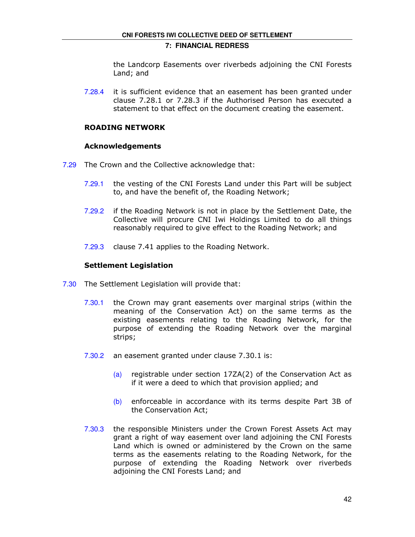the Landcorp Easements over riverbeds adjoining the CNI Forests Land; and

7.28.4 it is sufficient evidence that an easement has been granted under clause 7.28.1 or 7.28.3 if the Authorised Person has executed a statement to that effect on the document creating the easement.

## ROADING NETWORK

## Acknowledgements

- 7.29 The Crown and the Collective acknowledge that:
	- 7.29.1 the vesting of the CNI Forests Land under this Part will be subject to, and have the benefit of, the Roading Network;
	- 7.29.2 if the Roading Network is not in place by the Settlement Date, the Collective will procure CNI Iwi Holdings Limited to do all things reasonably required to give effect to the Roading Network; and
	- 7.29.3 clause 7.41 applies to the Roading Network.

## Settlement Legislation

- 7.30 The Settlement Legislation will provide that:
	- 7.30.1 the Crown may grant easements over marginal strips (within the meaning of the Conservation Act) on the same terms as the existing easements relating to the Roading Network, for the purpose of extending the Roading Network over the marginal strips;
	- 7.30.2 an easement granted under clause 7.30.1 is:
		- (a) registrable under section  $17ZA(2)$  of the Conservation Act as if it were a deed to which that provision applied; and
		- (b) enforceable in accordance with its terms despite Part 3B of the Conservation Act;
	- 7.30.3 the responsible Ministers under the Crown Forest Assets Act may grant a right of way easement over land adjoining the CNI Forests Land which is owned or administered by the Crown on the same terms as the easements relating to the Roading Network, for the purpose of extending the Roading Network over riverbeds adjoining the CNI Forests Land; and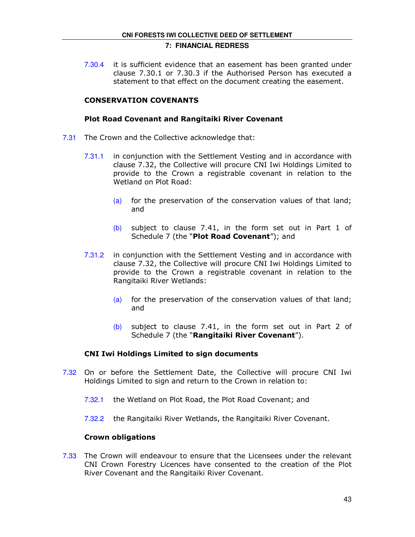7.30.4 it is sufficient evidence that an easement has been granted under clause 7.30.1 or 7.30.3 if the Authorised Person has executed a statement to that effect on the document creating the easement.

## CONSERVATION COVENANTS

## Plot Road Covenant and Rangitaiki River Covenant

- 7.31 The Crown and the Collective acknowledge that:
	- 7.31.1 in conjunction with the Settlement Vesting and in accordance with clause 7.32, the Collective will procure CNI Iwi Holdings Limited to provide to the Crown a registrable covenant in relation to the Wetland on Plot Road:
		- (a) for the preservation of the conservation values of that land; and
		- (b) subject to clause 7.41, in the form set out in Part 1 of Schedule 7 (the "Plot Road Covenant"); and
	- 7.31.2 in conjunction with the Settlement Vesting and in accordance with clause 7.32, the Collective will procure CNI Iwi Holdings Limited to provide to the Crown a registrable covenant in relation to the Rangitaiki River Wetlands:
		- (a) for the preservation of the conservation values of that land; and
		- (b) subject to clause 7.41, in the form set out in Part 2 of Schedule 7 (the "Rangitaiki River Covenant").

## CNI Iwi Holdings Limited to sign documents

- 7.32 On or before the Settlement Date, the Collective will procure CNI Iwi Holdings Limited to sign and return to the Crown in relation to:
	- 7.32.1 the Wetland on Plot Road, the Plot Road Covenant; and
	- 7.32.2 the Rangitaiki River Wetlands, the Rangitaiki River Covenant.

## Crown obligations

7.33 The Crown will endeavour to ensure that the Licensees under the relevant CNI Crown Forestry Licences have consented to the creation of the Plot River Covenant and the Rangitaiki River Covenant.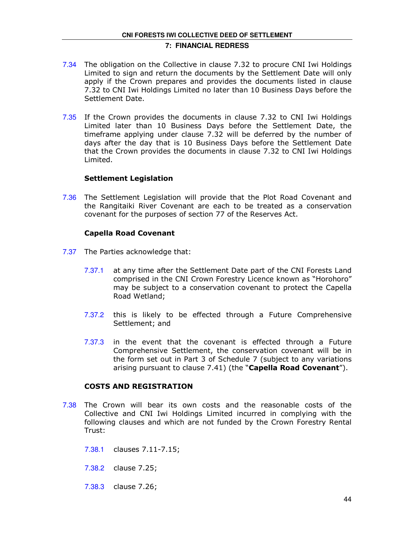- 7.34 The obligation on the Collective in clause 7.32 to procure CNI Iwi Holdings Limited to sign and return the documents by the Settlement Date will only apply if the Crown prepares and provides the documents listed in clause 7.32 to CNI Iwi Holdings Limited no later than 10 Business Days before the Settlement Date.
- 7.35 If the Crown provides the documents in clause 7.32 to CNI Iwi Holdings Limited later than 10 Business Days before the Settlement Date, the timeframe applying under clause 7.32 will be deferred by the number of days after the day that is 10 Business Days before the Settlement Date that the Crown provides the documents in clause 7.32 to CNI Iwi Holdings Limited.

## Settlement Legislation

7.36 The Settlement Legislation will provide that the Plot Road Covenant and the Rangitaiki River Covenant are each to be treated as a conservation covenant for the purposes of section 77 of the Reserves Act.

## Capella Road Covenant

- 7.37 The Parties acknowledge that:
	- 7.37.1 at any time after the Settlement Date part of the CNI Forests Land comprised in the CNI Crown Forestry Licence known as "Horohoro" may be subject to a conservation covenant to protect the Capella Road Wetland;
	- 7.37.2 this is likely to be effected through a Future Comprehensive Settlement; and
	- 7.37.3 in the event that the covenant is effected through a Future Comprehensive Settlement, the conservation covenant will be in the form set out in Part 3 of Schedule 7 (subject to any variations arising pursuant to clause 7.41) (the "Capella Road Covenant").

## COSTS AND REGISTRATION

- 7.38 The Crown will bear its own costs and the reasonable costs of the Collective and CNI Iwi Holdings Limited incurred in complying with the following clauses and which are not funded by the Crown Forestry Rental Trust:
	- 7.38.1 clauses 7.11-7.15;
	- 7.38.2 clause 7.25;
	- 7.38.3 clause 7.26;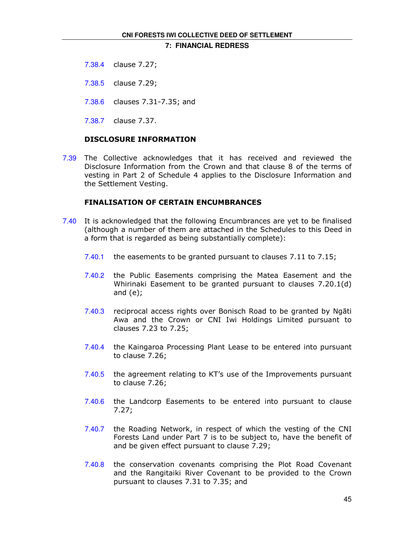- 7.38.4 clause 7.27;
- 7.38.5 clause 7.29;
- 7.38.6 clauses 7.31-7.35; and
- 7.38.7 clause 7.37.

## DISCLOSURE INFORMATION

7.39 The Collective acknowledges that it has received and reviewed the Disclosure Information from the Crown and that clause 8 of the terms of vesting in Part 2 of Schedule 4 applies to the Disclosure Information and the Settlement Vesting.

#### FINALISATION OF CERTAIN ENCUMBRANCES

- 7.40 It is acknowledged that the following Encumbrances are yet to be finalised (although a number of them are attached in the Schedules to this Deed in a form that is regarded as being substantially complete):
	- 7.40.1 the easements to be granted pursuant to clauses 7.11 to 7.15;
	- 7.40.2 the Public Easements comprising the Matea Easement and the Whirinaki Easement to be granted pursuant to clauses 7.20.1(d) and (e);
	- 7.40.3 reciprocal access rights over Bonisch Road to be granted by Ngāti Awa and the Crown or CNI Iwi Holdings Limited pursuant to clauses 7.23 to 7.25;
	- 7.40.4 the Kaingaroa Processing Plant Lease to be entered into pursuant to clause 7.26;
	- 7.40.5 the agreement relating to KT's use of the Improvements pursuant to clause 7.26;
	- 7.40.6 the Landcorp Easements to be entered into pursuant to clause 7.27;
	- 7.40.7 the Roading Network, in respect of which the vesting of the CNI Forests Land under Part 7 is to be subject to, have the benefit of and be given effect pursuant to clause 7.29;
	- 7.40.8 the conservation covenants comprising the Plot Road Covenant and the Rangitaiki River Covenant to be provided to the Crown pursuant to clauses 7.31 to 7.35; and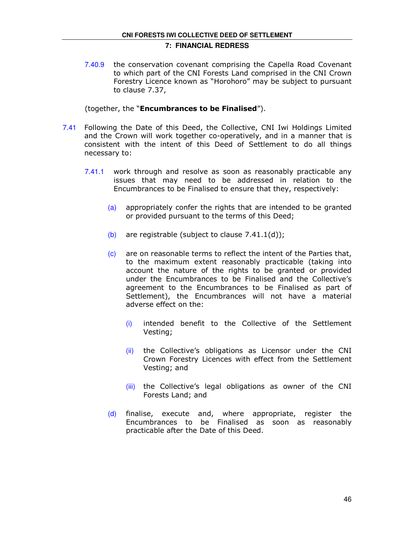7.40.9 the conservation covenant comprising the Capella Road Covenant to which part of the CNI Forests Land comprised in the CNI Crown Forestry Licence known as "Horohoro" may be subject to pursuant to clause 7.37,

## (together, the "Encumbrances to be Finalised").

- 7.41 Following the Date of this Deed, the Collective, CNI Iwi Holdings Limited and the Crown will work together co-operatively, and in a manner that is consistent with the intent of this Deed of Settlement to do all things necessary to:
	- 7.41.1 work through and resolve as soon as reasonably practicable any issues that may need to be addressed in relation to the Encumbrances to be Finalised to ensure that they, respectively:
		- (a) appropriately confer the rights that are intended to be granted or provided pursuant to the terms of this Deed;
		- (b) are registrable (subject to clause  $7.41.1(d)$ );
		- (c) are on reasonable terms to reflect the intent of the Parties that, to the maximum extent reasonably practicable (taking into account the nature of the rights to be granted or provided under the Encumbrances to be Finalised and the Collective's agreement to the Encumbrances to be Finalised as part of Settlement), the Encumbrances will not have a material adverse effect on the:
			- (i) intended benefit to the Collective of the Settlement Vesting;
			- (ii) the Collective's obligations as Licensor under the CNI Crown Forestry Licences with effect from the Settlement Vesting; and
			- (iii) the Collective's legal obligations as owner of the CNI Forests Land; and
		- $(d)$  finalise, execute and, where appropriate, register the Encumbrances to be Finalised as soon as reasonably practicable after the Date of this Deed.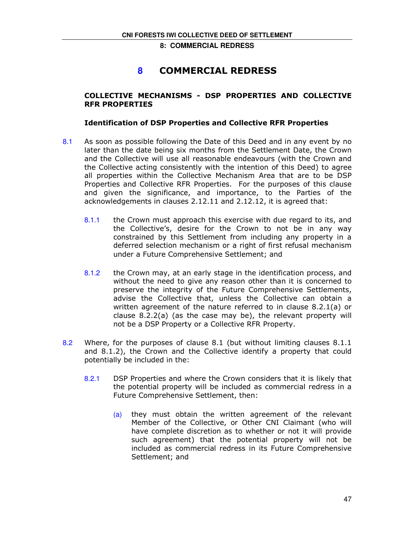## **8** COMMERCIAL REDRESS

## COLLECTIVE MECHANISMS - DSP PROPERTIES AND COLLECTIVE RFR PROPERTIES

## Identification of DSP Properties and Collective RFR Properties

- 8.1 As soon as possible following the Date of this Deed and in any event by no later than the date being six months from the Settlement Date, the Crown and the Collective will use all reasonable endeavours (with the Crown and the Collective acting consistently with the intention of this Deed) to agree all properties within the Collective Mechanism Area that are to be DSP Properties and Collective RFR Properties. For the purposes of this clause and given the significance, and importance, to the Parties of the acknowledgements in clauses 2.12.11 and 2.12.12, it is agreed that:
	- 8.1.1 the Crown must approach this exercise with due regard to its, and the Collective's, desire for the Crown to not be in any way constrained by this Settlement from including any property in a deferred selection mechanism or a right of first refusal mechanism under a Future Comprehensive Settlement; and
	- 8.1.2 the Crown may, at an early stage in the identification process, and without the need to give any reason other than it is concerned to preserve the integrity of the Future Comprehensive Settlements, advise the Collective that, unless the Collective can obtain a written agreement of the nature referred to in clause 8.2.1(a) or clause 8.2.2(a) (as the case may be), the relevant property will not be a DSP Property or a Collective RFR Property.
- 8.2 Where, for the purposes of clause 8.1 (but without limiting clauses 8.1.1 and 8.1.2), the Crown and the Collective identify a property that could potentially be included in the:
	- 8.2.1 DSP Properties and where the Crown considers that it is likely that the potential property will be included as commercial redress in a Future Comprehensive Settlement, then:
		- $(a)$  they must obtain the written agreement of the relevant Member of the Collective, or Other CNI Claimant (who will have complete discretion as to whether or not it will provide such agreement) that the potential property will not be included as commercial redress in its Future Comprehensive Settlement; and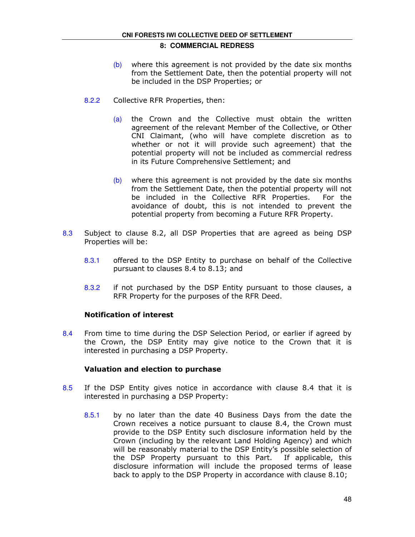- $(b)$  where this agreement is not provided by the date six months from the Settlement Date, then the potential property will not be included in the DSP Properties; or
- 8.2.2 Collective RFR Properties, then:
	- (a) the Crown and the Collective must obtain the written agreement of the relevant Member of the Collective, or Other CNI Claimant, (who will have complete discretion as to whether or not it will provide such agreement) that the potential property will not be included as commercial redress in its Future Comprehensive Settlement; and
	- $(b)$  where this agreement is not provided by the date six months from the Settlement Date, then the potential property will not be included in the Collective RFR Properties. For the avoidance of doubt, this is not intended to prevent the potential property from becoming a Future RFR Property.
- 8.3 Subject to clause 8.2, all DSP Properties that are agreed as being DSP Properties will be:
	- 8.3.1 offered to the DSP Entity to purchase on behalf of the Collective pursuant to clauses 8.4 to 8.13; and
	- 8.3.2 if not purchased by the DSP Entity pursuant to those clauses, a RFR Property for the purposes of the RFR Deed.

## Notification of interest

8.4 From time to time during the DSP Selection Period, or earlier if agreed by the Crown, the DSP Entity may give notice to the Crown that it is interested in purchasing a DSP Property.

## Valuation and election to purchase

- 8.5 If the DSP Entity gives notice in accordance with clause 8.4 that it is interested in purchasing a DSP Property:
	- 8.5.1 by no later than the date 40 Business Days from the date the Crown receives a notice pursuant to clause 8.4, the Crown must provide to the DSP Entity such disclosure information held by the Crown (including by the relevant Land Holding Agency) and which will be reasonably material to the DSP Entity's possible selection of the DSP Property pursuant to this Part. If applicable, this disclosure information will include the proposed terms of lease back to apply to the DSP Property in accordance with clause 8.10;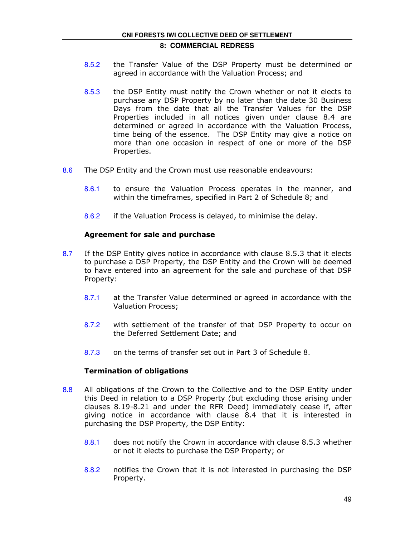# **CNI FORESTS IWI COLLECTIVE DEED OF SETTLEMENT**

## **8: COMMERCIAL REDRESS**

- 8.5.2 the Transfer Value of the DSP Property must be determined or agreed in accordance with the Valuation Process; and
- 8.5.3 the DSP Entity must notify the Crown whether or not it elects to purchase any DSP Property by no later than the date 30 Business Days from the date that all the Transfer Values for the DSP Properties included in all notices given under clause 8.4 are determined or agreed in accordance with the Valuation Process, time being of the essence. The DSP Entity may give a notice on more than one occasion in respect of one or more of the DSP Properties.
- 8.6 The DSP Entity and the Crown must use reasonable endeavours:
	- 8.6.1 to ensure the Valuation Process operates in the manner, and within the timeframes, specified in Part 2 of Schedule 8; and
	- 8.6.2 if the Valuation Process is delayed, to minimise the delay.

## Agreement for sale and purchase

- 8.7 If the DSP Entity gives notice in accordance with clause 8.5.3 that it elects to purchase a DSP Property, the DSP Entity and the Crown will be deemed to have entered into an agreement for the sale and purchase of that DSP Property:
	- 8.7.1 at the Transfer Value determined or agreed in accordance with the Valuation Process;
	- 8.7.2 with settlement of the transfer of that DSP Property to occur on the Deferred Settlement Date; and
	- 8.7.3 on the terms of transfer set out in Part 3 of Schedule 8.

## Termination of obligations

- 8.8 All obligations of the Crown to the Collective and to the DSP Entity under this Deed in relation to a DSP Property (but excluding those arising under clauses 8.19-8.21 and under the RFR Deed) immediately cease if, after giving notice in accordance with clause 8.4 that it is interested in purchasing the DSP Property, the DSP Entity:
	- 8.8.1 does not notify the Crown in accordance with clause 8.5.3 whether or not it elects to purchase the DSP Property; or
	- 8.8.2 notifies the Crown that it is not interested in purchasing the DSP Property.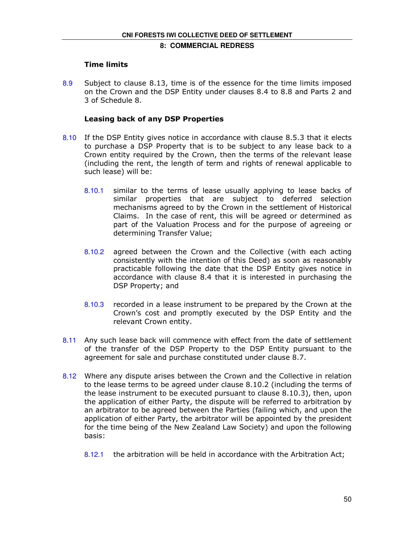## Time limits

8.9 Subject to clause 8.13, time is of the essence for the time limits imposed on the Crown and the DSP Entity under clauses 8.4 to 8.8 and Parts 2 and 3 of Schedule 8.

## Leasing back of any DSP Properties

- 8.10 If the DSP Entity gives notice in accordance with clause 8.5.3 that it elects to purchase a DSP Property that is to be subject to any lease back to a Crown entity required by the Crown, then the terms of the relevant lease (including the rent, the length of term and rights of renewal applicable to such lease) will be:
	- 8.10.1 similar to the terms of lease usually applying to lease backs of similar properties that are subject to deferred selection mechanisms agreed to by the Crown in the settlement of Historical Claims. In the case of rent, this will be agreed or determined as part of the Valuation Process and for the purpose of agreeing or determining Transfer Value;
	- 8.10.2 agreed between the Crown and the Collective (with each acting consistently with the intention of this Deed) as soon as reasonably practicable following the date that the DSP Entity gives notice in accordance with clause 8.4 that it is interested in purchasing the DSP Property; and
	- 8.10.3 recorded in a lease instrument to be prepared by the Crown at the Crown's cost and promptly executed by the DSP Entity and the relevant Crown entity.
- 8.11 Any such lease back will commence with effect from the date of settlement of the transfer of the DSP Property to the DSP Entity pursuant to the agreement for sale and purchase constituted under clause 8.7.
- 8.12 Where any dispute arises between the Crown and the Collective in relation to the lease terms to be agreed under clause 8.10.2 (including the terms of the lease instrument to be executed pursuant to clause 8.10.3), then, upon the application of either Party, the dispute will be referred to arbitration by an arbitrator to be agreed between the Parties (failing which, and upon the application of either Party, the arbitrator will be appointed by the president for the time being of the New Zealand Law Society) and upon the following basis:
	- 8.12.1 the arbitration will be held in accordance with the Arbitration Act;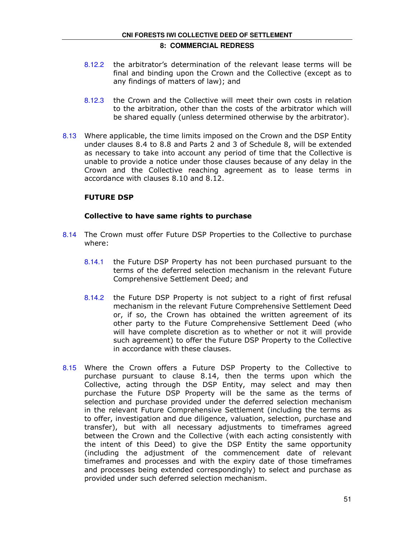- 8.12.2 the arbitrator's determination of the relevant lease terms will be final and binding upon the Crown and the Collective (except as to any findings of matters of law); and
- 8.12.3 the Crown and the Collective will meet their own costs in relation to the arbitration, other than the costs of the arbitrator which will be shared equally (unless determined otherwise by the arbitrator).
- 8.13 Where applicable, the time limits imposed on the Crown and the DSP Entity under clauses 8.4 to 8.8 and Parts 2 and 3 of Schedule 8, will be extended as necessary to take into account any period of time that the Collective is unable to provide a notice under those clauses because of any delay in the Crown and the Collective reaching agreement as to lease terms in accordance with clauses 8.10 and 8.12.

## FUTURE DSP

## Collective to have same rights to purchase

- 8.14 The Crown must offer Future DSP Properties to the Collective to purchase where:
	- 8.14.1 the Future DSP Property has not been purchased pursuant to the terms of the deferred selection mechanism in the relevant Future Comprehensive Settlement Deed; and
	- 8.14.2 the Future DSP Property is not subject to a right of first refusal mechanism in the relevant Future Comprehensive Settlement Deed or, if so, the Crown has obtained the written agreement of its other party to the Future Comprehensive Settlement Deed (who will have complete discretion as to whether or not it will provide such agreement) to offer the Future DSP Property to the Collective in accordance with these clauses.
- 8.15 Where the Crown offers a Future DSP Property to the Collective to purchase pursuant to clause 8.14, then the terms upon which the Collective, acting through the DSP Entity, may select and may then purchase the Future DSP Property will be the same as the terms of selection and purchase provided under the deferred selection mechanism in the relevant Future Comprehensive Settlement (including the terms as to offer, investigation and due diligence, valuation, selection, purchase and transfer), but with all necessary adjustments to timeframes agreed between the Crown and the Collective (with each acting consistently with the intent of this Deed) to give the DSP Entity the same opportunity (including the adjustment of the commencement date of relevant timeframes and processes and with the expiry date of those timeframes and processes being extended correspondingly) to select and purchase as provided under such deferred selection mechanism.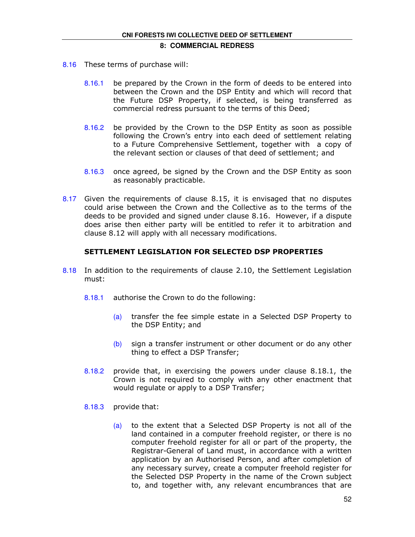- 8.16 These terms of purchase will:
	- 8.16.1 be prepared by the Crown in the form of deeds to be entered into between the Crown and the DSP Entity and which will record that the Future DSP Property, if selected, is being transferred as commercial redress pursuant to the terms of this Deed;
	- 8.16.2 be provided by the Crown to the DSP Entity as soon as possible following the Crown's entry into each deed of settlement relating to a Future Comprehensive Settlement, together with a copy of the relevant section or clauses of that deed of settlement; and
	- 8.16.3 once agreed, be signed by the Crown and the DSP Entity as soon as reasonably practicable.
- 8.17 Given the requirements of clause 8.15, it is envisaged that no disputes could arise between the Crown and the Collective as to the terms of the deeds to be provided and signed under clause 8.16. However, if a dispute does arise then either party will be entitled to refer it to arbitration and clause 8.12 will apply with all necessary modifications.

## SETTLEMENT LEGISLATION FOR SELECTED DSP PROPERTIES

- 8.18 In addition to the requirements of clause 2.10, the Settlement Legislation must:
	- 8.18.1 authorise the Crown to do the following:
		- (a) transfer the fee simple estate in a Selected DSP Property to the DSP Entity; and
		- $(b)$  sign a transfer instrument or other document or do any other thing to effect a DSP Transfer;
	- 8.18.2 provide that, in exercising the powers under clause 8.18.1, the Crown is not required to comply with any other enactment that would regulate or apply to a DSP Transfer;
	- 8.18.3 provide that:
		- (a) to the extent that a Selected DSP Property is not all of the land contained in a computer freehold register, or there is no computer freehold register for all or part of the property, the Registrar-General of Land must, in accordance with a written application by an Authorised Person, and after completion of any necessary survey, create a computer freehold register for the Selected DSP Property in the name of the Crown subject to, and together with, any relevant encumbrances that are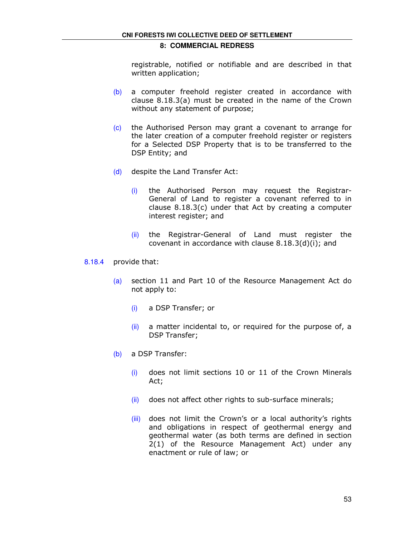registrable, notified or notifiable and are described in that written application;

- (b) a computer freehold register created in accordance with clause 8.18.3(a) must be created in the name of the Crown without any statement of purpose;
- (c) the Authorised Person may grant a covenant to arrange for the later creation of a computer freehold register or registers for a Selected DSP Property that is to be transferred to the DSP Entity; and
- (d) despite the Land Transfer Act:
	- (i) the Authorised Person may request the Registrar-General of Land to register a covenant referred to in clause 8.18.3(c) under that Act by creating a computer interest register; and
	- (ii) the Registrar-General of Land must register the covenant in accordance with clause 8.18.3(d)(i); and
- 8.18.4 provide that:
	- (a) section 11 and Part 10 of the Resource Management Act do not apply to:
		- (i) a DSP Transfer; or
		- (ii) a matter incidental to, or required for the purpose of, a DSP Transfer;
	- (b) a DSP Transfer:
		- (i) does not limit sections 10 or 11 of the Crown Minerals Act;
		- $(ii)$  does not affect other rights to sub-surface minerals;
		- (iii) does not limit the Crown's or a local authority's rights and obligations in respect of geothermal energy and geothermal water (as both terms are defined in section 2(1) of the Resource Management Act) under any enactment or rule of law; or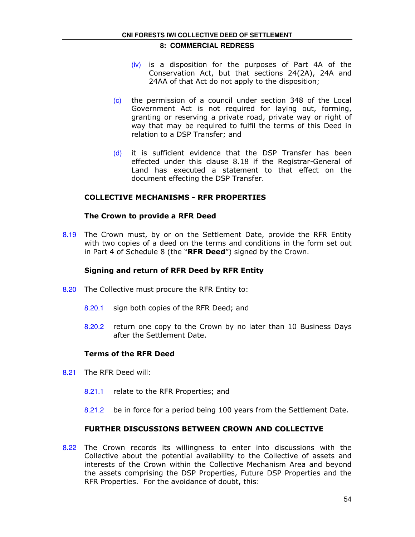- (iv) is a disposition for the purposes of Part 4A of the Conservation Act, but that sections 24(2A), 24A and 24AA of that Act do not apply to the disposition;
- (c) the permission of a council under section 348 of the Local Government Act is not required for laying out, forming, granting or reserving a private road, private way or right of way that may be required to fulfil the terms of this Deed in relation to a DSP Transfer; and
- (d) it is sufficient evidence that the DSP Transfer has been effected under this clause 8.18 if the Registrar-General of Land has executed a statement to that effect on the document effecting the DSP Transfer.

## COLLECTIVE MECHANISMS - RFR PROPERTIES

## The Crown to provide a RFR Deed

8.19 The Crown must, by or on the Settlement Date, provide the RFR Entity with two copies of a deed on the terms and conditions in the form set out in Part 4 of Schedule 8 (the " $RFR$  Deed") signed by the Crown.

## Signing and return of RFR Deed by RFR Entity

- 8.20 The Collective must procure the RFR Entity to:
	- 8.20.1 sign both copies of the RFR Deed; and
	- 8.20.2 return one copy to the Crown by no later than 10 Business Days after the Settlement Date.

## Terms of the RFR Deed

- 8.21 The RFR Deed will:
	- 8.21.1 relate to the RFR Properties; and
	- 8.21.2 be in force for a period being 100 years from the Settlement Date.

## FURTHER DISCUSSIONS BETWEEN CROWN AND COLLECTIVE

8.22 The Crown records its willingness to enter into discussions with the Collective about the potential availability to the Collective of assets and interests of the Crown within the Collective Mechanism Area and beyond the assets comprising the DSP Properties, Future DSP Properties and the RFR Properties. For the avoidance of doubt, this: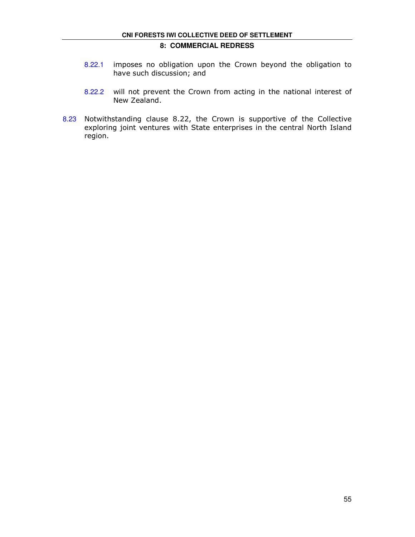- 8.22.1 imposes no obligation upon the Crown beyond the obligation to have such discussion; and
- 8.22.2 will not prevent the Crown from acting in the national interest of New Zealand.
- 8.23 Notwithstanding clause 8.22, the Crown is supportive of the Collective exploring joint ventures with State enterprises in the central North Island region.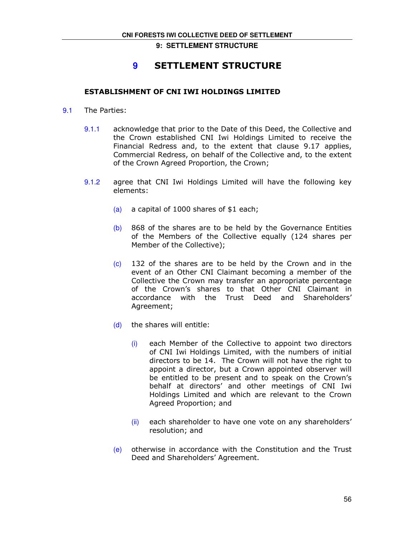## **9** SETTLEMENT STRUCTURE

## ESTABLISHMENT OF CNI IWI HOLDINGS LIMITED

- 9.1 The Parties:
	- 9.1.1 acknowledge that prior to the Date of this Deed, the Collective and the Crown established CNI Iwi Holdings Limited to receive the Financial Redress and, to the extent that clause 9.17 applies, Commercial Redress, on behalf of the Collective and, to the extent of the Crown Agreed Proportion, the Crown;
	- 9.1.2 agree that CNI Iwi Holdings Limited will have the following key elements:
		- (a) a capital of 1000 shares of \$1 each;
		- $(b)$  868 of the shares are to be held by the Governance Entities of the Members of the Collective equally (124 shares per Member of the Collective);
		- (c) 132 of the shares are to be held by the Crown and in the event of an Other CNI Claimant becoming a member of the Collective the Crown may transfer an appropriate percentage of the Crown's shares to that Other CNI Claimant in accordance with the Trust Deed and Shareholders' Agreement;
		- (d) the shares will entitle:
			- (i) each Member of the Collective to appoint two directors of CNI Iwi Holdings Limited, with the numbers of initial directors to be 14. The Crown will not have the right to appoint a director, but a Crown appointed observer will be entitled to be present and to speak on the Crown's behalf at directors' and other meetings of CNI Iwi Holdings Limited and which are relevant to the Crown Agreed Proportion; and
			- (ii) each shareholder to have one vote on any shareholders' resolution; and
		- (e) otherwise in accordance with the Constitution and the Trust Deed and Shareholders' Agreement.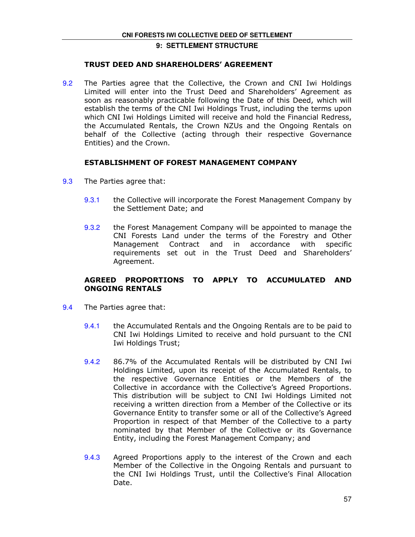## TRUST DEED AND SHAREHOLDERS' AGREEMENT

9.2 The Parties agree that the Collective, the Crown and CNI Iwi Holdings Limited will enter into the Trust Deed and Shareholders' Agreement as soon as reasonably practicable following the Date of this Deed, which will establish the terms of the CNI Iwi Holdings Trust, including the terms upon which CNI Iwi Holdings Limited will receive and hold the Financial Redress, the Accumulated Rentals, the Crown NZUs and the Ongoing Rentals on behalf of the Collective (acting through their respective Governance Entities) and the Crown.

## ESTABLISHMENT OF FOREST MANAGEMENT COMPANY

- 9.3 The Parties agree that:
	- 9.3.1 the Collective will incorporate the Forest Management Company by the Settlement Date; and
	- 9.3.2 the Forest Management Company will be appointed to manage the CNI Forests Land under the terms of the Forestry and Other Management Contract and in accordance with specific requirements set out in the Trust Deed and Shareholders' Agreement.

## AGREED PROPORTIONS TO APPLY TO ACCUMULATED AND ONGOING RENTALS

- 9.4 The Parties agree that:
	- 9.4.1 the Accumulated Rentals and the Ongoing Rentals are to be paid to CNI Iwi Holdings Limited to receive and hold pursuant to the CNI Iwi Holdings Trust;
	- 9.4.2 86.7% of the Accumulated Rentals will be distributed by CNI Iwi Holdings Limited, upon its receipt of the Accumulated Rentals, to the respective Governance Entities or the Members of the Collective in accordance with the Collective's Agreed Proportions. This distribution will be subject to CNI Iwi Holdings Limited not receiving a written direction from a Member of the Collective or its Governance Entity to transfer some or all of the Collective's Agreed Proportion in respect of that Member of the Collective to a party nominated by that Member of the Collective or its Governance Entity, including the Forest Management Company; and
	- 9.4.3 Agreed Proportions apply to the interest of the Crown and each Member of the Collective in the Ongoing Rentals and pursuant to the CNI Iwi Holdings Trust, until the Collective's Final Allocation Date.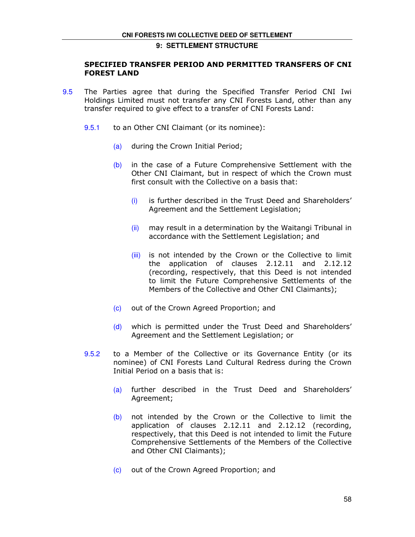## SPECIFIED TRANSFER PERIOD AND PERMITTED TRANSFERS OF CNI FOREST LAND

- 9.5 The Parties agree that during the Specified Transfer Period CNI Iwi Holdings Limited must not transfer any CNI Forests Land, other than any transfer required to give effect to a transfer of CNI Forests Land:
	- 9.5.1 to an Other CNI Claimant (or its nominee):
		- (a) during the Crown Initial Period;
		- (b) in the case of a Future Comprehensive Settlement with the Other CNI Claimant, but in respect of which the Crown must first consult with the Collective on a basis that:
			- (i) is further described in the Trust Deed and Shareholders' Agreement and the Settlement Legislation;
			- $(iii)$  may result in a determination by the Waitangi Tribunal in accordance with the Settlement Legislation; and
			- (iii) is not intended by the Crown or the Collective to limit the application of clauses 2.12.11 and 2.12.12 (recording, respectively, that this Deed is not intended to limit the Future Comprehensive Settlements of the Members of the Collective and Other CNI Claimants);
		- (c) out of the Crown Agreed Proportion; and
		- (d) which is permitted under the Trust Deed and Shareholders' Agreement and the Settlement Legislation; or
	- 9.5.2 to a Member of the Collective or its Governance Entity (or its nominee) of CNI Forests Land Cultural Redress during the Crown Initial Period on a basis that is:
		- (a) further described in the Trust Deed and Shareholders' Agreement;
		- (b) not intended by the Crown or the Collective to limit the application of clauses 2.12.11 and 2.12.12 (recording, respectively, that this Deed is not intended to limit the Future Comprehensive Settlements of the Members of the Collective and Other CNI Claimants);
		- (c) out of the Crown Agreed Proportion; and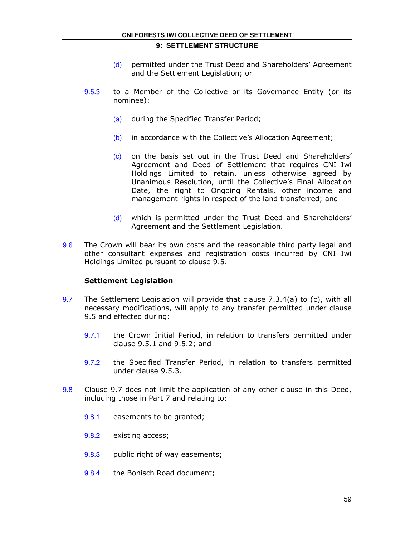## **CNI FORESTS IWI COLLECTIVE DEED OF SETTLEMENT**

## **9: SETTLEMENT STRUCTURE**

- (d) permitted under the Trust Deed and Shareholders' Agreement and the Settlement Legislation; or
- 9.5.3 to a Member of the Collective or its Governance Entity (or its nominee):
	- (a) during the Specified Transfer Period;
	- (b) in accordance with the Collective's Allocation Agreement;
	- (c) on the basis set out in the Trust Deed and Shareholders' Agreement and Deed of Settlement that requires CNI Iwi Holdings Limited to retain, unless otherwise agreed by Unanimous Resolution, until the Collective's Final Allocation Date, the right to Ongoing Rentals, other income and management rights in respect of the land transferred; and
	- (d) which is permitted under the Trust Deed and Shareholders' Agreement and the Settlement Legislation.
- 9.6 The Crown will bear its own costs and the reasonable third party legal and other consultant expenses and registration costs incurred by CNI Iwi Holdings Limited pursuant to clause 9.5.

## Settlement Legislation

- 9.7 The Settlement Legislation will provide that clause 7.3.4(a) to (c), with all necessary modifications, will apply to any transfer permitted under clause 9.5 and effected during:
	- 9.7.1 the Crown Initial Period, in relation to transfers permitted under clause 9.5.1 and 9.5.2; and
	- 9.7.2 the Specified Transfer Period, in relation to transfers permitted under clause 9.5.3.
- 9.8 Clause 9.7 does not limit the application of any other clause in this Deed, including those in Part 7 and relating to:
	- 9.8.1 easements to be granted;
	- 9.8.2 existing access;
	- 9.8.3 public right of way easements;
	- 9.8.4 the Bonisch Road document;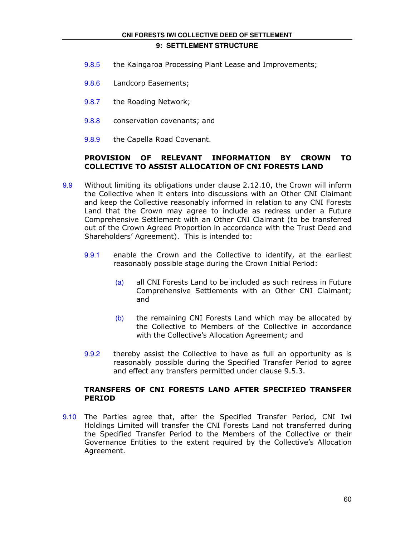#### **CNI FORESTS IWI COLLECTIVE DEED OF SETTLEMENT**

## **9: SETTLEMENT STRUCTURE**

- 9.8.5 the Kaingaroa Processing Plant Lease and Improvements;
- 9.8.6 Landcorp Easements;
- 9.8.7 the Roading Network;
- 9.8.8 conservation covenants; and
- 9.8.9 the Capella Road Covenant.

## PROVISION OF RELEVANT INFORMATION BY CROWN TO COLLECTIVE TO ASSIST ALLOCATION OF CNI FORESTS LAND

- 9.9 Without limiting its obligations under clause 2.12.10, the Crown will inform the Collective when it enters into discussions with an Other CNI Claimant and keep the Collective reasonably informed in relation to any CNI Forests Land that the Crown may agree to include as redress under a Future Comprehensive Settlement with an Other CNI Claimant (to be transferred out of the Crown Agreed Proportion in accordance with the Trust Deed and Shareholders' Agreement). This is intended to:
	- 9.9.1 enable the Crown and the Collective to identify, at the earliest reasonably possible stage during the Crown Initial Period:
		- (a) all CNI Forests Land to be included as such redress in Future Comprehensive Settlements with an Other CNI Claimant; and
		- (b) the remaining CNI Forests Land which may be allocated by the Collective to Members of the Collective in accordance with the Collective's Allocation Agreement; and
	- 9.9.2 thereby assist the Collective to have as full an opportunity as is reasonably possible during the Specified Transfer Period to agree and effect any transfers permitted under clause 9.5.3.

## TRANSFERS OF CNI FORESTS LAND AFTER SPECIFIED TRANSFER PERIOD

9.10 The Parties agree that, after the Specified Transfer Period, CNI Iwi Holdings Limited will transfer the CNI Forests Land not transferred during the Specified Transfer Period to the Members of the Collective or their Governance Entities to the extent required by the Collective's Allocation Agreement.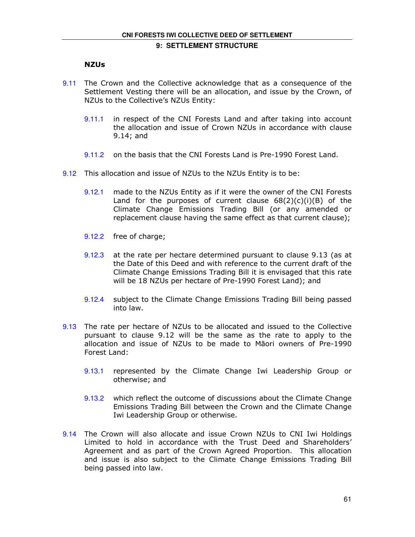## NZUs

- 9.11 The Crown and the Collective acknowledge that as a consequence of the Settlement Vesting there will be an allocation, and issue by the Crown, of NZUs to the Collective's NZUs Entity:
	- 9.11.1 in respect of the CNI Forests Land and after taking into account the allocation and issue of Crown NZUs in accordance with clause 9.14; and
	- 9.11.2 on the basis that the CNI Forests Land is Pre-1990 Forest Land.
- 9.12 This allocation and issue of NZUs to the NZUs Entity is to be:
	- 9.12.1 made to the NZUs Entity as if it were the owner of the CNI Forests Land for the purposes of current clause  $68(2)(c)(i)(B)$  of the Climate Change Emissions Trading Bill (or any amended or replacement clause having the same effect as that current clause);
	- 9.12.2 free of charge;
	- 9.12.3 at the rate per hectare determined pursuant to clause 9.13 (as at the Date of this Deed and with reference to the current draft of the Climate Change Emissions Trading Bill it is envisaged that this rate will be 18 NZUs per hectare of Pre-1990 Forest Land); and
	- 9.12.4 subject to the Climate Change Emissions Trading Bill being passed into law.
- 9.13 The rate per hectare of NZUs to be allocated and issued to the Collective pursuant to clause 9.12 will be the same as the rate to apply to the allocation and issue of NZUs to be made to Māori owners of Pre-1990 Forest Land:
	- 9.13.1 represented by the Climate Change Iwi Leadership Group or otherwise; and
	- 9.13.2 which reflect the outcome of discussions about the Climate Change Emissions Trading Bill between the Crown and the Climate Change Iwi Leadership Group or otherwise.
- 9.14 The Crown will also allocate and issue Crown NZUs to CNI Iwi Holdings Limited to hold in accordance with the Trust Deed and Shareholders' Agreement and as part of the Crown Agreed Proportion. This allocation and issue is also subject to the Climate Change Emissions Trading Bill being passed into law.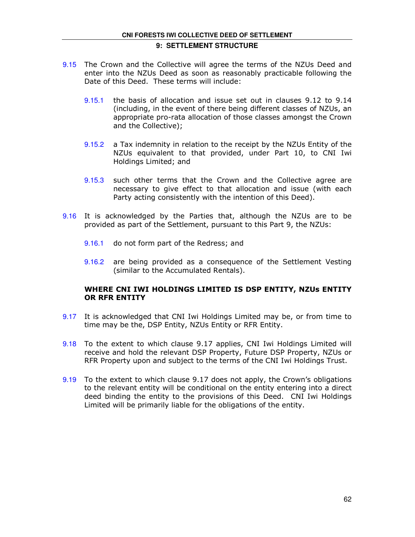- 9.15 The Crown and the Collective will agree the terms of the NZUs Deed and enter into the NZUs Deed as soon as reasonably practicable following the Date of this Deed. These terms will include:
	- 9.15.1 the basis of allocation and issue set out in clauses 9.12 to 9.14 (including, in the event of there being different classes of NZUs, an appropriate pro-rata allocation of those classes amongst the Crown and the Collective);
	- 9.15.2 a Tax indemnity in relation to the receipt by the NZUs Entity of the NZUs equivalent to that provided, under Part 10, to CNI Iwi Holdings Limited; and
	- 9.15.3 such other terms that the Crown and the Collective agree are necessary to give effect to that allocation and issue (with each Party acting consistently with the intention of this Deed).
- 9.16 It is acknowledged by the Parties that, although the NZUs are to be provided as part of the Settlement, pursuant to this Part 9, the NZUs:
	- 9.16.1 do not form part of the Redress; and
	- 9.16.2 are being provided as a consequence of the Settlement Vesting (similar to the Accumulated Rentals).

## WHERE CNI IWI HOLDINGS LIMITED IS DSP ENTITY, NZUs ENTITY OR RFR ENTITY

- 9.17 It is acknowledged that CNI Iwi Holdings Limited may be, or from time to time may be the, DSP Entity, NZUs Entity or RFR Entity.
- 9.18 To the extent to which clause 9.17 applies, CNI Iwi Holdings Limited will receive and hold the relevant DSP Property, Future DSP Property, NZUs or RFR Property upon and subject to the terms of the CNI Iwi Holdings Trust.
- 9.19 To the extent to which clause 9.17 does not apply, the Crown's obligations to the relevant entity will be conditional on the entity entering into a direct deed binding the entity to the provisions of this Deed. CNI Iwi Holdings Limited will be primarily liable for the obligations of the entity.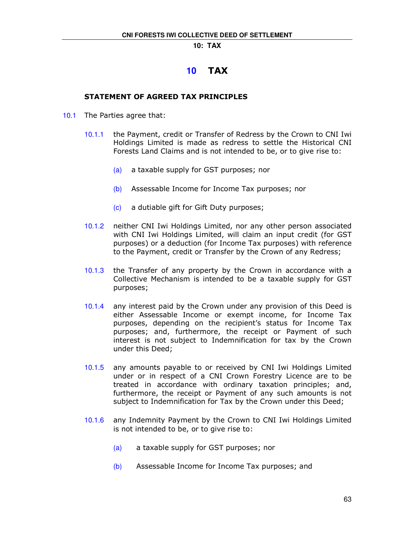## **10** TAX

## STATEMENT OF AGREED TAX PRINCIPLES

- 10.1 The Parties agree that:
	- 10.1.1 the Payment, credit or Transfer of Redress by the Crown to CNI Iwi Holdings Limited is made as redress to settle the Historical CNI Forests Land Claims and is not intended to be, or to give rise to:
		- (a) a taxable supply for GST purposes; nor
		- (b) Assessable Income for Income Tax purposes; nor
		- (c) a dutiable gift for Gift Duty purposes;
	- 10.1.2 neither CNI Iwi Holdings Limited, nor any other person associated with CNI Iwi Holdings Limited, will claim an input credit (for GST purposes) or a deduction (for Income Tax purposes) with reference to the Payment, credit or Transfer by the Crown of any Redress;
	- 10.1.3 the Transfer of any property by the Crown in accordance with a Collective Mechanism is intended to be a taxable supply for GST purposes;
	- 10.1.4 any interest paid by the Crown under any provision of this Deed is either Assessable Income or exempt income, for Income Tax purposes, depending on the recipient's status for Income Tax purposes; and, furthermore, the receipt or Payment of such interest is not subject to Indemnification for tax by the Crown under this Deed;
	- 10.1.5 any amounts payable to or received by CNI Iwi Holdings Limited under or in respect of a CNI Crown Forestry Licence are to be treated in accordance with ordinary taxation principles; and, furthermore, the receipt or Payment of any such amounts is not subject to Indemnification for Tax by the Crown under this Deed;
	- 10.1.6 any Indemnity Payment by the Crown to CNI Iwi Holdings Limited is not intended to be, or to give rise to:
		- (a) a taxable supply for GST purposes; nor
		- (b) Assessable Income for Income Tax purposes; and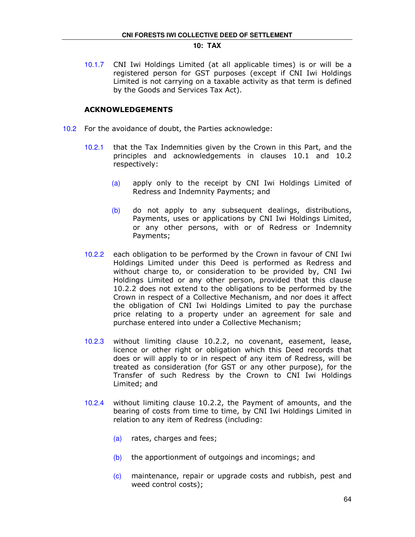10.1.7 CNI Iwi Holdings Limited (at all applicable times) is or will be a registered person for GST purposes (except if CNI Iwi Holdings Limited is not carrying on a taxable activity as that term is defined by the Goods and Services Tax Act).

## ACKNOWLEDGEMENTS

- 10.2 For the avoidance of doubt, the Parties acknowledge:
	- 10.2.1 that the Tax Indemnities given by the Crown in this Part, and the principles and acknowledgements in clauses 10.1 and 10.2 respectively:
		- (a) apply only to the receipt by CNI Iwi Holdings Limited of Redress and Indemnity Payments; and
		- (b) do not apply to any subsequent dealings, distributions, Payments, uses or applications by CNI Iwi Holdings Limited, or any other persons, with or of Redress or Indemnity Payments;
	- 10.2.2 each obligation to be performed by the Crown in favour of CNI Iwi Holdings Limited under this Deed is performed as Redress and without charge to, or consideration to be provided by, CNI Iwi Holdings Limited or any other person, provided that this clause 10.2.2 does not extend to the obligations to be performed by the Crown in respect of a Collective Mechanism, and nor does it affect the obligation of CNI Iwi Holdings Limited to pay the purchase price relating to a property under an agreement for sale and purchase entered into under a Collective Mechanism;
	- 10.2.3 without limiting clause 10.2.2, no covenant, easement, lease, licence or other right or obligation which this Deed records that does or will apply to or in respect of any item of Redress, will be treated as consideration (for GST or any other purpose), for the Transfer of such Redress by the Crown to CNI Iwi Holdings Limited; and
	- 10.2.4 without limiting clause 10.2.2, the Payment of amounts, and the bearing of costs from time to time, by CNI Iwi Holdings Limited in relation to any item of Redress (including:
		- (a) rates, charges and fees;
		- $(b)$  the apportionment of outgoings and incomings; and
		- (c) maintenance, repair or upgrade costs and rubbish, pest and weed control costs);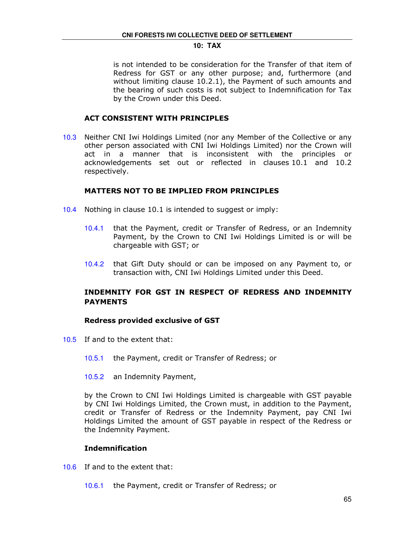is not intended to be consideration for the Transfer of that item of Redress for GST or any other purpose; and, furthermore (and without limiting clause 10.2.1), the Payment of such amounts and the bearing of such costs is not subject to Indemnification for Tax by the Crown under this Deed.

## ACT CONSISTENT WITH PRINCIPLES

10.3 Neither CNI Iwi Holdings Limited (nor any Member of the Collective or any other person associated with CNI Iwi Holdings Limited) nor the Crown will act in a manner that is inconsistent with the principles or acknowledgements set out or reflected in clauses 10.1 and 10.2 respectively.

## MATTERS NOT TO BE IMPLIED FROM PRINCIPLES

- 10.4 Nothing in clause 10.1 is intended to suggest or imply:
	- 10.4.1 that the Payment, credit or Transfer of Redress, or an Indemnity Payment, by the Crown to CNI Iwi Holdings Limited is or will be chargeable with GST; or
	- 10.4.2 that Gift Duty should or can be imposed on any Payment to, or transaction with, CNI Iwi Holdings Limited under this Deed.

## INDEMNITY FOR GST IN RESPECT OF REDRESS AND INDEMNITY PAYMENTS

#### Redress provided exclusive of GST

- 10.5 If and to the extent that:
	- 10.5.1 the Payment, credit or Transfer of Redress; or
	- 10.5.2 an Indemnity Payment,

by the Crown to CNI Iwi Holdings Limited is chargeable with GST payable by CNI Iwi Holdings Limited, the Crown must, in addition to the Payment, credit or Transfer of Redress or the Indemnity Payment, pay CNI Iwi Holdings Limited the amount of GST payable in respect of the Redress or the Indemnity Payment.

## Indemnification

- 10.6 If and to the extent that:
	- 10.6.1 the Payment, credit or Transfer of Redress; or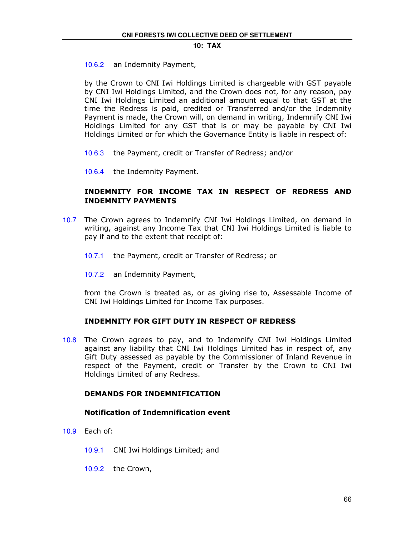10.6.2 an Indemnity Payment,

by the Crown to CNI Iwi Holdings Limited is chargeable with GST payable by CNI Iwi Holdings Limited, and the Crown does not, for any reason, pay CNI Iwi Holdings Limited an additional amount equal to that GST at the time the Redress is paid, credited or Transferred and/or the Indemnity Payment is made, the Crown will, on demand in writing, Indemnify CNI Iwi Holdings Limited for any GST that is or may be payable by CNI Iwi Holdings Limited or for which the Governance Entity is liable in respect of:

- 10.6.3 the Payment, credit or Transfer of Redress; and/or
- 10.6.4 the Indemnity Payment.

## INDEMNITY FOR INCOME TAX IN RESPECT OF REDRESS AND INDEMNITY PAYMENTS

- 10.7 The Crown agrees to Indemnify CNI Iwi Holdings Limited, on demand in writing, against any Income Tax that CNI Iwi Holdings Limited is liable to pay if and to the extent that receipt of:
	- 10.7.1 the Payment, credit or Transfer of Redress; or
	- 10.7.2 an Indemnity Payment,

from the Crown is treated as, or as giving rise to, Assessable Income of CNI Iwi Holdings Limited for Income Tax purposes.

## INDEMNITY FOR GIFT DUTY IN RESPECT OF REDRESS

10.8 The Crown agrees to pay, and to Indemnify CNI Iwi Holdings Limited against any liability that CNI Iwi Holdings Limited has in respect of, any Gift Duty assessed as payable by the Commissioner of Inland Revenue in respect of the Payment, credit or Transfer by the Crown to CNI Iwi Holdings Limited of any Redress.

## DEMANDS FOR INDEMNIFICATION

## Notification of Indemnification event

- 10.9 Each of:
	- 10.9.1 CNI Iwi Holdings Limited; and
	- 10.9.2 the Crown,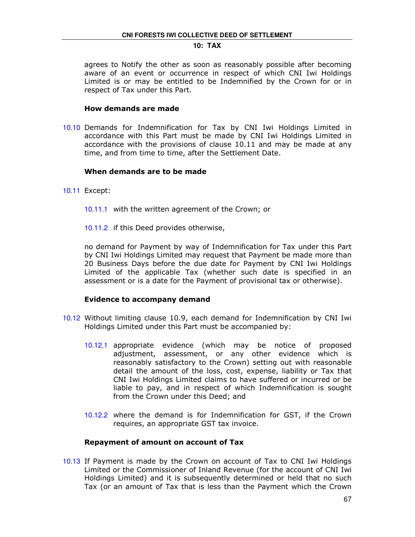agrees to Notify the other as soon as reasonably possible after becoming aware of an event or occurrence in respect of which CNI Iwi Holdings Limited is or may be entitled to be Indemnified by the Crown for or in respect of Tax under this Part.

## How demands are made

10.10 Demands for Indemnification for Tax by CNI Iwi Holdings Limited in accordance with this Part must be made by CNI Iwi Holdings Limited in accordance with the provisions of clause 10.11 and may be made at any time, and from time to time, after the Settlement Date.

#### When demands are to be made

- 10.11 Except:
	- 10.11.1 with the written agreement of the Crown; or
	- 10.11.2 if this Deed provides otherwise,

no demand for Payment by way of Indemnification for Tax under this Part by CNI Iwi Holdings Limited may request that Payment be made more than 20 Business Days before the due date for Payment by CNI Iwi Holdings Limited of the applicable Tax (whether such date is specified in an assessment or is a date for the Payment of provisional tax or otherwise).

#### Evidence to accompany demand

- 10.12 Without limiting clause 10.9, each demand for Indemnification by CNI Iwi Holdings Limited under this Part must be accompanied by:
	- 10.12.1 appropriate evidence (which may be notice of proposed adjustment, assessment, or any other evidence which is reasonably satisfactory to the Crown) setting out with reasonable detail the amount of the loss, cost, expense, liability or Tax that CNI Iwi Holdings Limited claims to have suffered or incurred or be liable to pay, and in respect of which Indemnification is sought from the Crown under this Deed; and
	- 10.12.2 where the demand is for Indemnification for GST, if the Crown requires, an appropriate GST tax invoice.

#### Repayment of amount on account of Tax

10.13 If Payment is made by the Crown on account of Tax to CNI Iwi Holdings Limited or the Commissioner of Inland Revenue (for the account of CNI Iwi Holdings Limited) and it is subsequently determined or held that no such Tax (or an amount of Tax that is less than the Payment which the Crown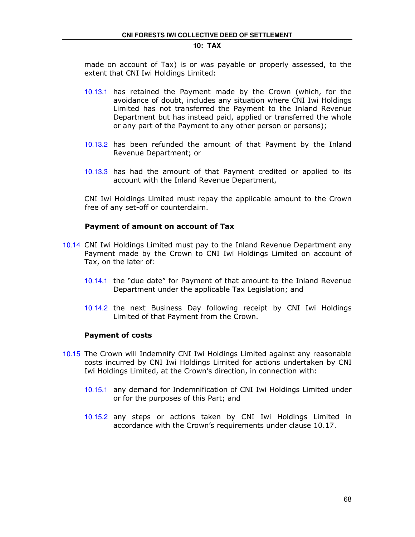made on account of Tax) is or was payable or properly assessed, to the extent that CNI Iwi Holdings Limited:

- 10.13.1 has retained the Payment made by the Crown (which, for the avoidance of doubt, includes any situation where CNI Iwi Holdings Limited has not transferred the Payment to the Inland Revenue Department but has instead paid, applied or transferred the whole or any part of the Payment to any other person or persons);
- 10.13.2 has been refunded the amount of that Payment by the Inland Revenue Department; or
- 10.13.3 has had the amount of that Payment credited or applied to its account with the Inland Revenue Department,

CNI Iwi Holdings Limited must repay the applicable amount to the Crown free of any set-off or counterclaim.

#### Payment of amount on account of Tax

- 10.14 CNI Iwi Holdings Limited must pay to the Inland Revenue Department any Payment made by the Crown to CNI Iwi Holdings Limited on account of Tax, on the later of:
	- 10.14.1 the "due date" for Payment of that amount to the Inland Revenue Department under the applicable Tax Legislation; and
	- 10.14.2 the next Business Day following receipt by CNI Iwi Holdings Limited of that Payment from the Crown.

## Payment of costs

- 10.15 The Crown will Indemnify CNI Iwi Holdings Limited against any reasonable costs incurred by CNI Iwi Holdings Limited for actions undertaken by CNI Iwi Holdings Limited, at the Crown's direction, in connection with:
	- 10.15.1 any demand for Indemnification of CNI Iwi Holdings Limited under or for the purposes of this Part; and
	- 10.15.2 any steps or actions taken by CNI Iwi Holdings Limited in accordance with the Crown's requirements under clause 10.17.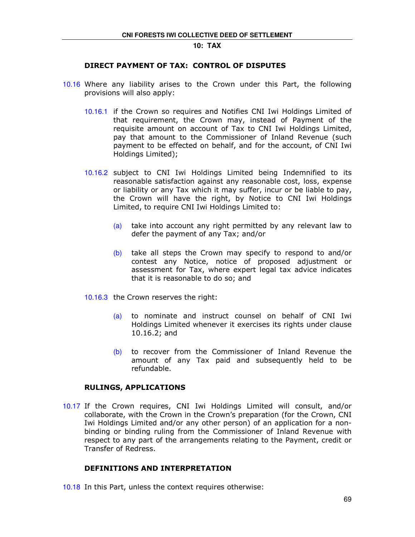## DIRECT PAYMENT OF TAX: CONTROL OF DISPUTES

- 10.16 Where any liability arises to the Crown under this Part, the following provisions will also apply:
	- 10.16.1 if the Crown so requires and Notifies CNI Iwi Holdings Limited of that requirement, the Crown may, instead of Payment of the requisite amount on account of Tax to CNI Iwi Holdings Limited, pay that amount to the Commissioner of Inland Revenue (such payment to be effected on behalf, and for the account, of CNI Iwi Holdings Limited);
	- 10.16.2 subject to CNI Iwi Holdings Limited being Indemnified to its reasonable satisfaction against any reasonable cost, loss, expense or liability or any Tax which it may suffer, incur or be liable to pay, the Crown will have the right, by Notice to CNI Iwi Holdings Limited, to require CNI Iwi Holdings Limited to:
		- (a) take into account any right permitted by any relevant law to defer the payment of any Tax; and/or
		- $(b)$  take all steps the Crown may specify to respond to and/or contest any Notice, notice of proposed adjustment or assessment for Tax, where expert legal tax advice indicates that it is reasonable to do so; and
	- 10.16.3 the Crown reserves the right:
		- (a) to nominate and instruct counsel on behalf of CNI Iwi Holdings Limited whenever it exercises its rights under clause 10.16.2; and
		- (b) to recover from the Commissioner of Inland Revenue the amount of any Tax paid and subsequently held to be refundable.

## RULINGS, APPLICATIONS

10.17 If the Crown requires, CNI Iwi Holdings Limited will consult, and/or collaborate, with the Crown in the Crown's preparation (for the Crown, CNI Iwi Holdings Limited and/or any other person) of an application for a nonbinding or binding ruling from the Commissioner of Inland Revenue with respect to any part of the arrangements relating to the Payment, credit or Transfer of Redress.

## DEFINITIONS AND INTERPRETATION

10.18 In this Part, unless the context requires otherwise: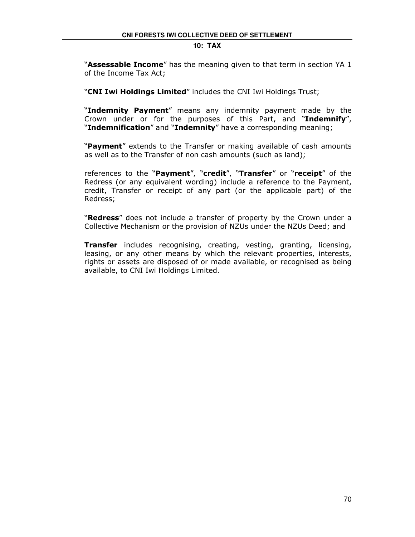#### **10: TAX**

"**Assessable Income**" has the meaning given to that term in section YA 1 of the Income Tax Act;

"CNI Iwi Holdings Limited" includes the CNI Iwi Holdings Trust;

"Indemnity Payment" means any indemnity payment made by the Crown under or for the purposes of this Part, and "Indemnify", "Indemnification" and "Indemnity" have a corresponding meaning;

"Payment" extends to the Transfer or making available of cash amounts as well as to the Transfer of non cash amounts (such as land);

references to the "Payment", "credit", "Transfer" or "receipt" of the Redress (or any equivalent wording) include a reference to the Payment, credit, Transfer or receipt of any part (or the applicable part) of the Redress;

"Redress" does not include a transfer of property by the Crown under a Collective Mechanism or the provision of NZUs under the NZUs Deed; and

**Transfer** includes recognising, creating, vesting, granting, licensing, leasing, or any other means by which the relevant properties, interests, rights or assets are disposed of or made available, or recognised as being available, to CNI Iwi Holdings Limited.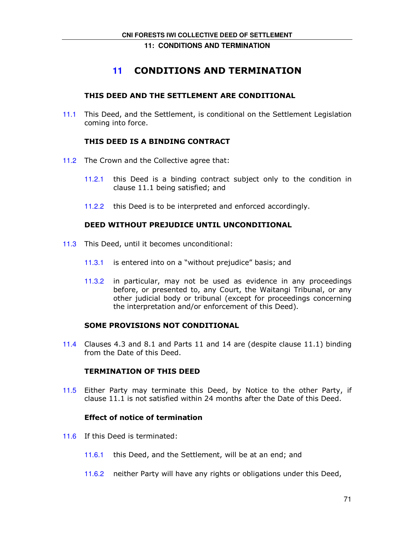**11: CONDITIONS AND TERMINATION** 

# **11** CONDITIONS AND TERMINATION

# THIS DEED AND THE SETTLEMENT ARE CONDITIONAL

11.1 This Deed, and the Settlement, is conditional on the Settlement Legislation coming into force.

# THIS DEED IS A BINDING CONTRACT

- 11.2 The Crown and the Collective agree that:
	- 11.2.1 this Deed is a binding contract subject only to the condition in clause 11.1 being satisfied; and
	- 11.2.2 this Deed is to be interpreted and enforced accordingly.

# DEED WITHOUT PREJUDICE UNTIL UNCONDITIONAL

- 11.3 This Deed, until it becomes unconditional:
	- 11.3.1 is entered into on a "without prejudice" basis; and
	- 11.3.2 in particular, may not be used as evidence in any proceedings before, or presented to, any Court, the Waitangi Tribunal, or any other judicial body or tribunal (except for proceedings concerning the interpretation and/or enforcement of this Deed).

# SOME PROVISIONS NOT CONDITIONAL

11.4 Clauses 4.3 and 8.1 and Parts 11 and 14 are (despite clause 11.1) binding from the Date of this Deed.

#### TERMINATION OF THIS DEED

11.5 Either Party may terminate this Deed, by Notice to the other Party, if clause 11.1 is not satisfied within 24 months after the Date of this Deed.

# Effect of notice of termination

- 11.6 If this Deed is terminated:
	- 11.6.1 this Deed, and the Settlement, will be at an end; and
	- 11.6.2 neither Party will have any rights or obligations under this Deed,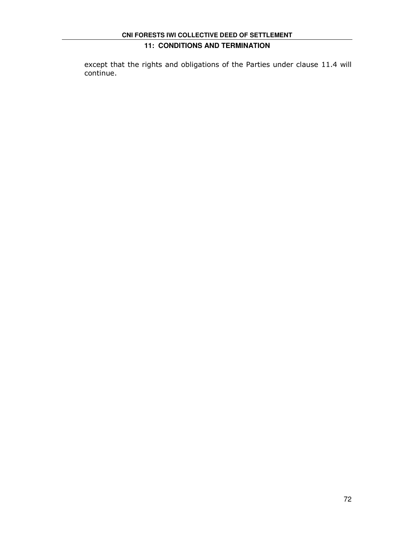# **11: CONDITIONS AND TERMINATION**

except that the rights and obligations of the Parties under clause 11.4 will continue.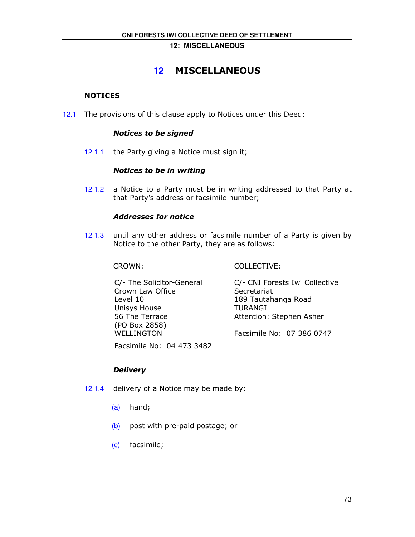**12: MISCELLANEOUS** 

# **12** MISCELLANEOUS

# **NOTICES**

12.1 The provisions of this clause apply to Notices under this Deed:

### Notices to be signed

12.1.1 the Party giving a Notice must sign it;

#### Notices to be in writing

12.1.2 a Notice to a Party must be in writing addressed to that Party at that Party's address or facsimile number;

#### Addresses for notice

12.1.3 until any other address or facsimile number of a Party is given by Notice to the other Party, they are as follows:

CROWN: COLLECTIVE:

C/- The Solicitor-General Crown Law Office Level 10 Unisys House 56 The Terrace (PO Box 2858) WELLINGTON C/- CNI Forests Iwi Collective **Secretariat** 189 Tautahanga Road TURANGI Attention: Stephen Asher Facsimile No: 07 386 0747

Facsimile No: 04 473 3482

# **Delivery**

- 12.1.4 delivery of a Notice may be made by:
	- (a) hand;
	- (b) post with pre-paid postage; or
	- (c) facsimile;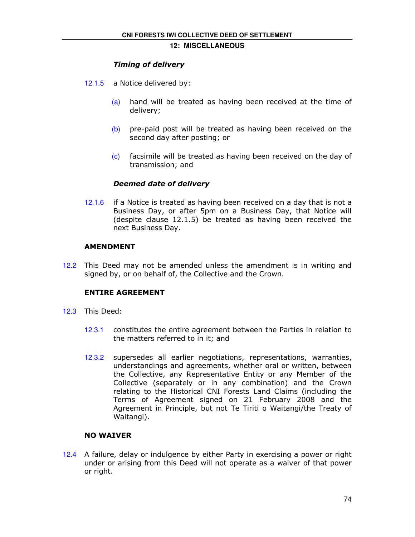#### **12: MISCELLANEOUS**

# Timing of delivery

- 12.1.5 a Notice delivered by:
	- (a) hand will be treated as having been received at the time of delivery;
	- (b) pre-paid post will be treated as having been received on the second day after posting; or
	- (c) facsimile will be treated as having been received on the day of transmission; and

#### Deemed date of delivery

12.1.6 if a Notice is treated as having been received on a day that is not a Business Day, or after 5pm on a Business Day, that Notice will (despite clause 12.1.5) be treated as having been received the next Business Day.

#### AMENDMENT

12.2 This Deed may not be amended unless the amendment is in writing and signed by, or on behalf of, the Collective and the Crown.

# ENTIRE AGREEMENT

- 12.3 This Deed:
	- 12.3.1 constitutes the entire agreement between the Parties in relation to the matters referred to in it; and
	- 12.3.2 supersedes all earlier negotiations, representations, warranties, understandings and agreements, whether oral or written, between the Collective, any Representative Entity or any Member of the Collective (separately or in any combination) and the Crown relating to the Historical CNI Forests Land Claims (including the Terms of Agreement signed on 21 February 2008 and the Agreement in Principle, but not Te Tiriti o Waitangi/the Treaty of Waitangi).

# NO WAIVER

12.4 A failure, delay or indulgence by either Party in exercising a power or right under or arising from this Deed will not operate as a waiver of that power or right.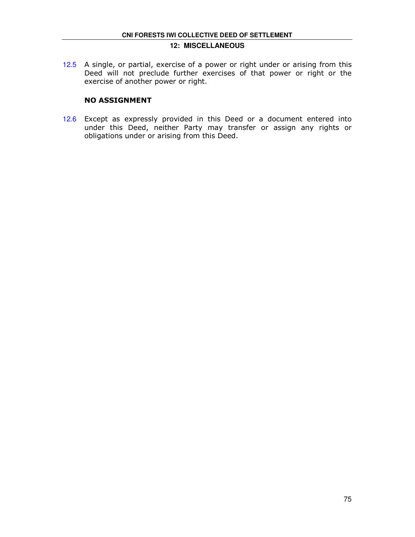### **12: MISCELLANEOUS**

12.5 A single, or partial, exercise of a power or right under or arising from this Deed will not preclude further exercises of that power or right or the exercise of another power or right.

# NO ASSIGNMENT

12.6 Except as expressly provided in this Deed or a document entered into under this Deed, neither Party may transfer or assign any rights or obligations under or arising from this Deed.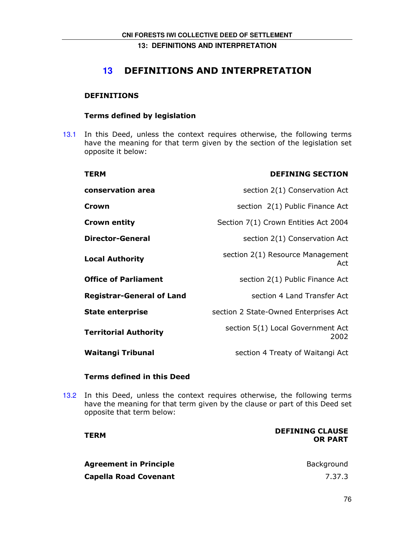# **13** DEFINITIONS AND INTERPRETATION

# DEFINITIONS

# Terms defined by legislation

13.1 In this Deed, unless the context requires otherwise, the following terms have the meaning for that term given by the section of the legislation set opposite it below:

| <b>TERM</b>                      | <b>DEFINING SECTION</b>                   |
|----------------------------------|-------------------------------------------|
| conservation area                | section 2(1) Conservation Act             |
| Crown                            | section 2(1) Public Finance Act           |
| <b>Crown entity</b>              | Section 7(1) Crown Entities Act 2004      |
| <b>Director-General</b>          | section 2(1) Conservation Act             |
| <b>Local Authority</b>           | section 2(1) Resource Management<br>Act   |
| <b>Office of Parliament</b>      | section 2(1) Public Finance Act           |
| <b>Registrar-General of Land</b> | section 4 Land Transfer Act               |
| <b>State enterprise</b>          | section 2 State-Owned Enterprises Act     |
| <b>Territorial Authority</b>     | section 5(1) Local Government Act<br>2002 |
| <b>Waitangi Tribunal</b>         | section 4 Treaty of Waitangi Act          |

# Terms defined in this Deed

13.2 In this Deed, unless the context requires otherwise, the following terms have the meaning for that term given by the clause or part of this Deed set opposite that term below:

| <b>DEFINING CLAUSE</b><br><b>OR PART</b> |
|------------------------------------------|
| Background                               |
| 7.37.3                                   |
|                                          |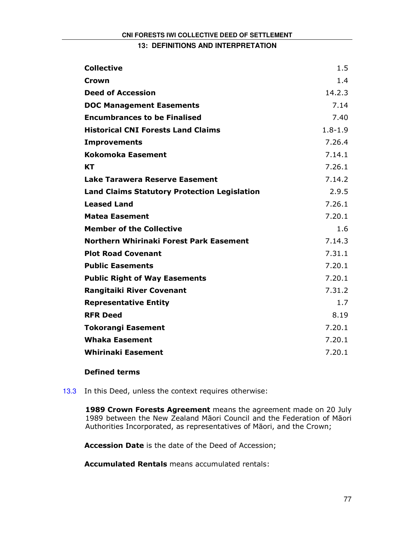| <b>Collective</b>                                   | 1.5              |
|-----------------------------------------------------|------------------|
| Crown                                               | 1.4              |
| <b>Deed of Accession</b>                            | 14.2.3           |
| <b>DOC Management Easements</b>                     | 7.14             |
| <b>Encumbrances to be Finalised</b>                 | 7.40             |
| <b>Historical CNI Forests Land Claims</b>           | $1.8 - 1.9$      |
| <b>Improvements</b>                                 | 7.26.4           |
| <b>Kokomoka Easement</b>                            | 7.14.1           |
| KT                                                  | 7.26.1           |
| <b>Lake Tarawera Reserve Easement</b>               | 7.14.2           |
| <b>Land Claims Statutory Protection Legislation</b> | 2.9.5            |
| <b>Leased Land</b>                                  | 7.26.1           |
| <b>Matea Easement</b>                               | 7.20.1           |
| <b>Member of the Collective</b>                     | 1.6              |
| Northern Whirinaki Forest Park Easement             | 7.14.3           |
| <b>Plot Road Covenant</b>                           | 7.31.1           |
| <b>Public Easements</b>                             | 7.20.1           |
| <b>Public Right of Way Easements</b>                | 7.20.1           |
| <b>Rangitaiki River Covenant</b>                    | 7.31.2           |
| <b>Representative Entity</b>                        | 1.7 <sub>2</sub> |
| <b>RFR Deed</b>                                     | 8.19             |
| <b>Tokorangi Easement</b>                           | 7.20.1           |
| <b>Whaka Easement</b>                               | 7.20.1           |
| <b>Whirinaki Easement</b>                           | 7.20.1           |

# Defined terms

13.3 In this Deed, unless the context requires otherwise:

1989 Crown Forests Agreement means the agreement made on 20 July 1989 between the New Zealand Māori Council and the Federation of Māori Authorities Incorporated, as representatives of Māori, and the Crown;

Accession Date is the date of the Deed of Accession;

Accumulated Rentals means accumulated rentals: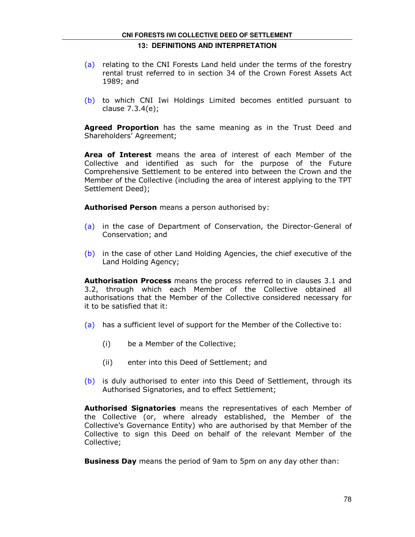- (a) relating to the CNI Forests Land held under the terms of the forestry rental trust referred to in section 34 of the Crown Forest Assets Act 1989; and
- (b) to which CNI Iwi Holdings Limited becomes entitled pursuant to clause 7.3.4(e);

Agreed Proportion has the same meaning as in the Trust Deed and Shareholders' Agreement;

Area of Interest means the area of interest of each Member of the Collective and identified as such for the purpose of the Future Comprehensive Settlement to be entered into between the Crown and the Member of the Collective (including the area of interest applying to the TPT Settlement Deed);

Authorised Person means a person authorised by:

- (a) in the case of Department of Conservation, the Director-General of Conservation; and
- (b) in the case of other Land Holding Agencies, the chief executive of the Land Holding Agency;

**Authorisation Process** means the process referred to in clauses 3.1 and 3.2, through which each Member of the Collective obtained all authorisations that the Member of the Collective considered necessary for it to be satisfied that it:

- (a) has a sufficient level of support for the Member of the Collective to:
	- (i) be a Member of the Collective;
	- (ii) enter into this Deed of Settlement; and
- (b) is duly authorised to enter into this Deed of Settlement, through its Authorised Signatories, and to effect Settlement;

Authorised Signatories means the representatives of each Member of the Collective (or, where already established, the Member of the Collective's Governance Entity) who are authorised by that Member of the Collective to sign this Deed on behalf of the relevant Member of the Collective;

**Business Day** means the period of 9am to 5pm on any day other than: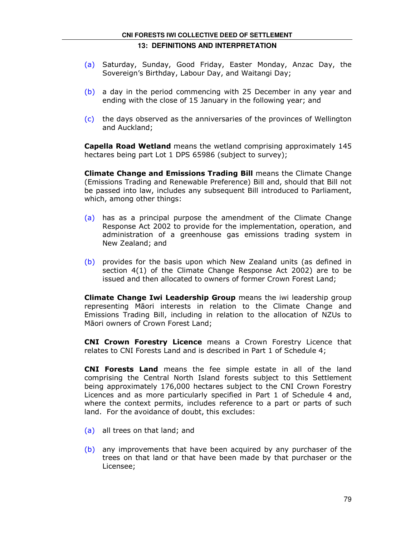# **CNI FORESTS IWI COLLECTIVE DEED OF SETTLEMENT 13: DEFINITIONS AND INTERPRETATION**

- (a) Saturday, Sunday, Good Friday, Easter Monday, Anzac Day, the Sovereign's Birthday, Labour Day, and Waitangi Day;
- (b) a day in the period commencing with 25 December in any year and ending with the close of 15 January in the following year; and
- (c) the days observed as the anniversaries of the provinces of Wellington and Auckland;

Capella Road Wetland means the wetland comprising approximately 145 hectares being part Lot 1 DPS 65986 (subject to survey);

Climate Change and Emissions Trading Bill means the Climate Change (Emissions Trading and Renewable Preference) Bill and, should that Bill not be passed into law, includes any subsequent Bill introduced to Parliament, which, among other things:

- (a) has as a principal purpose the amendment of the Climate Change Response Act 2002 to provide for the implementation, operation, and administration of a greenhouse gas emissions trading system in New Zealand; and
- (b) provides for the basis upon which New Zealand units (as defined in section 4(1) of the Climate Change Response Act 2002) are to be issued and then allocated to owners of former Crown Forest Land;

Climate Change Iwi Leadership Group means the iwi leadership group representing Māori interests in relation to the Climate Change and Emissions Trading Bill, including in relation to the allocation of NZUs to Māori owners of Crown Forest Land;

**CNI Crown Forestry Licence** means a Crown Forestry Licence that relates to CNI Forests Land and is described in Part 1 of Schedule 4;

CNI Forests Land means the fee simple estate in all of the land comprising the Central North Island forests subject to this Settlement being approximately 176,000 hectares subject to the CNI Crown Forestry Licences and as more particularly specified in Part 1 of Schedule 4 and, where the context permits, includes reference to a part or parts of such land. For the avoidance of doubt, this excludes:

- (a) all trees on that land; and
- (b) any improvements that have been acquired by any purchaser of the trees on that land or that have been made by that purchaser or the Licensee;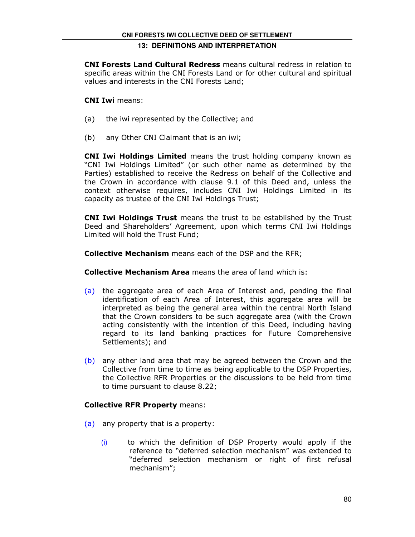CNI Forests Land Cultural Redress means cultural redress in relation to specific areas within the CNI Forests Land or for other cultural and spiritual values and interests in the CNI Forests Land;

# CNI Iwi means:

- (a) the iwi represented by the Collective; and
- (b) any Other CNI Claimant that is an iwi;

CNI Iwi Holdings Limited means the trust holding company known as "CNI Iwi Holdings Limited" (or such other name as determined by the Parties) established to receive the Redress on behalf of the Collective and the Crown in accordance with clause 9.1 of this Deed and, unless the context otherwise requires, includes CNI Iwi Holdings Limited in its capacity as trustee of the CNI Iwi Holdings Trust;

CNI Iwi Holdings Trust means the trust to be established by the Trust Deed and Shareholders' Agreement, upon which terms CNI Iwi Holdings Limited will hold the Trust Fund;

Collective Mechanism means each of the DSP and the RFR;

Collective Mechanism Area means the area of land which is:

- (a) the aggregate area of each Area of Interest and, pending the final identification of each Area of Interest, this aggregate area will be interpreted as being the general area within the central North Island that the Crown considers to be such aggregate area (with the Crown acting consistently with the intention of this Deed, including having regard to its land banking practices for Future Comprehensive Settlements); and
- (b) any other land area that may be agreed between the Crown and the Collective from time to time as being applicable to the DSP Properties, the Collective RFR Properties or the discussions to be held from time to time pursuant to clause 8.22;

# Collective RFR Property means:

- (a) any property that is a property:
	- (i) to which the definition of DSP Property would apply if the reference to "deferred selection mechanism" was extended to "deferred selection mechanism or right of first refusal mechanism";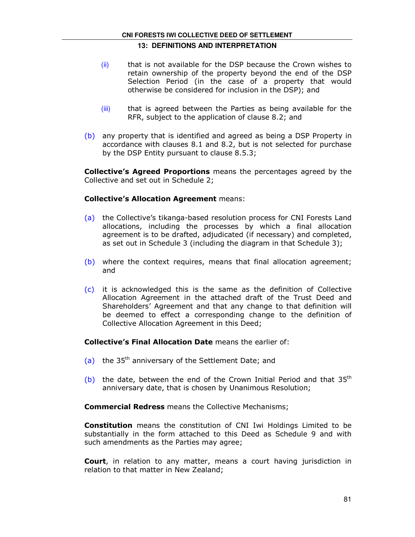- (ii) that is not available for the DSP because the Crown wishes to retain ownership of the property beyond the end of the DSP Selection Period (in the case of a property that would otherwise be considered for inclusion in the DSP); and
- (iii) that is agreed between the Parties as being available for the RFR, subject to the application of clause 8.2; and
- (b) any property that is identified and agreed as being a DSP Property in accordance with clauses 8.1 and 8.2, but is not selected for purchase by the DSP Entity pursuant to clause 8.5.3;

**Collective's Agreed Proportions** means the percentages agreed by the Collective and set out in Schedule 2;

# Collective's Allocation Agreement means:

- (a) the Collective's tikanga-based resolution process for CNI Forests Land allocations, including the processes by which a final allocation agreement is to be drafted, adjudicated (if necessary) and completed, as set out in Schedule 3 (including the diagram in that Schedule 3);
- (b) where the context requires, means that final allocation agreement; and
- (c) it is acknowledged this is the same as the definition of Collective Allocation Agreement in the attached draft of the Trust Deed and Shareholders' Agreement and that any change to that definition will be deemed to effect a corresponding change to the definition of Collective Allocation Agreement in this Deed;

Collective's Final Allocation Date means the earlier of:

- (a) the  $35<sup>th</sup>$  anniversary of the Settlement Date; and
- (b) the date, between the end of the Crown Initial Period and that  $35<sup>th</sup>$ anniversary date, that is chosen by Unanimous Resolution;

**Commercial Redress** means the Collective Mechanisms;

**Constitution** means the constitution of CNI Iwi Holdings Limited to be substantially in the form attached to this Deed as Schedule 9 and with such amendments as the Parties may agree;

Court, in relation to any matter, means a court having jurisdiction in relation to that matter in New Zealand;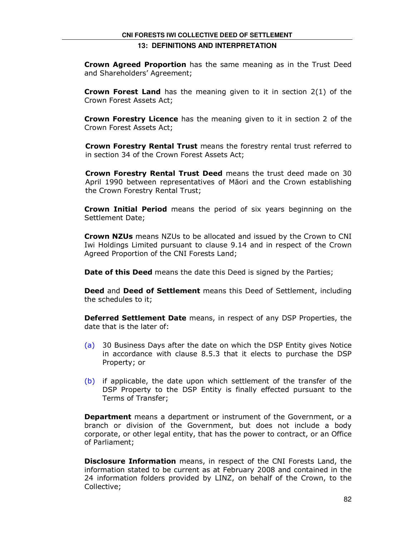**Crown Agreed Proportion** has the same meaning as in the Trust Deed and Shareholders' Agreement;

**Crown Forest Land** has the meaning given to it in section  $2(1)$  of the Crown Forest Assets Act;

Crown Forestry Licence has the meaning given to it in section 2 of the Crown Forest Assets Act;

Crown Forestry Rental Trust means the forestry rental trust referred to in section 34 of the Crown Forest Assets Act;

Crown Forestry Rental Trust Deed means the trust deed made on 30 April 1990 between representatives of Māori and the Crown establishing the Crown Forestry Rental Trust;

Crown Initial Period means the period of six years beginning on the Settlement Date;

**Crown NZUs** means NZUs to be allocated and issued by the Crown to CNI Iwi Holdings Limited pursuant to clause 9.14 and in respect of the Crown Agreed Proportion of the CNI Forests Land;

Date of this Deed means the date this Deed is signed by the Parties;

Deed and Deed of Settlement means this Deed of Settlement, including the schedules to it;

Deferred Settlement Date means, in respect of any DSP Properties, the date that is the later of:

- (a) 30 Business Days after the date on which the DSP Entity gives Notice in accordance with clause 8.5.3 that it elects to purchase the DSP Property; or
- (b) if applicable, the date upon which settlement of the transfer of the DSP Property to the DSP Entity is finally effected pursuant to the Terms of Transfer;

**Department** means a department or instrument of the Government, or a branch or division of the Government, but does not include a body corporate, or other legal entity, that has the power to contract, or an Office of Parliament;

**Disclosure Information** means, in respect of the CNI Forests Land, the information stated to be current as at February 2008 and contained in the 24 information folders provided by LINZ, on behalf of the Crown, to the Collective;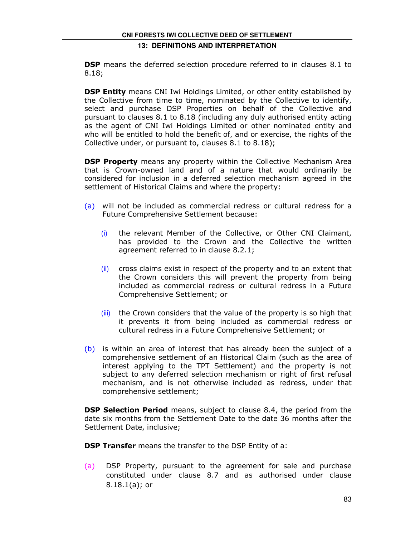**DSP** means the deferred selection procedure referred to in clauses 8.1 to 8.18;

**DSP Entity** means CNI Iwi Holdings Limited, or other entity established by the Collective from time to time, nominated by the Collective to identify, select and purchase DSP Properties on behalf of the Collective and pursuant to clauses 8.1 to 8.18 (including any duly authorised entity acting as the agent of CNI Iwi Holdings Limited or other nominated entity and who will be entitled to hold the benefit of, and or exercise, the rights of the Collective under, or pursuant to, clauses 8.1 to 8.18);

**DSP Property** means any property within the Collective Mechanism Area that is Crown-owned land and of a nature that would ordinarily be considered for inclusion in a deferred selection mechanism agreed in the settlement of Historical Claims and where the property:

- (a) will not be included as commercial redress or cultural redress for a Future Comprehensive Settlement because:
	- (i) the relevant Member of the Collective, or Other CNI Claimant, has provided to the Crown and the Collective the written agreement referred to in clause 8.2.1;
	- (ii) cross claims exist in respect of the property and to an extent that the Crown considers this will prevent the property from being included as commercial redress or cultural redress in a Future Comprehensive Settlement; or
	- (iii) the Crown considers that the value of the property is so high that it prevents it from being included as commercial redress or cultural redress in a Future Comprehensive Settlement; or
- (b) is within an area of interest that has already been the subject of a comprehensive settlement of an Historical Claim (such as the area of interest applying to the TPT Settlement) and the property is not subject to any deferred selection mechanism or right of first refusal mechanism, and is not otherwise included as redress, under that comprehensive settlement;

**DSP Selection Period** means, subject to clause 8.4, the period from the date six months from the Settlement Date to the date 36 months after the Settlement Date, inclusive;

**DSP Transfer** means the transfer to the DSP Entity of a:

(a) DSP Property, pursuant to the agreement for sale and purchase constituted under clause 8.7 and as authorised under clause 8.18.1(a); or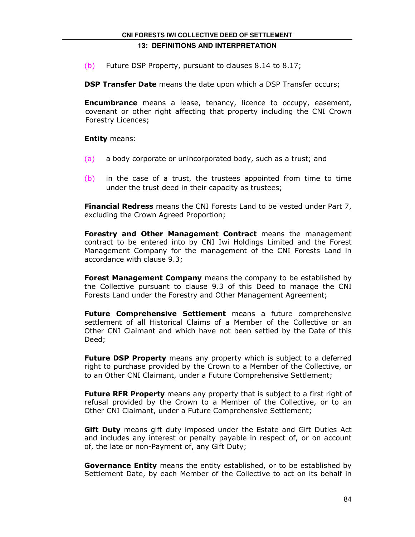(b) Future DSP Property, pursuant to clauses 8.14 to 8.17;

**DSP Transfer Date** means the date upon which a DSP Transfer occurs;

**Encumbrance** means a lease, tenancy, licence to occupy, easement, covenant or other right affecting that property including the CNI Crown Forestry Licences;

**Entity means:** 

- (a) a body corporate or unincorporated body, such as a trust; and
- (b) in the case of a trust, the trustees appointed from time to time under the trust deed in their capacity as trustees;

Financial Redress means the CNI Forests Land to be vested under Part 7, excluding the Crown Agreed Proportion;

Forestry and Other Management Contract means the management contract to be entered into by CNI Iwi Holdings Limited and the Forest Management Company for the management of the CNI Forests Land in accordance with clause 9.3;

Forest Management Company means the company to be established by the Collective pursuant to clause 9.3 of this Deed to manage the CNI Forests Land under the Forestry and Other Management Agreement;

Future Comprehensive Settlement means a future comprehensive settlement of all Historical Claims of a Member of the Collective or an Other CNI Claimant and which have not been settled by the Date of this Deed;

Future DSP Property means any property which is subject to a deferred right to purchase provided by the Crown to a Member of the Collective, or to an Other CNI Claimant, under a Future Comprehensive Settlement;

Future RFR Property means any property that is subject to a first right of refusal provided by the Crown to a Member of the Collective, or to an Other CNI Claimant, under a Future Comprehensive Settlement;

Gift Duty means gift duty imposed under the Estate and Gift Duties Act and includes any interest or penalty payable in respect of, or on account of, the late or non-Payment of, any Gift Duty;

Governance Entity means the entity established, or to be established by Settlement Date, by each Member of the Collective to act on its behalf in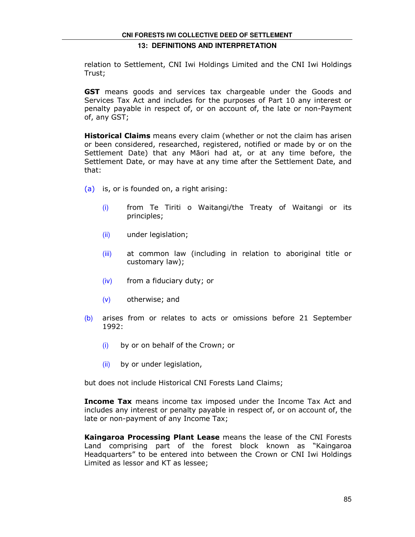relation to Settlement, CNI Iwi Holdings Limited and the CNI Iwi Holdings Trust;

**GST** means goods and services tax chargeable under the Goods and Services Tax Act and includes for the purposes of Part 10 any interest or penalty payable in respect of, or on account of, the late or non-Payment of, any GST;

**Historical Claims** means every claim (whether or not the claim has arisen or been considered, researched, registered, notified or made by or on the Settlement Date) that any Māori had at, or at any time before, the Settlement Date, or may have at any time after the Settlement Date, and that:

- (a) is, or is founded on, a right arising:
	- (i) from Te Tiriti o Waitangi/the Treaty of Waitangi or its principles;
	- (ii) under legislation;
	- (iii) at common law (including in relation to aboriginal title or customary law);
	- (iv) from a fiduciary duty; or
	- (v) otherwise; and
- (b) arises from or relates to acts or omissions before 21 September 1992:
	- (i) by or on behalf of the Crown; or
	- (ii) by or under legislation,

but does not include Historical CNI Forests Land Claims;

**Income Tax** means income tax imposed under the Income Tax Act and includes any interest or penalty payable in respect of, or on account of, the late or non-payment of any Income Tax;

Kaingaroa Processing Plant Lease means the lease of the CNI Forests Land comprising part of the forest block known as "Kaingaroa Headquarters" to be entered into between the Crown or CNI Iwi Holdings Limited as lessor and KT as lessee;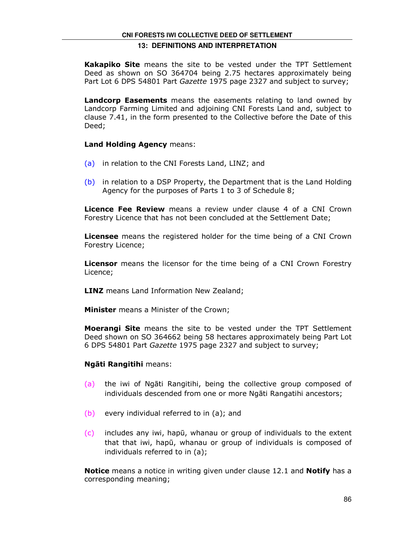Kakapiko Site means the site to be vested under the TPT Settlement Deed as shown on SO 364704 being 2.75 hectares approximately being Part Lot 6 DPS 54801 Part Gazette 1975 page 2327 and subject to survey;

**Landcorp Easements** means the easements relating to land owned by Landcorp Farming Limited and adjoining CNI Forests Land and, subject to clause 7.41, in the form presented to the Collective before the Date of this Deed;

#### Land Holding Agency means:

- (a) in relation to the CNI Forests Land, LINZ; and
- (b) in relation to a DSP Property, the Department that is the Land Holding Agency for the purposes of Parts 1 to 3 of Schedule 8;

Licence Fee Review means a review under clause 4 of a CNI Crown Forestry Licence that has not been concluded at the Settlement Date;

**Licensee** means the registered holder for the time being of a CNI Crown Forestry Licence;

**Licensor** means the licensor for the time being of a CNI Crown Forestry Licence;

**LINZ** means Land Information New Zealand;

**Minister** means a Minister of the Crown;

**Moerangi Site** means the site to be vested under the TPT Settlement Deed shown on SO 364662 being 58 hectares approximately being Part Lot 6 DPS 54801 Part Gazette 1975 page 2327 and subject to survey;

# Ngāti Rangitihi means:

- (a) the iwi of Ngāti Rangitihi, being the collective group composed of individuals descended from one or more Ngāti Rangatihi ancestors;
- (b) every individual referred to in (a); and
- (c) includes any iwi, hapū, whanau or group of individuals to the extent that that iwi, hapū, whanau or group of individuals is composed of individuals referred to in (a);

**Notice** means a notice in writing given under clause 12.1 and **Notify** has a corresponding meaning;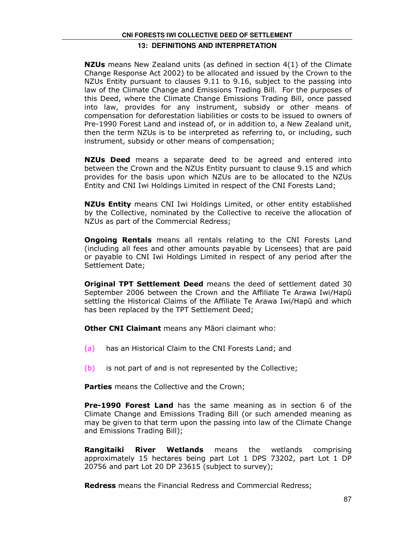**NZUs** means New Zealand units (as defined in section 4(1) of the Climate Change Response Act 2002) to be allocated and issued by the Crown to the NZUs Entity pursuant to clauses 9.11 to 9.16, subject to the passing into law of the Climate Change and Emissions Trading Bill. For the purposes of this Deed, where the Climate Change Emissions Trading Bill, once passed into law, provides for any instrument, subsidy or other means of compensation for deforestation liabilities or costs to be issued to owners of Pre-1990 Forest Land and instead of, or in addition to, a New Zealand unit, then the term NZUs is to be interpreted as referring to, or including, such instrument, subsidy or other means of compensation;

**NZUs Deed** means a separate deed to be agreed and entered into between the Crown and the NZUs Entity pursuant to clause 9.15 and which provides for the basis upon which NZUs are to be allocated to the NZUs Entity and CNI Iwi Holdings Limited in respect of the CNI Forests Land;

**NZUs Entity** means CNI Iwi Holdings Limited, or other entity established by the Collective, nominated by the Collective to receive the allocation of NZUs as part of the Commercial Redress;

**Ongoing Rentals** means all rentals relating to the CNI Forests Land (including all fees and other amounts payable by Licensees) that are paid or payable to CNI Iwi Holdings Limited in respect of any period after the Settlement Date;

**Original TPT Settlement Deed** means the deed of settlement dated 30 September 2006 between the Crown and the Affiliate Te Arawa Iwi/Hapū settling the Historical Claims of the Affiliate Te Arawa Iwi/Hapū and which has been replaced by the TPT Settlement Deed;

**Other CNI Claimant** means any Māori claimant who:

- (a) has an Historical Claim to the CNI Forests Land; and
- (b) is not part of and is not represented by the Collective;

**Parties** means the Collective and the Crown;

**Pre-1990 Forest Land** has the same meaning as in section 6 of the Climate Change and Emissions Trading Bill (or such amended meaning as may be given to that term upon the passing into law of the Climate Change and Emissions Trading Bill);

**Rangitaiki River Wetlands** means the wetlands comprising approximately 15 hectares being part Lot 1 DPS 73202, part Lot 1 DP 20756 and part Lot 20 DP 23615 (subject to survey);

Redress means the Financial Redress and Commercial Redress;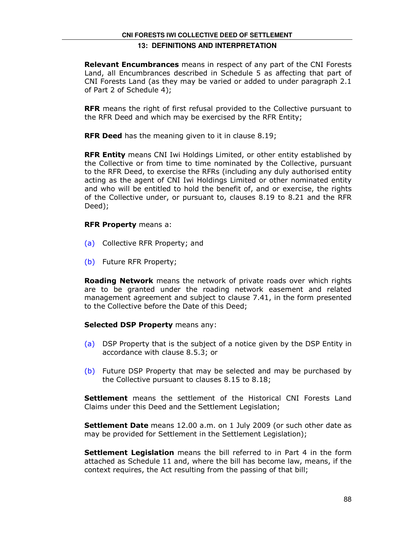**Relevant Encumbrances** means in respect of any part of the CNI Forests Land, all Encumbrances described in Schedule 5 as affecting that part of CNI Forests Land (as they may be varied or added to under paragraph 2.1 of Part 2 of Schedule 4);

**RFR** means the right of first refusal provided to the Collective pursuant to the RFR Deed and which may be exercised by the RFR Entity;

**RFR Deed** has the meaning given to it in clause 8.19;

**RFR Entity** means CNI Iwi Holdings Limited, or other entity established by the Collective or from time to time nominated by the Collective, pursuant to the RFR Deed, to exercise the RFRs (including any duly authorised entity acting as the agent of CNI Iwi Holdings Limited or other nominated entity and who will be entitled to hold the benefit of, and or exercise, the rights of the Collective under, or pursuant to, clauses 8.19 to 8.21 and the RFR Deed);

#### RFR Property means a:

- (a) Collective RFR Property; and
- (b) Future RFR Property;

**Roading Network** means the network of private roads over which rights are to be granted under the roading network easement and related management agreement and subject to clause 7.41, in the form presented to the Collective before the Date of this Deed;

# Selected DSP Property means any:

- (a) DSP Property that is the subject of a notice given by the DSP Entity in accordance with clause 8.5.3; or
- (b) Future DSP Property that may be selected and may be purchased by the Collective pursuant to clauses 8.15 to 8.18;

Settlement means the settlement of the Historical CNI Forests Land Claims under this Deed and the Settlement Legislation;

Settlement Date means 12.00 a.m. on 1 July 2009 (or such other date as may be provided for Settlement in the Settlement Legislation);

**Settlement Legislation** means the bill referred to in Part 4 in the form attached as Schedule 11 and, where the bill has become law, means, if the context requires, the Act resulting from the passing of that bill;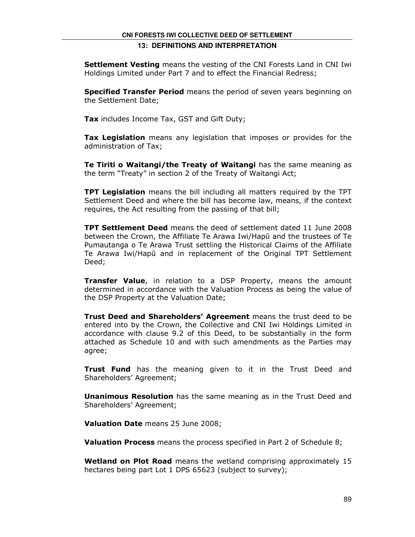**Settlement Vesting** means the vesting of the CNI Forests Land in CNI Iwi Holdings Limited under Part 7 and to effect the Financial Redress;

**Specified Transfer Period** means the period of seven years beginning on the Settlement Date;

Tax includes Income Tax, GST and Gift Duty;

Tax Legislation means any legislation that imposes or provides for the administration of Tax;

Te Tiriti o Waitangi/the Treaty of Waitangi has the same meaning as the term "Treaty" in section 2 of the Treaty of Waitangi Act;

**TPT Legislation** means the bill including all matters required by the TPT Settlement Deed and where the bill has become law, means, if the context requires, the Act resulting from the passing of that bill;

TPT Settlement Deed means the deed of settlement dated 11 June 2008 between the Crown, the Affiliate Te Arawa Iwi/Hapū and the trustees of Te Pumautanga o Te Arawa Trust settling the Historical Claims of the Affiliate Te Arawa Iwi/Hapū and in replacement of the Original TPT Settlement Deed;

**Transfer Value**, in relation to a DSP Property, means the amount determined in accordance with the Valuation Process as being the value of the DSP Property at the Valuation Date;

Trust Deed and Shareholders' Agreement means the trust deed to be entered into by the Crown, the Collective and CNI Iwi Holdings Limited in accordance with clause 9.2 of this Deed, to be substantially in the form attached as Schedule 10 and with such amendments as the Parties may agree;

Trust Fund has the meaning given to it in the Trust Deed and Shareholders' Agreement;

**Unanimous Resolution** has the same meaning as in the Trust Deed and Shareholders' Agreement;

Valuation Date means 25 June 2008;

**Valuation Process** means the process specified in Part 2 of Schedule 8;

Wetland on Plot Road means the wetland comprising approximately 15 hectares being part Lot 1 DPS 65623 (subject to survey);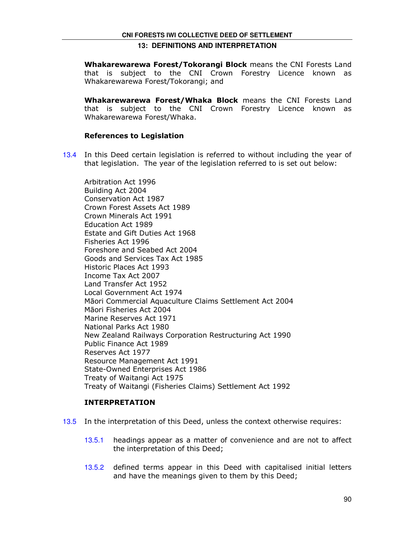Whakarewarewa Forest/Tokorangi Block means the CNI Forests Land that is subject to the CNI Crown Forestry Licence known as Whakarewarewa Forest/Tokorangi; and

Whakarewarewa Forest/Whaka Block means the CNI Forests Land that is subject to the CNI Crown Forestry Licence known as Whakarewarewa Forest/Whaka.

#### References to Legislation

13.4 In this Deed certain legislation is referred to without including the year of that legislation. The year of the legislation referred to is set out below:

Arbitration Act 1996 Building Act 2004 Conservation Act 1987 Crown Forest Assets Act 1989 Crown Minerals Act 1991 Education Act 1989 Estate and Gift Duties Act 1968 Fisheries Act 1996 Foreshore and Seabed Act 2004 Goods and Services Tax Act 1985 Historic Places Act 1993 Income Tax Act 2007 Land Transfer Act 1952 Local Government Act 1974 Māori Commercial Aquaculture Claims Settlement Act 2004 Māori Fisheries Act 2004 Marine Reserves Act 1971 National Parks Act 1980 New Zealand Railways Corporation Restructuring Act 1990 Public Finance Act 1989 Reserves Act 1977 Resource Management Act 1991 State-Owned Enterprises Act 1986 Treaty of Waitangi Act 1975 Treaty of Waitangi (Fisheries Claims) Settlement Act 1992

# INTERPRETATION

- 13.5 In the interpretation of this Deed, unless the context otherwise requires:
	- 13.5.1 headings appear as a matter of convenience and are not to affect the interpretation of this Deed;
	- 13.5.2 defined terms appear in this Deed with capitalised initial letters and have the meanings given to them by this Deed;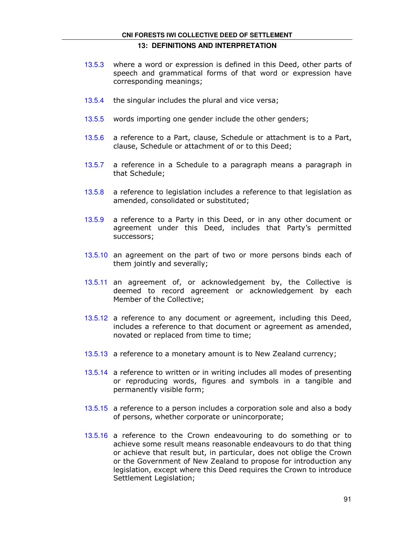# **CNI FORESTS IWI COLLECTIVE DEED OF SETTLEMENT**

#### **13: DEFINITIONS AND INTERPRETATION**

- 13.5.3 where a word or expression is defined in this Deed, other parts of speech and grammatical forms of that word or expression have corresponding meanings;
- 13.5.4 the singular includes the plural and vice versa;
- 13.5.5 words importing one gender include the other genders;
- 13.5.6 a reference to a Part, clause, Schedule or attachment is to a Part, clause, Schedule or attachment of or to this Deed;
- 13.5.7 a reference in a Schedule to a paragraph means a paragraph in that Schedule;
- 13.5.8 a reference to legislation includes a reference to that legislation as amended, consolidated or substituted;
- 13.5.9 a reference to a Party in this Deed, or in any other document or agreement under this Deed, includes that Party's permitted successors;
- 13.5.10 an agreement on the part of two or more persons binds each of them jointly and severally;
- 13.5.11 an agreement of, or acknowledgement by, the Collective is deemed to record agreement or acknowledgement by each Member of the Collective;
- 13.5.12 a reference to any document or agreement, including this Deed, includes a reference to that document or agreement as amended, novated or replaced from time to time;
- 13.5.13 a reference to a monetary amount is to New Zealand currency;
- 13.5.14 a reference to written or in writing includes all modes of presenting or reproducing words, figures and symbols in a tangible and permanently visible form;
- 13.5.15 a reference to a person includes a corporation sole and also a body of persons, whether corporate or unincorporate;
- 13.5.16 a reference to the Crown endeavouring to do something or to achieve some result means reasonable endeavours to do that thing or achieve that result but, in particular, does not oblige the Crown or the Government of New Zealand to propose for introduction any legislation, except where this Deed requires the Crown to introduce Settlement Legislation;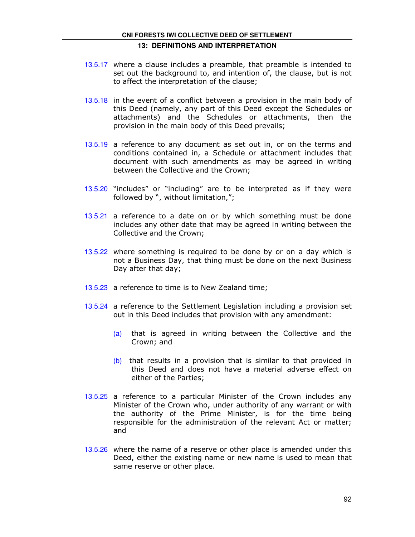# **CNI FORESTS IWI COLLECTIVE DEED OF SETTLEMENT 13: DEFINITIONS AND INTERPRETATION**

- 13.5.17 where a clause includes a preamble, that preamble is intended to set out the background to, and intention of, the clause, but is not to affect the interpretation of the clause;
- 13.5.18 in the event of a conflict between a provision in the main body of this Deed (namely, any part of this Deed except the Schedules or attachments) and the Schedules or attachments, then the provision in the main body of this Deed prevails;
- 13.5.19 a reference to any document as set out in, or on the terms and conditions contained in, a Schedule or attachment includes that document with such amendments as may be agreed in writing between the Collective and the Crown;
- 13.5.20 "includes" or "including" are to be interpreted as if they were followed by ", without limitation,";
- 13.5.21 a reference to a date on or by which something must be done includes any other date that may be agreed in writing between the Collective and the Crown;
- 13.5.22 where something is required to be done by or on a day which is not a Business Day, that thing must be done on the next Business Day after that day;
- 13.5.23 a reference to time is to New Zealand time;
- 13.5.24 a reference to the Settlement Legislation including a provision set out in this Deed includes that provision with any amendment:
	- (a) that is agreed in writing between the Collective and the Crown; and
	- $(b)$  that results in a provision that is similar to that provided in this Deed and does not have a material adverse effect on either of the Parties;
- 13.5.25 a reference to a particular Minister of the Crown includes any Minister of the Crown who, under authority of any warrant or with the authority of the Prime Minister, is for the time being responsible for the administration of the relevant Act or matter; and
- 13.5.26 where the name of a reserve or other place is amended under this Deed, either the existing name or new name is used to mean that same reserve or other place.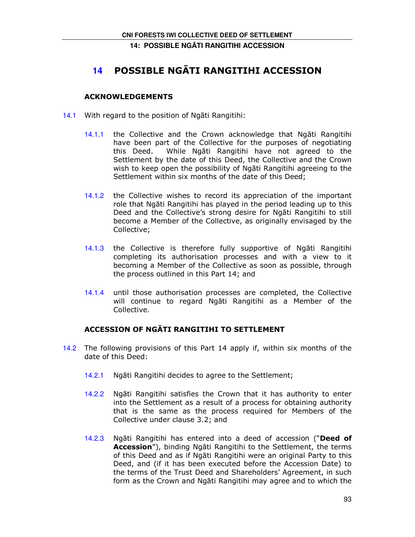# **14: POSSIBLE NG**Ā**TI RANGITIHI ACCESSION**

# **14** POSSIBLE NGĀTI RANGITIHI ACCESSION

# ACKNOWLEDGEMENTS

- 14.1 With regard to the position of Ngāti Rangitihi:
	- 14.1.1 the Collective and the Crown acknowledge that Ngāti Rangitihi have been part of the Collective for the purposes of negotiating this Deed. While Ngāti Rangitihi have not agreed to the Settlement by the date of this Deed, the Collective and the Crown wish to keep open the possibility of Ngāti Rangitihi agreeing to the Settlement within six months of the date of this Deed;
	- 14.1.2 the Collective wishes to record its appreciation of the important role that Ngāti Rangitihi has played in the period leading up to this Deed and the Collective's strong desire for Ngāti Rangitihi to still become a Member of the Collective, as originally envisaged by the Collective;
	- 14.1.3 the Collective is therefore fully supportive of Ngāti Rangitihi completing its authorisation processes and with a view to it becoming a Member of the Collective as soon as possible, through the process outlined in this Part 14; and
	- 14.1.4 until those authorisation processes are completed, the Collective will continue to regard Ngāti Rangitihi as a Member of the Collective.

# ACCESSION OF NGĀTI RANGITIHI TO SETTLEMENT

- 14.2 The following provisions of this Part 14 apply if, within six months of the date of this Deed:
	- 14.2.1 Ngāti Rangitihi decides to agree to the Settlement;
	- 14.2.2 Ngāti Rangitihi satisfies the Crown that it has authority to enter into the Settlement as a result of a process for obtaining authority that is the same as the process required for Members of the Collective under clause 3.2; and
	- 14.2.3 Ngāti Rangitihi has entered into a deed of accession ("Deed of Accession"), binding Ngāti Rangitihi to the Settlement, the terms of this Deed and as if Ngāti Rangitihi were an original Party to this Deed, and (if it has been executed before the Accession Date) to the terms of the Trust Deed and Shareholders' Agreement, in such form as the Crown and Ngāti Rangitihi may agree and to which the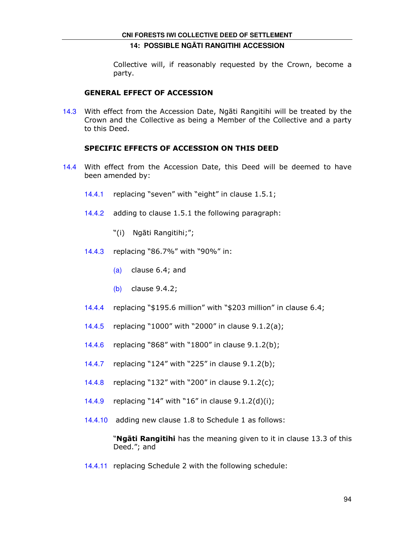# **14: POSSIBLE NG**Ā**TI RANGITIHI ACCESSION**

Collective will, if reasonably requested by the Crown, become a party.

### GENERAL EFFECT OF ACCESSION

14.3 With effect from the Accession Date, Ngāti Rangitihi will be treated by the Crown and the Collective as being a Member of the Collective and a party to this Deed.

# SPECIFIC EFFECTS OF ACCESSION ON THIS DEED

- 14.4 With effect from the Accession Date, this Deed will be deemed to have been amended by:
	- 14.4.1 replacing "seven" with "eight" in clause 1.5.1;
	- 14.4.2 adding to clause 1.5.1 the following paragraph:
		- "(i) Ngāti Rangitihi;";
	- 14.4.3 replacing "86.7%" with "90%" in:
		- (a) clause 6.4; and
		- (b) clause 9.4.2;
	- 14.4.4 replacing "\$195.6 million" with "\$203 million" in clause 6.4;
	- 14.4.5 replacing "1000" with "2000" in clause 9.1.2(a);
	- 14.4.6 replacing "868" with "1800" in clause 9.1.2(b);
	- 14.4.7 replacing "124" with "225" in clause 9.1.2(b);
	- 14.4.8 replacing "132" with "200" in clause 9.1.2(c);
	- 14.4.9 replacing "14" with "16" in clause 9.1.2(d)(i);
	- 14.4.10 adding new clause 1.8 to Schedule 1 as follows:

"**Ngāti Rangitihi** has the meaning given to it in clause 13.3 of this Deed."; and

14.4.11 replacing Schedule 2 with the following schedule: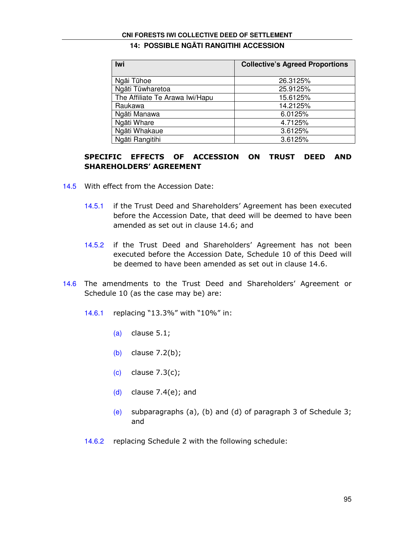#### **CNI FORESTS IWI COLLECTIVE DEED OF SETTLEMENT**

# **14: POSSIBLE NG**Ā**TI RANGITIHI ACCESSION**

| Iwi                             | <b>Collective's Agreed Proportions</b> |
|---------------------------------|----------------------------------------|
|                                 |                                        |
| Ngāi Tūhoe                      | 26.3125%                               |
| Ngāti Tūwharetoa                | 25.9125%                               |
| The Affiliate Te Arawa Iwi/Hapu | 15.6125%                               |
| Raukawa                         | 14.2125%                               |
| Ngāti Manawa                    | 6.0125%                                |
| Ngāti Whare                     | 4.7125%                                |
| Ngāti Whakaue                   | 3.6125%                                |
| Ngāti Rangitihi                 | 3.6125%                                |

# SPECIFIC EFFECTS OF ACCESSION ON TRUST DEED AND SHAREHOLDERS' AGREEMENT

- 14.5 With effect from the Accession Date:
	- 14.5.1 if the Trust Deed and Shareholders' Agreement has been executed before the Accession Date, that deed will be deemed to have been amended as set out in clause 14.6; and
	- 14.5.2 if the Trust Deed and Shareholders' Agreement has not been executed before the Accession Date, Schedule 10 of this Deed will be deemed to have been amended as set out in clause 14.6.
- 14.6 The amendments to the Trust Deed and Shareholders' Agreement or Schedule 10 (as the case may be) are:
	- 14.6.1 replacing "13.3%" with "10%" in:
		- $(a)$  clause  $5.1$ ;
		- (b) clause 7.2(b);
		- (c) clause 7.3(c);
		- (d) clause  $7.4(e)$ ; and
		- (e) subparagraphs (a), (b) and (d) of paragraph 3 of Schedule 3; and
	- 14.6.2 replacing Schedule 2 with the following schedule: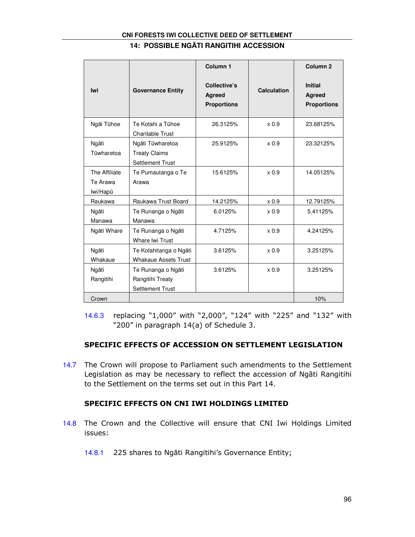# **CNI FORESTS IWI COLLECTIVE DEED OF SETTLEMENT 14: POSSIBLE NG**Ā**TI RANGITIHI ACCESSION**

| lwi                                   | <b>Governance Entity</b>                                            | Column <sub>1</sub><br>Collective's<br>Agreed<br><b>Proportions</b> | Calculation      | Column <sub>2</sub><br><b>Initial</b><br>Agreed<br><b>Proportions</b> |
|---------------------------------------|---------------------------------------------------------------------|---------------------------------------------------------------------|------------------|-----------------------------------------------------------------------|
| Ngāi Tūhoe                            | Te Kotahi a Tūhoe<br><b>Charitable Trust</b>                        | 26.3125%                                                            | x <sub>0.9</sub> | 23.68125%                                                             |
| Ngāti<br>Tūwharetoa                   | Ngāti Tūwharetoa<br><b>Treaty Claims</b><br><b>Settlement Trust</b> | 25.9125%                                                            | $\times 0.9$     | 23.32125%                                                             |
| The Affiliate<br>Te Arawa<br>lwi/Hapū | Te Pumautanga o Te<br>Arawa                                         | 15.6125%                                                            | $\times 0.9$     | 14.05125%                                                             |
| Raukawa                               | Raukawa Trust Board                                                 | 14.2125%                                                            | x 0.9            | 12.79125%                                                             |
| Ngāti<br>Manawa                       | Te Runanga o Ngāti<br>Manawa                                        | 6.0125%                                                             | x <sub>0.9</sub> | 5.41125%                                                              |
| Ngāti Whare                           | Te Runanga o Ngāti<br>Whare Iwi Trust                               | 4.7125%                                                             | $\times 0.9$     | 4.24125%                                                              |
| Ngāti<br>Whakaue                      | Te Kotahitanga o Ngāti<br><b>Whakaue Assets Trust</b>               | 3.6125%                                                             | $\times 0.9$     | 3.25125%                                                              |
| Ngāti<br>Rangitihi                    | Te Runanga o Ngāti<br>Rangitihi Treaty<br><b>Settlement Trust</b>   | 3.6125%                                                             | $\times 0.9$     | 3.25125%                                                              |
| Crown                                 |                                                                     |                                                                     |                  | 10%                                                                   |

<sup>14.6.3</sup> replacing "1,000" with "2,000", "124" with "225" and "132" with "200" in paragraph 14(a) of Schedule 3.

# SPECIFIC EFFECTS OF ACCESSION ON SETTLEMENT LEGISLATION

14.7 The Crown will propose to Parliament such amendments to the Settlement Legislation as may be necessary to reflect the accession of Ngāti Rangitihi to the Settlement on the terms set out in this Part 14.

# SPECIFIC EFFECTS ON CNI IWI HOLDINGS LIMITED

- 14.8 The Crown and the Collective will ensure that CNI Iwi Holdings Limited issues:
	- 14.8.1 225 shares to Ngāti Rangitihi's Governance Entity;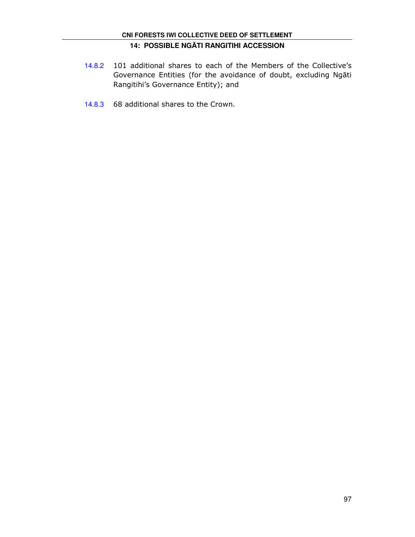- 14.8.2 101 additional shares to each of the Members of the Collective's Governance Entities (for the avoidance of doubt, excluding Ngāti Rangitihi's Governance Entity); and
- 14.8.3 68 additional shares to the Crown.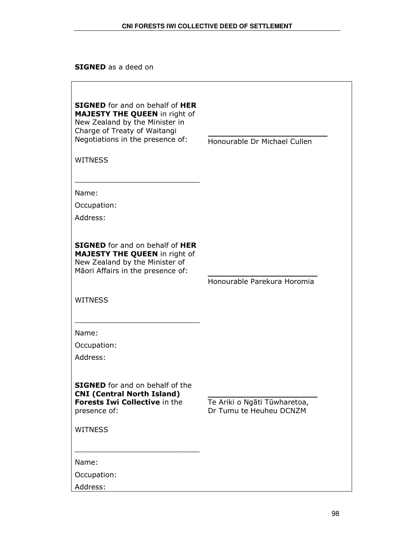SIGNED as a deed on

| <b>SIGNED</b> for and on behalf of HER<br><b>MAJESTY THE QUEEN</b> in right of<br>New Zealand by the Minister in<br>Charge of Treaty of Waitangi<br>Negotiations in the presence of:<br><b>WITNESS</b> | Honourable Dr Michael Cullen                            |
|--------------------------------------------------------------------------------------------------------------------------------------------------------------------------------------------------------|---------------------------------------------------------|
| Name:                                                                                                                                                                                                  |                                                         |
| Occupation:                                                                                                                                                                                            |                                                         |
| Address:                                                                                                                                                                                               |                                                         |
| <b>SIGNED</b> for and on behalf of HER<br><b>MAJESTY THE QUEEN in right of</b><br>New Zealand by the Minister of<br>Māori Affairs in the presence of:<br><b>WITNESS</b>                                | Honourable Parekura Horomia                             |
| Name:<br>Occupation:<br>Address:                                                                                                                                                                       |                                                         |
| <b>SIGNED</b> for and on behalf of the<br><b>CNI (Central North Island)</b><br>Forests Iwi Collective in the<br>presence of:                                                                           | Te Ariki o Ngāti Tūwharetoa,<br>Dr Tumu te Heuheu DCNZM |
| <b>WITNESS</b>                                                                                                                                                                                         |                                                         |
| Name:<br>Occupation:<br>Address:                                                                                                                                                                       |                                                         |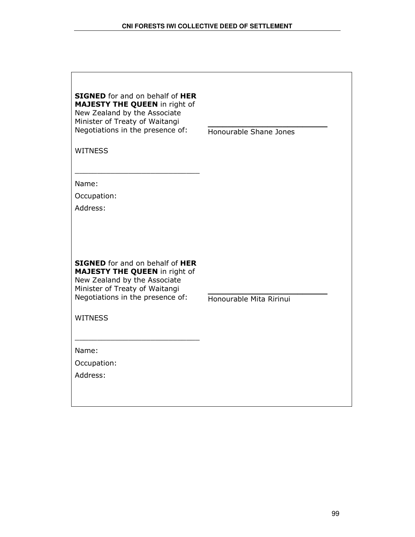$\lceil$ 

| <b>SIGNED</b> for and on behalf of HER<br><b>MAJESTY THE QUEEN in right of</b><br>New Zealand by the Associate<br>Minister of Treaty of Waitangi<br>Negotiations in the presence of:<br><b>WITNESS</b>                                     | Honourable Shane Jones  |
|--------------------------------------------------------------------------------------------------------------------------------------------------------------------------------------------------------------------------------------------|-------------------------|
| Name:                                                                                                                                                                                                                                      |                         |
| Occupation:                                                                                                                                                                                                                                |                         |
| Address:                                                                                                                                                                                                                                   |                         |
| <b>SIGNED</b> for and on behalf of HER<br><b>MAJESTY THE QUEEN in right of</b><br>New Zealand by the Associate<br>Minister of Treaty of Waitangi<br>Negotiations in the presence of:<br><b>WITNESS</b><br>Name:<br>Occupation:<br>Address: | Honourable Mita Ririnui |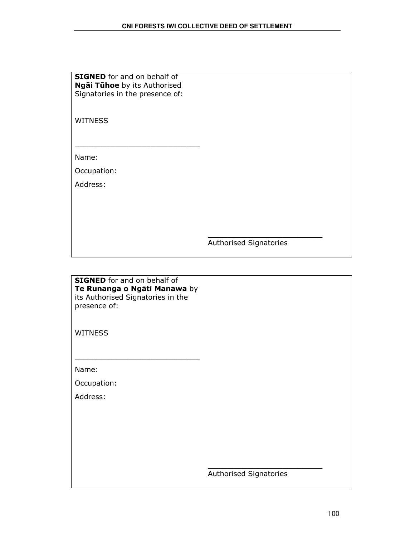| <b>SIGNED</b> for and on behalf of  |
|-------------------------------------|
| <b>Ngāi Tūhoe</b> by its Authorised |
| Signatories in the presence of:     |

**WITNESS** 

Name:

Occupation:

Address:

Authorised Signatories

 $\frac{1}{2}$  ,  $\frac{1}{2}$  ,  $\frac{1}{2}$  ,  $\frac{1}{2}$  ,  $\frac{1}{2}$  ,  $\frac{1}{2}$  ,  $\frac{1}{2}$  ,  $\frac{1}{2}$  ,  $\frac{1}{2}$  ,  $\frac{1}{2}$  ,  $\frac{1}{2}$  ,  $\frac{1}{2}$  ,  $\frac{1}{2}$  ,  $\frac{1}{2}$  ,  $\frac{1}{2}$  ,  $\frac{1}{2}$  ,  $\frac{1}{2}$  ,  $\frac{1}{2}$  ,  $\frac{1$ 

**SIGNED** for and on behalf of Te Runanga o Ngāti Manawa by its Authorised Signatories in the presence of:

\_\_\_\_\_\_\_\_\_\_\_\_\_\_\_\_\_\_\_\_\_\_\_\_\_\_\_\_

**WITNESS** 

Name:

Occupation:

Address:

Authorised Signatories

 $\frac{1}{2}$  ,  $\frac{1}{2}$  ,  $\frac{1}{2}$  ,  $\frac{1}{2}$  ,  $\frac{1}{2}$  ,  $\frac{1}{2}$  ,  $\frac{1}{2}$  ,  $\frac{1}{2}$  ,  $\frac{1}{2}$  ,  $\frac{1}{2}$  ,  $\frac{1}{2}$  ,  $\frac{1}{2}$  ,  $\frac{1}{2}$  ,  $\frac{1}{2}$  ,  $\frac{1}{2}$  ,  $\frac{1}{2}$  ,  $\frac{1}{2}$  ,  $\frac{1}{2}$  ,  $\frac{1$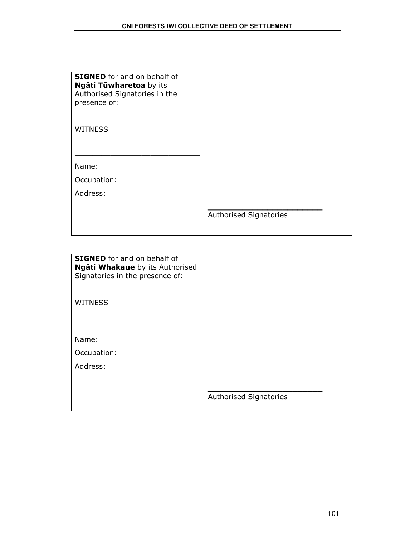| <b>SIGNED</b> for and on behalf of |
|------------------------------------|
| Ngāti Tūwharetoa by its            |
| Authorised Signatories in the      |
| presence of:                       |

WITNESS

Name:

Occupation:

Address:

Authorised Signatories

\_\_\_\_\_\_\_\_\_\_\_\_\_\_\_\_\_\_\_\_\_\_\_

**SIGNED** for and on behalf of Ngāti Whakaue by its Authorised Signatories in the presence of:

\_\_\_\_\_\_\_\_\_\_\_\_\_\_\_\_\_\_\_\_\_\_\_\_\_\_\_\_

**WITNESS** 

Name:

Occupation:

Address:

Authorised Signatories

 $\frac{1}{2}$  ,  $\frac{1}{2}$  ,  $\frac{1}{2}$  ,  $\frac{1}{2}$  ,  $\frac{1}{2}$  ,  $\frac{1}{2}$  ,  $\frac{1}{2}$  ,  $\frac{1}{2}$  ,  $\frac{1}{2}$  ,  $\frac{1}{2}$  ,  $\frac{1}{2}$  ,  $\frac{1}{2}$  ,  $\frac{1}{2}$  ,  $\frac{1}{2}$  ,  $\frac{1}{2}$  ,  $\frac{1}{2}$  ,  $\frac{1}{2}$  ,  $\frac{1}{2}$  ,  $\frac{1$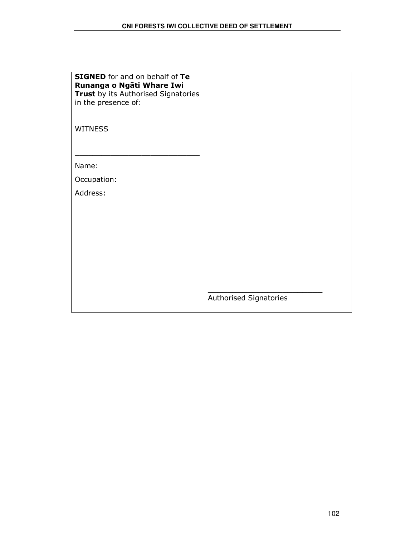| <b>SIGNED</b> for and on behalf of Te |
|---------------------------------------|
| Runanga o Ngāti Whare Iwi             |
| Trust by its Authorised Signatories   |
| in the presence of:                   |

**WITNESS** 

Name:

Occupation:

Address:

Authorised Signatories

\_\_\_\_\_\_\_\_\_\_\_\_\_\_\_\_\_\_\_\_\_\_\_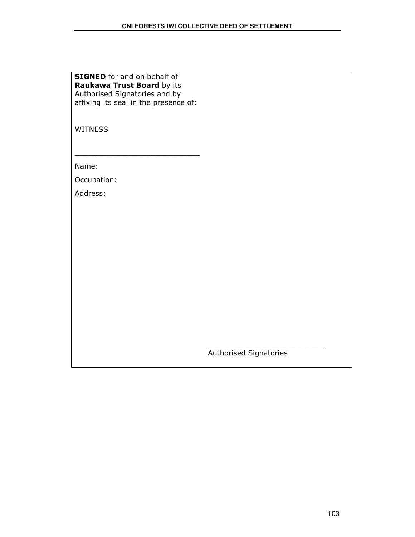| <b>SIGNED</b> for and on behalf of    |
|---------------------------------------|
| Raukawa Trust Board by its            |
| Authorised Signatories and by         |
| affixing its seal in the presence of: |

WITNESS

Name:

Occupation:

Address:

Authorised Signatories

\_\_\_\_\_\_\_\_\_\_\_\_\_\_\_\_\_\_\_\_\_\_\_\_\_\_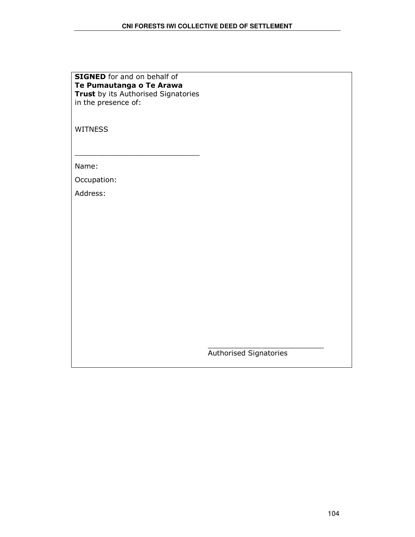| <b>SIGNED</b> for and on behalf of  |
|-------------------------------------|
| Te Pumautanga o Te Arawa            |
| Trust by its Authorised Signatories |
| in the presence of:                 |

WITNESS

Name:

Occupation:

Address:

Authorised Signatories

\_\_\_\_\_\_\_\_\_\_\_\_\_\_\_\_\_\_\_\_\_\_\_\_\_\_